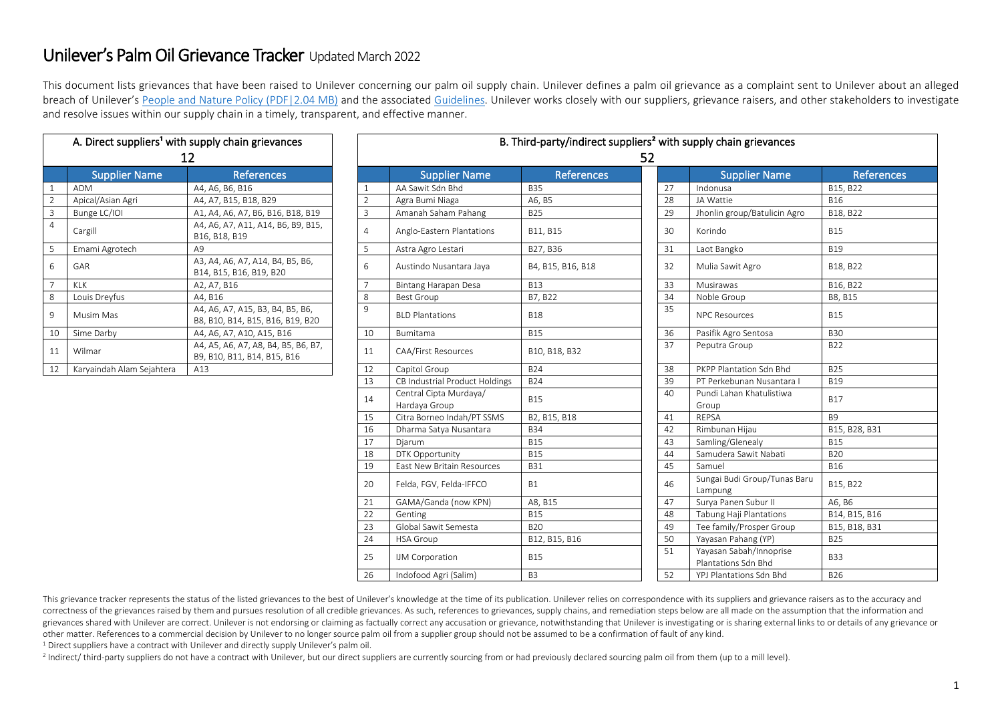## Unilever's Palm Oil Grievance Tracker Updated March 2022

This document lists grievances that have been raised to Unilever concerning our palm oil supply chain. Unilever defines a palm oil grievance as a complaint sent to Unilever about an alleged breach of Unilever's People [and Nature Policy \(PDF|2.04 MB\)](https://assets.unilever.com/files/92ui5egz/production/cd70a5aad1bd6474a553bf857266fcbea9f41d47.pdf/unilever-people-and-nature-policy.pdf) and the associated [Guidelines.](https://www.unilever.com/files/origin/feb620cbd18c28406b9093144f24648a695874e5.pdf/unilever-people-and-nature-policy.pdf) Unilever works closely with our suppliers, grievance raisers, and other stakeholders to investigate and resolve issues within our supply chain in a timely, transparent, and effective manner.

|                | A. Direct suppliers <sup>1</sup> with supply chain grievances<br>12 |                                                                      |  |  |  |  |
|----------------|---------------------------------------------------------------------|----------------------------------------------------------------------|--|--|--|--|
|                | <b>Supplier Name</b>                                                | <b>References</b>                                                    |  |  |  |  |
| $\mathbf{1}$   | <b>ADM</b>                                                          | A4, A6, B6, B16                                                      |  |  |  |  |
| $\overline{2}$ | Apical/Asian Agri                                                   | A4, A7, B15, B18, B29                                                |  |  |  |  |
| 3              | Bunge LC/IOI                                                        | A1, A4, A6, A7, B6, B16, B18, B19                                    |  |  |  |  |
| 4              | Cargill                                                             | A4, A6, A7, A11, A14, B6, B9, B15,<br>B16, B18, B19                  |  |  |  |  |
| 5              | Emami Agrotech                                                      | A9                                                                   |  |  |  |  |
| 6              | GAR                                                                 | A3, A4, A6, A7, A14, B4, B5, B6,<br>B14, B15, B16, B19, B20          |  |  |  |  |
| $\overline{7}$ | KI K                                                                | A2, A7, B16                                                          |  |  |  |  |
| 8              | Louis Dreyfus                                                       | A4, B16                                                              |  |  |  |  |
| 9              | Musim Mas                                                           | A4, A6, A7, A15, B3, B4, B5, B6,<br>B8, B10, B14, B15, B16, B19, B20 |  |  |  |  |
| 10             | Sime Darby                                                          | A4, A6, A7, A10, A15, B16                                            |  |  |  |  |
| 11             | Wilmar                                                              | A4, A5, A6, A7, A8, B4, B5, B6, B7,<br>B9, B10, B11, B14, B15, B16   |  |  |  |  |
| 12             | Karyaindah Alam Sejahtera                                           | A13                                                                  |  |  |  |  |

| A. Direct suppliers <sup>1</sup> with supply chain grievances<br>12 |                                           |                                                                      |                | B. Third-party/indirect suppliers <sup>2</sup> with supply chain grievances<br>52 |                   |  |    |                                                |                   |
|---------------------------------------------------------------------|-------------------------------------------|----------------------------------------------------------------------|----------------|-----------------------------------------------------------------------------------|-------------------|--|----|------------------------------------------------|-------------------|
|                                                                     | <b>Supplier Name</b><br><b>References</b> |                                                                      |                | <b>Supplier Name</b>                                                              | <b>References</b> |  |    | <b>Supplier Name</b>                           | <b>References</b> |
|                                                                     | <b>ADM</b>                                | A4, A6, B6, B16                                                      |                | AA Sawit Sdn Bhd                                                                  | <b>B35</b>        |  | 27 | Indonusa                                       | B15, B22          |
|                                                                     | Apical/Asian Agri                         | A4, A7, B15, B18, B29                                                | $\overline{2}$ | Agra Bumi Niaga                                                                   | A6, B5            |  | 28 | JA Wattie                                      | <b>B16</b>        |
|                                                                     | Bunge LC/IOI                              | A1, A4, A6, A7, B6, B16, B18, B19                                    | $\overline{3}$ | Amanah Saham Pahang                                                               | <b>B25</b>        |  | 29 | Jhonlin group/Batulicin Agro                   | B18, B22          |
| 4                                                                   | Cargill                                   | A4, A6, A7, A11, A14, B6, B9, B15,<br>B16, B18, B19                  | $\overline{4}$ | Anglo-Eastern Plantations                                                         | B11, B15          |  | 30 | Korindo                                        | <b>B15</b>        |
|                                                                     | Emami Agrotech                            | A9                                                                   | 5              | Astra Agro Lestari                                                                | B27, B36          |  | 31 | Laot Bangko                                    | <b>B19</b>        |
| 6                                                                   | GAR                                       | A3, A4, A6, A7, A14, B4, B5, B6,<br>B14, B15, B16, B19, B20          | 6              | Austindo Nusantara Jaya                                                           | B4, B15, B16, B18 |  | 32 | Mulia Sawit Agro                               | B18, B22          |
|                                                                     | <b>KLK</b>                                | A2, A7, B16                                                          | $\overline{7}$ | Bintang Harapan Desa                                                              | <b>B13</b>        |  | 33 | Musirawas                                      | B16, B22          |
| 8                                                                   | Louis Dreyfus                             | A4, B16                                                              | 8              | <b>Best Group</b>                                                                 | B7, B22           |  | 34 | Noble Group                                    | B8, B15           |
| 9                                                                   | Musim Mas                                 | A4, A6, A7, A15, B3, B4, B5, B6,<br>B8, B10, B14, B15, B16, B19, B20 | 9              | <b>BLD Plantations</b>                                                            | <b>B18</b>        |  | 35 | <b>NPC Resources</b>                           | <b>B15</b>        |
| 10                                                                  | Sime Darby                                | A4, A6, A7, A10, A15, B16                                            | 10             | Bumitama                                                                          | <b>B15</b>        |  | 36 | Pasifik Agro Sentosa                           | <b>B30</b>        |
| 11                                                                  | Wilmar                                    | A4, A5, A6, A7, A8, B4, B5, B6, B7,<br>B9, B10, B11, B14, B15, B16   | 11             | <b>CAA/First Resources</b>                                                        | B10, B18, B32     |  | 37 | Peputra Group                                  | <b>B22</b>        |
| 12                                                                  | Karyaindah Alam Sejahtera                 | A13                                                                  | 12             | Capitol Group                                                                     | <b>B24</b>        |  | 38 | PKPP Plantation Sdn Bhd                        | <b>B25</b>        |
|                                                                     |                                           |                                                                      | 13             | CB Industrial Product Holdings                                                    | <b>B24</b>        |  | 39 | PT Perkebunan Nusantara I                      | <b>B19</b>        |
|                                                                     |                                           |                                                                      | 14             | Central Cipta Murdaya/<br>Hardaya Group                                           | <b>B15</b>        |  | 40 | Pundi Lahan Khatulistiwa<br>Group              | <b>B17</b>        |
|                                                                     |                                           |                                                                      | 15             | Citra Borneo Indah/PT SSMS                                                        | B2, B15, B18      |  | 41 | <b>REPSA</b>                                   | <b>B9</b>         |
|                                                                     |                                           |                                                                      | 16             | Dharma Satya Nusantara                                                            | <b>B34</b>        |  | 42 | Rimbunan Hijau                                 | B15, B28, B31     |
|                                                                     |                                           |                                                                      | 17             | Djarum                                                                            | <b>B15</b>        |  | 43 | Samling/Glenealy                               | <b>B15</b>        |
|                                                                     |                                           |                                                                      | 18             | DTK Opportunity                                                                   | <b>B15</b>        |  | 44 | Samudera Sawit Nabati                          | <b>B20</b>        |
|                                                                     |                                           |                                                                      | 19             | East New Britain Resources                                                        | <b>B31</b>        |  | 45 | Samuel                                         | <b>B16</b>        |
|                                                                     |                                           |                                                                      | 20             | Felda, FGV, Felda-IFFCO                                                           | <b>B1</b>         |  | 46 | Sungai Budi Group/Tunas Baru<br>Lampung        | B15, B22          |
|                                                                     |                                           |                                                                      | 21             | GAMA/Ganda (now KPN)                                                              | A8, B15           |  | 47 | Surya Panen Subur II                           | A6, B6            |
|                                                                     |                                           |                                                                      | 22             | Genting                                                                           | <b>B15</b>        |  | 48 | Tabung Haji Plantations                        | B14, B15, B16     |
|                                                                     |                                           |                                                                      | 23             | Global Sawit Semesta                                                              | <b>B20</b>        |  | 49 | Tee family/Prosper Group                       | B15, B18, B31     |
|                                                                     |                                           |                                                                      | 24             | <b>HSA Group</b>                                                                  | B12, B15, B16     |  | 50 | Yayasan Pahang (YP)                            | <b>B25</b>        |
|                                                                     |                                           |                                                                      | 25             | <b>IJM Corporation</b>                                                            | <b>B15</b>        |  | 51 | Yayasan Sabah/Innoprise<br>Plantations Sdn Bhd | <b>B33</b>        |
|                                                                     |                                           |                                                                      | 26             | Indofood Agri (Salim)                                                             | B <sub>3</sub>    |  | 52 | YPJ Plantations Sdn Bhd                        | <b>B26</b>        |
|                                                                     |                                           |                                                                      |                |                                                                                   |                   |  |    |                                                |                   |

This grievance tracker represents the status of the listed grievances to the best of Unilever's knowledge at the time of its publication. Unilever relies on correspondence with its suppliers and grievance raisers as to the correctness of the grievances raised by them and pursues resolution of all credible grievances. As such, references to grievances, supply chains, and remediation steps below are all made on the assumption that the informat grievances shared with Unilever are correct. Unilever is not endorsing or claiming as factually correct any accusation or grievance, notwithstanding that Unilever is investigating or is sharing external links to or details other matter. References to a commercial decision by Unilever to no longer source palm oil from a supplier group should not be assumed to be a confirmation of fault of any kind.

<sup>1</sup> Direct suppliers have a contract with Unilever and directly supply Unilever's palm oil.

2 Indirect/ third-party suppliers do not have a contract with Unilever, but our direct suppliers are currently sourcing from or had previously declared sourcing palm oil from them (up to a mill level).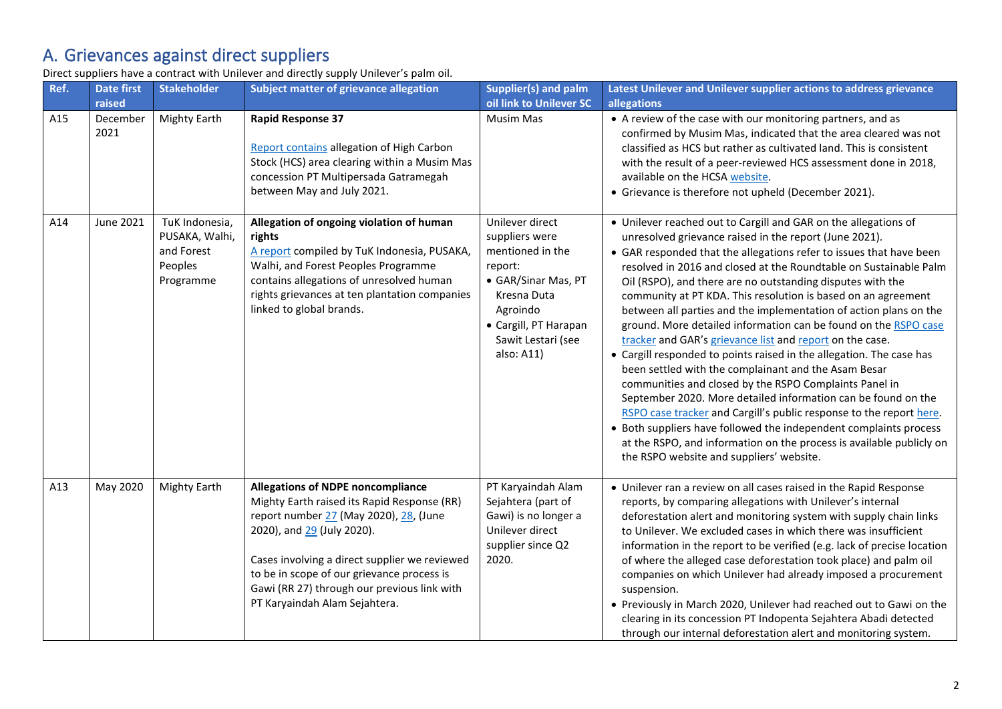## A. Grievances against direct suppliers

Direct suppliers have a contract with Unilever and directly supply Unilever's palm oil.

| Ref. | <b>Date first</b><br>raised | <b>Stakeholder</b>                                                     | Subject matter of grievance allegation                                                                                                                                                                                                                                                                                                         | <b>Supplier(s) and palm</b><br>oil link to Unilever SC                                                                                                                          | Latest Unilever and Unilever supplier actions to address grievance<br>allegations                                                                                                                                                                                                                                                                                                                                                                                                                                                                                                                                                                                                                                                                                                                                                                                                                                                                                                                                                                                                                                                   |
|------|-----------------------------|------------------------------------------------------------------------|------------------------------------------------------------------------------------------------------------------------------------------------------------------------------------------------------------------------------------------------------------------------------------------------------------------------------------------------|---------------------------------------------------------------------------------------------------------------------------------------------------------------------------------|-------------------------------------------------------------------------------------------------------------------------------------------------------------------------------------------------------------------------------------------------------------------------------------------------------------------------------------------------------------------------------------------------------------------------------------------------------------------------------------------------------------------------------------------------------------------------------------------------------------------------------------------------------------------------------------------------------------------------------------------------------------------------------------------------------------------------------------------------------------------------------------------------------------------------------------------------------------------------------------------------------------------------------------------------------------------------------------------------------------------------------------|
| A15  | December<br>2021            | <b>Mighty Earth</b>                                                    | <b>Rapid Response 37</b><br>Report contains allegation of High Carbon<br>Stock (HCS) area clearing within a Musim Mas<br>concession PT Multipersada Gatramegah<br>between May and July 2021.                                                                                                                                                   | <b>Musim Mas</b>                                                                                                                                                                | • A review of the case with our monitoring partners, and as<br>confirmed by Musim Mas, indicated that the area cleared was not<br>classified as HCS but rather as cultivated land. This is consistent<br>with the result of a peer-reviewed HCS assessment done in 2018,<br>available on the HCSA website.<br>• Grievance is therefore not upheld (December 2021).                                                                                                                                                                                                                                                                                                                                                                                                                                                                                                                                                                                                                                                                                                                                                                  |
| A14  | June 2021                   | TuK Indonesia,<br>PUSAKA, Walhi,<br>and Forest<br>Peoples<br>Programme | Allegation of ongoing violation of human<br>rights<br>A report compiled by TuK Indonesia, PUSAKA,<br>Walhi, and Forest Peoples Programme<br>contains allegations of unresolved human<br>rights grievances at ten plantation companies<br>linked to global brands.                                                                              | Unilever direct<br>suppliers were<br>mentioned in the<br>report:<br>• GAR/Sinar Mas, PT<br>Kresna Duta<br>Agroindo<br>• Cargill, PT Harapan<br>Sawit Lestari (see<br>also: A11) | • Unilever reached out to Cargill and GAR on the allegations of<br>unresolved grievance raised in the report (June 2021).<br>• GAR responded that the allegations refer to issues that have been<br>resolved in 2016 and closed at the Roundtable on Sustainable Palm<br>Oil (RSPO), and there are no outstanding disputes with the<br>community at PT KDA. This resolution is based on an agreement<br>between all parties and the implementation of action plans on the<br>ground. More detailed information can be found on the RSPO case<br>tracker and GAR's grievance list and report on the case.<br>• Cargill responded to points raised in the allegation. The case has<br>been settled with the complainant and the Asam Besar<br>communities and closed by the RSPO Complaints Panel in<br>September 2020. More detailed information can be found on the<br>RSPO case tracker and Cargill's public response to the report here.<br>• Both suppliers have followed the independent complaints process<br>at the RSPO, and information on the process is available publicly on<br>the RSPO website and suppliers' website. |
| A13  | May 2020                    | <b>Mighty Earth</b>                                                    | <b>Allegations of NDPE noncompliance</b><br>Mighty Earth raised its Rapid Response (RR)<br>report number 27 (May 2020), 28, (June<br>2020), and 29 (July 2020).<br>Cases involving a direct supplier we reviewed<br>to be in scope of our grievance process is<br>Gawi (RR 27) through our previous link with<br>PT Karyaindah Alam Sejahtera. | PT Karyaindah Alam<br>Sejahtera (part of<br>Gawi) is no longer a<br>Unilever direct<br>supplier since Q2<br>2020.                                                               | • Unilever ran a review on all cases raised in the Rapid Response<br>reports, by comparing allegations with Unilever's internal<br>deforestation alert and monitoring system with supply chain links<br>to Unilever. We excluded cases in which there was insufficient<br>information in the report to be verified (e.g. lack of precise location<br>of where the alleged case deforestation took place) and palm oil<br>companies on which Unilever had already imposed a procurement<br>suspension.<br>• Previously in March 2020, Unilever had reached out to Gawi on the<br>clearing in its concession PT Indopenta Sejahtera Abadi detected<br>through our internal deforestation alert and monitoring system.                                                                                                                                                                                                                                                                                                                                                                                                                 |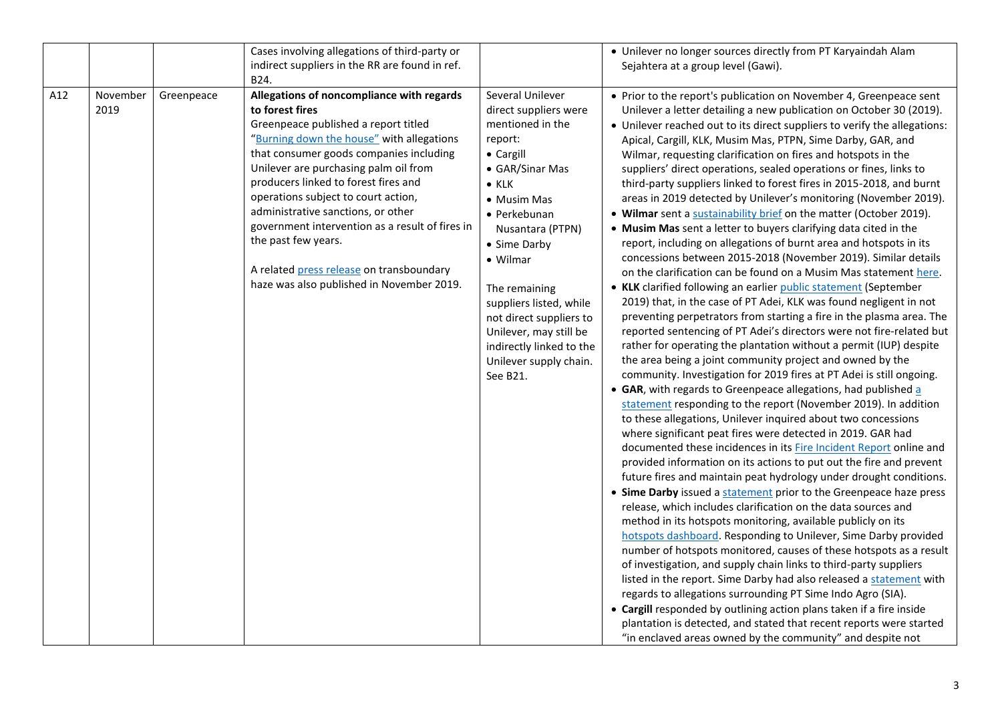|     |                  |            | Cases involving allegations of third-party or<br>indirect suppliers in the RR are found in ref.<br>B24.                                                                                                                                                                                                                                                                                                                                                                                                                       |                                                                                                                                                                                                                                                                                                                                                                             | • Unilever no longer sources directly from PT Karyaindah Alam<br>Sejahtera at a group level (Gawi).                                                                                                                                                                                                                                                                                                                                                                                                                                                                                                                                                                                                                                                                                                                                                                                                                                                                                                                                                                                                                                                                                                                                                                                                                                                                                                                                                                                                                                                                                                                                                                                                                                                                                                                                                                                                                                                                                                                                                                                                                                                                                                                                                                                                                                                                                                                                                                                                                                                                                                                                                                                                 |
|-----|------------------|------------|-------------------------------------------------------------------------------------------------------------------------------------------------------------------------------------------------------------------------------------------------------------------------------------------------------------------------------------------------------------------------------------------------------------------------------------------------------------------------------------------------------------------------------|-----------------------------------------------------------------------------------------------------------------------------------------------------------------------------------------------------------------------------------------------------------------------------------------------------------------------------------------------------------------------------|-----------------------------------------------------------------------------------------------------------------------------------------------------------------------------------------------------------------------------------------------------------------------------------------------------------------------------------------------------------------------------------------------------------------------------------------------------------------------------------------------------------------------------------------------------------------------------------------------------------------------------------------------------------------------------------------------------------------------------------------------------------------------------------------------------------------------------------------------------------------------------------------------------------------------------------------------------------------------------------------------------------------------------------------------------------------------------------------------------------------------------------------------------------------------------------------------------------------------------------------------------------------------------------------------------------------------------------------------------------------------------------------------------------------------------------------------------------------------------------------------------------------------------------------------------------------------------------------------------------------------------------------------------------------------------------------------------------------------------------------------------------------------------------------------------------------------------------------------------------------------------------------------------------------------------------------------------------------------------------------------------------------------------------------------------------------------------------------------------------------------------------------------------------------------------------------------------------------------------------------------------------------------------------------------------------------------------------------------------------------------------------------------------------------------------------------------------------------------------------------------------------------------------------------------------------------------------------------------------------------------------------------------------------------------------------------------------|
| A12 | November<br>2019 | Greenpeace | Allegations of noncompliance with regards<br>to forest fires<br>Greenpeace published a report titled<br>"Burning down the house" with allegations<br>that consumer goods companies including<br>Unilever are purchasing palm oil from<br>producers linked to forest fires and<br>operations subject to court action,<br>administrative sanctions, or other<br>government intervention as a result of fires in<br>the past few years.<br>A related press release on transboundary<br>haze was also published in November 2019. | Several Unilever<br>direct suppliers were<br>mentioned in the<br>report:<br>• Cargill<br>• GAR/Sinar Mas<br>$\bullet$ KLK<br>• Musim Mas<br>• Perkebunan<br>Nusantara (PTPN)<br>• Sime Darby<br>• Wilmar<br>The remaining<br>suppliers listed, while<br>not direct suppliers to<br>Unilever, may still be<br>indirectly linked to the<br>Unilever supply chain.<br>See B21. | • Prior to the report's publication on November 4, Greenpeace sent<br>Unilever a letter detailing a new publication on October 30 (2019).<br>• Unilever reached out to its direct suppliers to verify the allegations:<br>Apical, Cargill, KLK, Musim Mas, PTPN, Sime Darby, GAR, and<br>Wilmar, requesting clarification on fires and hotspots in the<br>suppliers' direct operations, sealed operations or fines, links to<br>third-party suppliers linked to forest fires in 2015-2018, and burnt<br>areas in 2019 detected by Unilever's monitoring (November 2019).<br>• Wilmar sent a sustainability brief on the matter (October 2019).<br>• Musim Mas sent a letter to buyers clarifying data cited in the<br>report, including on allegations of burnt area and hotspots in its<br>concessions between 2015-2018 (November 2019). Similar details<br>on the clarification can be found on a Musim Mas statement here.<br>• KLK clarified following an earlier public statement (September<br>2019) that, in the case of PT Adei, KLK was found negligent in not<br>preventing perpetrators from starting a fire in the plasma area. The<br>reported sentencing of PT Adei's directors were not fire-related but<br>rather for operating the plantation without a permit (IUP) despite<br>the area being a joint community project and owned by the<br>community. Investigation for 2019 fires at PT Adei is still ongoing.<br>• GAR, with regards to Greenpeace allegations, had published a<br>statement responding to the report (November 2019). In addition<br>to these allegations, Unilever inquired about two concessions<br>where significant peat fires were detected in 2019. GAR had<br>documented these incidences in its Fire Incident Report online and<br>provided information on its actions to put out the fire and prevent<br>future fires and maintain peat hydrology under drought conditions.<br>• Sime Darby issued a statement prior to the Greenpeace haze press<br>release, which includes clarification on the data sources and<br>method in its hotspots monitoring, available publicly on its<br>hotspots dashboard. Responding to Unilever, Sime Darby provided<br>number of hotspots monitored, causes of these hotspots as a result<br>of investigation, and supply chain links to third-party suppliers<br>listed in the report. Sime Darby had also released a statement with<br>regards to allegations surrounding PT Sime Indo Agro (SIA).<br>• Cargill responded by outlining action plans taken if a fire inside<br>plantation is detected, and stated that recent reports were started<br>"in enclaved areas owned by the community" and despite not |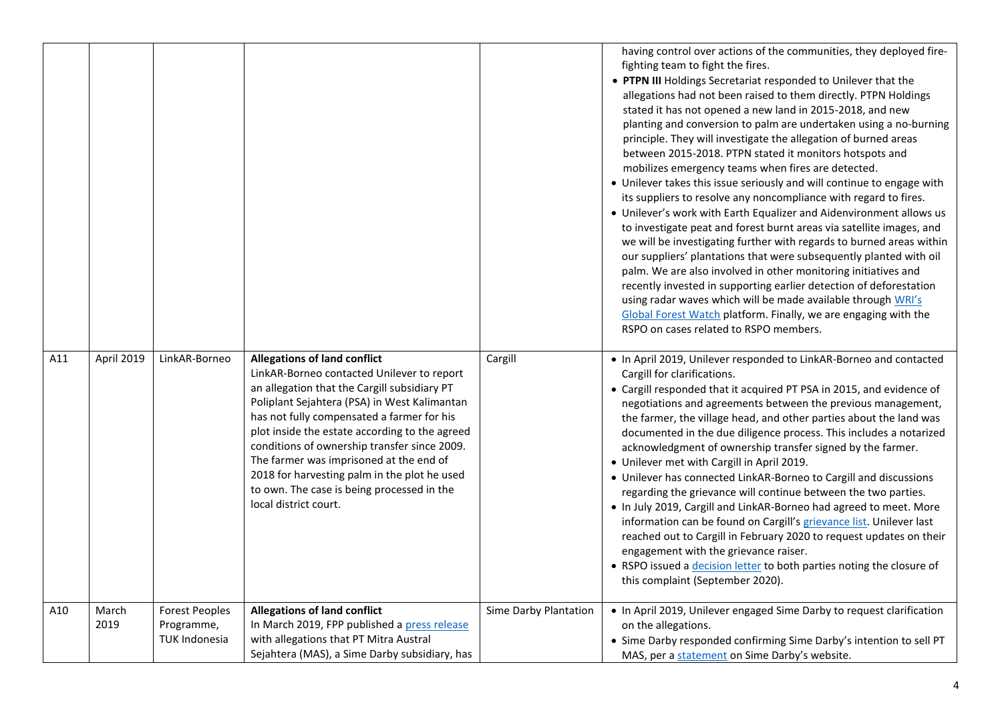|     |               |                                                             |                                                                                                                                                                                                                                                                                                                                                                                                                                                                                                     |                       | having control over actions of the communities, they deployed fire-<br>fighting team to fight the fires.<br>• PTPN III Holdings Secretariat responded to Unilever that the<br>allegations had not been raised to them directly. PTPN Holdings<br>stated it has not opened a new land in 2015-2018, and new<br>planting and conversion to palm are undertaken using a no-burning<br>principle. They will investigate the allegation of burned areas<br>between 2015-2018. PTPN stated it monitors hotspots and<br>mobilizes emergency teams when fires are detected.<br>• Unilever takes this issue seriously and will continue to engage with<br>its suppliers to resolve any noncompliance with regard to fires.<br>• Unilever's work with Earth Equalizer and Aidenvironment allows us<br>to investigate peat and forest burnt areas via satellite images, and<br>we will be investigating further with regards to burned areas within<br>our suppliers' plantations that were subsequently planted with oil<br>palm. We are also involved in other monitoring initiatives and<br>recently invested in supporting earlier detection of deforestation<br>using radar waves which will be made available through WRI's<br>Global Forest Watch platform. Finally, we are engaging with the<br>RSPO on cases related to RSPO members. |
|-----|---------------|-------------------------------------------------------------|-----------------------------------------------------------------------------------------------------------------------------------------------------------------------------------------------------------------------------------------------------------------------------------------------------------------------------------------------------------------------------------------------------------------------------------------------------------------------------------------------------|-----------------------|-------------------------------------------------------------------------------------------------------------------------------------------------------------------------------------------------------------------------------------------------------------------------------------------------------------------------------------------------------------------------------------------------------------------------------------------------------------------------------------------------------------------------------------------------------------------------------------------------------------------------------------------------------------------------------------------------------------------------------------------------------------------------------------------------------------------------------------------------------------------------------------------------------------------------------------------------------------------------------------------------------------------------------------------------------------------------------------------------------------------------------------------------------------------------------------------------------------------------------------------------------------------------------------------------------------------------------------|
| A11 | April 2019    | LinkAR-Borneo                                               | <b>Allegations of land conflict</b><br>LinkAR-Borneo contacted Unilever to report<br>an allegation that the Cargill subsidiary PT<br>Poliplant Sejahtera (PSA) in West Kalimantan<br>has not fully compensated a farmer for his<br>plot inside the estate according to the agreed<br>conditions of ownership transfer since 2009.<br>The farmer was imprisoned at the end of<br>2018 for harvesting palm in the plot he used<br>to own. The case is being processed in the<br>local district court. | Cargill               | . In April 2019, Unilever responded to LinkAR-Borneo and contacted<br>Cargill for clarifications.<br>• Cargill responded that it acquired PT PSA in 2015, and evidence of<br>negotiations and agreements between the previous management,<br>the farmer, the village head, and other parties about the land was<br>documented in the due diligence process. This includes a notarized<br>acknowledgment of ownership transfer signed by the farmer.<br>• Unilever met with Cargill in April 2019.<br>• Unilever has connected LinkAR-Borneo to Cargill and discussions<br>regarding the grievance will continue between the two parties.<br>. In July 2019, Cargill and LinkAR-Borneo had agreed to meet. More<br>information can be found on Cargill's grievance list. Unilever last<br>reached out to Cargill in February 2020 to request updates on their<br>engagement with the grievance raiser.<br>• RSPO issued a decision letter to both parties noting the closure of<br>this complaint (September 2020).                                                                                                                                                                                                                                                                                                                  |
| A10 | March<br>2019 | <b>Forest Peoples</b><br>Programme,<br><b>TUK Indonesia</b> | <b>Allegations of land conflict</b><br>In March 2019, FPP published a press release<br>with allegations that PT Mitra Austral<br>Sejahtera (MAS), a Sime Darby subsidiary, has                                                                                                                                                                                                                                                                                                                      | Sime Darby Plantation | . In April 2019, Unilever engaged Sime Darby to request clarification<br>on the allegations.<br>• Sime Darby responded confirming Sime Darby's intention to sell PT<br>MAS, per a statement on Sime Darby's website.                                                                                                                                                                                                                                                                                                                                                                                                                                                                                                                                                                                                                                                                                                                                                                                                                                                                                                                                                                                                                                                                                                                |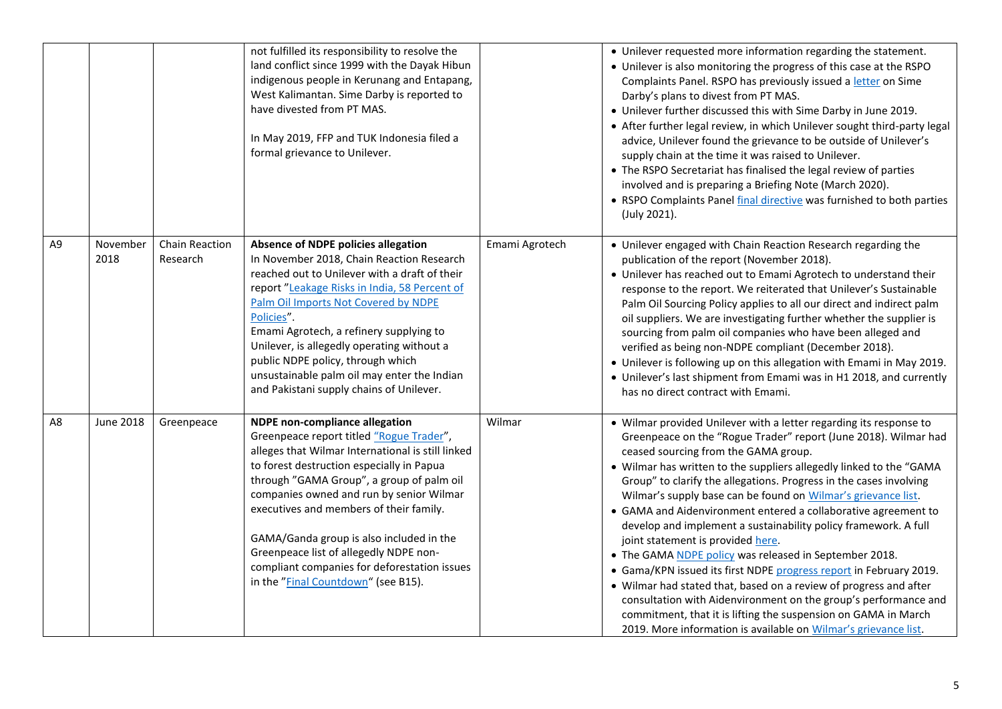|                |                  |                                   | not fulfilled its responsibility to resolve the<br>land conflict since 1999 with the Dayak Hibun<br>indigenous people in Kerunang and Entapang,<br>West Kalimantan. Sime Darby is reported to<br>have divested from PT MAS.<br>In May 2019, FFP and TUK Indonesia filed a<br>formal grievance to Unilever.                                                                                                                                                                                           |                | • Unilever requested more information regarding the statement.<br>• Unilever is also monitoring the progress of this case at the RSPO<br>Complaints Panel. RSPO has previously issued a letter on Sime<br>Darby's plans to divest from PT MAS.<br>• Unilever further discussed this with Sime Darby in June 2019.<br>• After further legal review, in which Unilever sought third-party legal<br>advice, Unilever found the grievance to be outside of Unilever's<br>supply chain at the time it was raised to Unilever.<br>• The RSPO Secretariat has finalised the legal review of parties<br>involved and is preparing a Briefing Note (March 2020).<br>• RSPO Complaints Panel final directive was furnished to both parties<br>(July 2021).                                                                                                                                                                                                                                   |
|----------------|------------------|-----------------------------------|------------------------------------------------------------------------------------------------------------------------------------------------------------------------------------------------------------------------------------------------------------------------------------------------------------------------------------------------------------------------------------------------------------------------------------------------------------------------------------------------------|----------------|------------------------------------------------------------------------------------------------------------------------------------------------------------------------------------------------------------------------------------------------------------------------------------------------------------------------------------------------------------------------------------------------------------------------------------------------------------------------------------------------------------------------------------------------------------------------------------------------------------------------------------------------------------------------------------------------------------------------------------------------------------------------------------------------------------------------------------------------------------------------------------------------------------------------------------------------------------------------------------|
| A <sub>9</sub> | November<br>2018 | <b>Chain Reaction</b><br>Research | Absence of NDPE policies allegation<br>In November 2018, Chain Reaction Research<br>reached out to Unilever with a draft of their<br>report "Leakage Risks in India, 58 Percent of<br>Palm Oil Imports Not Covered by NDPE<br>Policies".<br>Emami Agrotech, a refinery supplying to<br>Unilever, is allegedly operating without a<br>public NDPE policy, through which<br>unsustainable palm oil may enter the Indian<br>and Pakistani supply chains of Unilever.                                    | Emami Agrotech | • Unilever engaged with Chain Reaction Research regarding the<br>publication of the report (November 2018).<br>• Unilever has reached out to Emami Agrotech to understand their<br>response to the report. We reiterated that Unilever's Sustainable<br>Palm Oil Sourcing Policy applies to all our direct and indirect palm<br>oil suppliers. We are investigating further whether the supplier is<br>sourcing from palm oil companies who have been alleged and<br>verified as being non-NDPE compliant (December 2018).<br>• Unilever is following up on this allegation with Emami in May 2019.<br>• Unilever's last shipment from Emami was in H1 2018, and currently<br>has no direct contract with Emami.                                                                                                                                                                                                                                                                   |
| A8             | <b>June 2018</b> | Greenpeace                        | <b>NDPE</b> non-compliance allegation<br>Greenpeace report titled "Rogue Trader",<br>alleges that Wilmar International is still linked<br>to forest destruction especially in Papua<br>through "GAMA Group", a group of palm oil<br>companies owned and run by senior Wilmar<br>executives and members of their family.<br>GAMA/Ganda group is also included in the<br>Greenpeace list of allegedly NDPE non-<br>compliant companies for deforestation issues<br>in the "Final Countdown" (see B15). | Wilmar         | • Wilmar provided Unilever with a letter regarding its response to<br>Greenpeace on the "Rogue Trader" report (June 2018). Wilmar had<br>ceased sourcing from the GAMA group.<br>• Wilmar has written to the suppliers allegedly linked to the "GAMA<br>Group" to clarify the allegations. Progress in the cases involving<br>Wilmar's supply base can be found on Wilmar's grievance list.<br>• GAMA and Aidenvironment entered a collaborative agreement to<br>develop and implement a sustainability policy framework. A full<br>joint statement is provided here.<br>• The GAMA NDPE policy was released in September 2018.<br>• Gama/KPN issued its first NDPE progress report in February 2019.<br>• Wilmar had stated that, based on a review of progress and after<br>consultation with Aidenvironment on the group's performance and<br>commitment, that it is lifting the suspension on GAMA in March<br>2019. More information is available on Wilmar's grievance list. |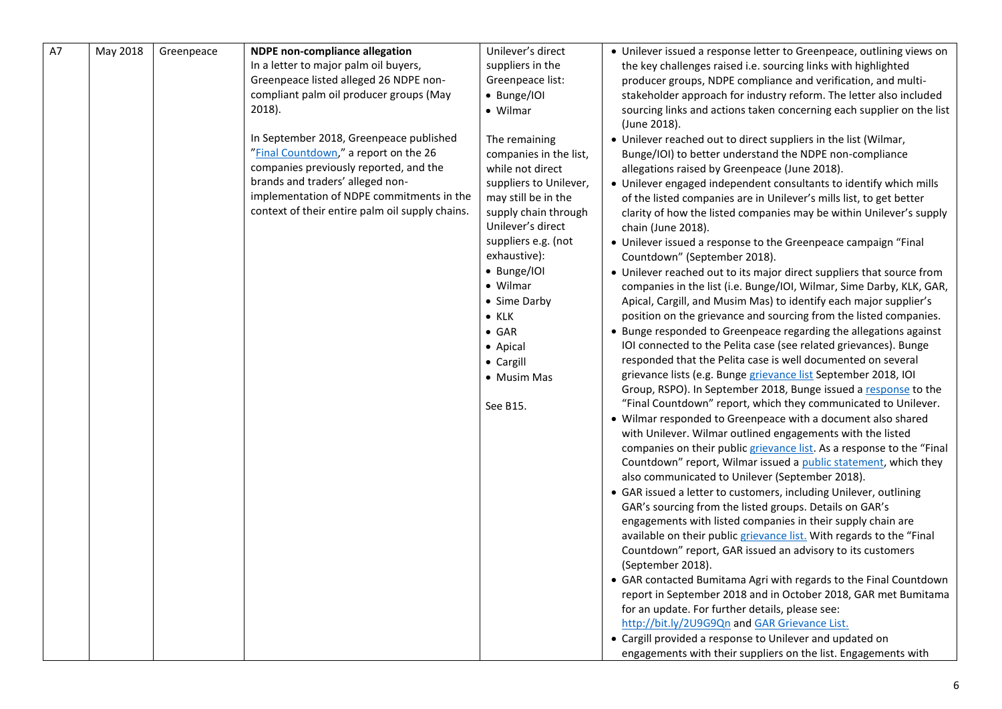| A7 | May 2018 | Greenpeace | <b>NDPE</b> non-compliance allegation                                                                                                                                                                                                                          | Unilever's direct                                                                                                                                                                                                                                                                                                                 | • Unilever issued a response letter to Greenpeace, outlining views on                                                                                                                                                                                                                                                                                                                                                                                                                                                                                                                                                                                                                                                                                                                                                                                                                                                                                                                                                                                                                                                                                                                                                                                                                                                                                                                                                                                                                                                                                                                                                                                                                                                                                                                                                                                                                                                                                                                                                                                                                                                                                                                                                                                                                              |
|----|----------|------------|----------------------------------------------------------------------------------------------------------------------------------------------------------------------------------------------------------------------------------------------------------------|-----------------------------------------------------------------------------------------------------------------------------------------------------------------------------------------------------------------------------------------------------------------------------------------------------------------------------------|----------------------------------------------------------------------------------------------------------------------------------------------------------------------------------------------------------------------------------------------------------------------------------------------------------------------------------------------------------------------------------------------------------------------------------------------------------------------------------------------------------------------------------------------------------------------------------------------------------------------------------------------------------------------------------------------------------------------------------------------------------------------------------------------------------------------------------------------------------------------------------------------------------------------------------------------------------------------------------------------------------------------------------------------------------------------------------------------------------------------------------------------------------------------------------------------------------------------------------------------------------------------------------------------------------------------------------------------------------------------------------------------------------------------------------------------------------------------------------------------------------------------------------------------------------------------------------------------------------------------------------------------------------------------------------------------------------------------------------------------------------------------------------------------------------------------------------------------------------------------------------------------------------------------------------------------------------------------------------------------------------------------------------------------------------------------------------------------------------------------------------------------------------------------------------------------------------------------------------------------------------------------------------------------------|
|    |          |            | In a letter to major palm oil buyers,<br>Greenpeace listed alleged 26 NDPE non-<br>compliant palm oil producer groups (May<br>2018).                                                                                                                           | suppliers in the<br>Greenpeace list:<br>• Bunge/IOI<br>• Wilmar                                                                                                                                                                                                                                                                   | the key challenges raised i.e. sourcing links with highlighted<br>producer groups, NDPE compliance and verification, and multi-<br>stakeholder approach for industry reform. The letter also included<br>sourcing links and actions taken concerning each supplier on the list<br>(June 2018).                                                                                                                                                                                                                                                                                                                                                                                                                                                                                                                                                                                                                                                                                                                                                                                                                                                                                                                                                                                                                                                                                                                                                                                                                                                                                                                                                                                                                                                                                                                                                                                                                                                                                                                                                                                                                                                                                                                                                                                                     |
|    |          |            | In September 2018, Greenpeace published<br>"Final Countdown," a report on the 26<br>companies previously reported, and the<br>brands and traders' alleged non-<br>implementation of NDPE commitments in the<br>context of their entire palm oil supply chains. | The remaining<br>companies in the list,<br>while not direct<br>suppliers to Unilever,<br>may still be in the<br>supply chain through<br>Unilever's direct<br>suppliers e.g. (not<br>exhaustive):<br>• Bunge/IOI<br>• Wilmar<br>• Sime Darby<br>$\bullet$ KLK<br>$\bullet$ GAR<br>• Apical<br>• Cargill<br>• Musim Mas<br>See B15. | • Unilever reached out to direct suppliers in the list (Wilmar,<br>Bunge/IOI) to better understand the NDPE non-compliance<br>allegations raised by Greenpeace (June 2018).<br>• Unilever engaged independent consultants to identify which mills<br>of the listed companies are in Unilever's mills list, to get better<br>clarity of how the listed companies may be within Unilever's supply<br>chain (June 2018).<br>• Unilever issued a response to the Greenpeace campaign "Final<br>Countdown" (September 2018).<br>• Unilever reached out to its major direct suppliers that source from<br>companies in the list (i.e. Bunge/IOI, Wilmar, Sime Darby, KLK, GAR,<br>Apical, Cargill, and Musim Mas) to identify each major supplier's<br>position on the grievance and sourcing from the listed companies.<br>• Bunge responded to Greenpeace regarding the allegations against<br>IOI connected to the Pelita case (see related grievances). Bunge<br>responded that the Pelita case is well documented on several<br>grievance lists (e.g. Bunge grievance list September 2018, IOI<br>Group, RSPO). In September 2018, Bunge issued a response to the<br>"Final Countdown" report, which they communicated to Unilever.<br>• Wilmar responded to Greenpeace with a document also shared<br>with Unilever. Wilmar outlined engagements with the listed<br>companies on their public grievance list. As a response to the "Final<br>Countdown" report, Wilmar issued a public statement, which they<br>also communicated to Unilever (September 2018).<br>• GAR issued a letter to customers, including Unilever, outlining<br>GAR's sourcing from the listed groups. Details on GAR's<br>engagements with listed companies in their supply chain are<br>available on their public grievance list. With regards to the "Final<br>Countdown" report, GAR issued an advisory to its customers<br>(September 2018).<br>• GAR contacted Bumitama Agri with regards to the Final Countdown<br>report in September 2018 and in October 2018, GAR met Bumitama<br>for an update. For further details, please see:<br>http://bit.ly/2U9G9Qn and GAR Grievance List.<br>• Cargill provided a response to Unilever and updated on<br>engagements with their suppliers on the list. Engagements with |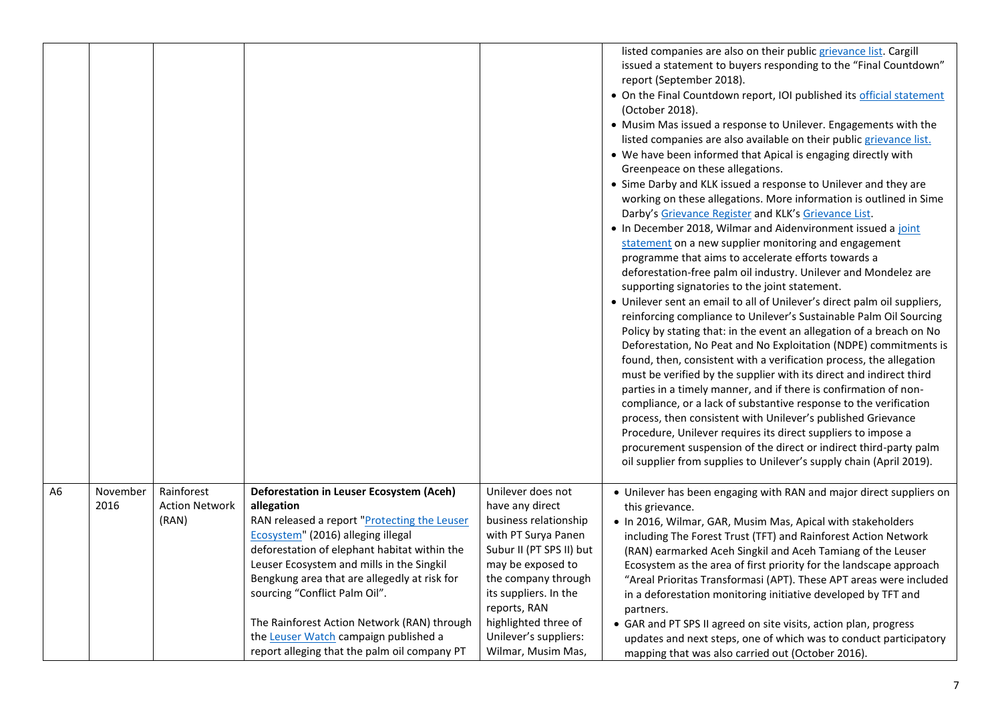|    |                  |                                              |                                                                                                                                                                                                                                                                                                                                                                                                                                                                    |                                                                                                                                                                                                                                                                              | listed companies are also on their public grievance list. Cargill<br>issued a statement to buyers responding to the "Final Countdown"<br>report (September 2018).<br>• On the Final Countdown report, IOI published its official statement<br>(October 2018).<br>• Musim Mas issued a response to Unilever. Engagements with the<br>listed companies are also available on their public grievance list.<br>• We have been informed that Apical is engaging directly with<br>Greenpeace on these allegations.<br>• Sime Darby and KLK issued a response to Unilever and they are<br>working on these allegations. More information is outlined in Sime<br>Darby's Grievance Register and KLK's Grievance List.<br>. In December 2018, Wilmar and Aidenvironment issued a joint<br>statement on a new supplier monitoring and engagement<br>programme that aims to accelerate efforts towards a<br>deforestation-free palm oil industry. Unilever and Mondelez are<br>supporting signatories to the joint statement.<br>• Unilever sent an email to all of Unilever's direct palm oil suppliers,<br>reinforcing compliance to Unilever's Sustainable Palm Oil Sourcing<br>Policy by stating that: in the event an allegation of a breach on No<br>Deforestation, No Peat and No Exploitation (NDPE) commitments is<br>found, then, consistent with a verification process, the allegation<br>must be verified by the supplier with its direct and indirect third<br>parties in a timely manner, and if there is confirmation of non-<br>compliance, or a lack of substantive response to the verification<br>process, then consistent with Unilever's published Grievance<br>Procedure, Unilever requires its direct suppliers to impose a<br>procurement suspension of the direct or indirect third-party palm<br>oil supplier from supplies to Unilever's supply chain (April 2019). |
|----|------------------|----------------------------------------------|--------------------------------------------------------------------------------------------------------------------------------------------------------------------------------------------------------------------------------------------------------------------------------------------------------------------------------------------------------------------------------------------------------------------------------------------------------------------|------------------------------------------------------------------------------------------------------------------------------------------------------------------------------------------------------------------------------------------------------------------------------|--------------------------------------------------------------------------------------------------------------------------------------------------------------------------------------------------------------------------------------------------------------------------------------------------------------------------------------------------------------------------------------------------------------------------------------------------------------------------------------------------------------------------------------------------------------------------------------------------------------------------------------------------------------------------------------------------------------------------------------------------------------------------------------------------------------------------------------------------------------------------------------------------------------------------------------------------------------------------------------------------------------------------------------------------------------------------------------------------------------------------------------------------------------------------------------------------------------------------------------------------------------------------------------------------------------------------------------------------------------------------------------------------------------------------------------------------------------------------------------------------------------------------------------------------------------------------------------------------------------------------------------------------------------------------------------------------------------------------------------------------------------------------------------------------------------------------------------------------------------------------------------|
| A6 | November<br>2016 | Rainforest<br><b>Action Network</b><br>(RAN) | Deforestation in Leuser Ecosystem (Aceh)<br>allegation<br>RAN released a report "Protecting the Leuser<br>Ecosystem" (2016) alleging illegal<br>deforestation of elephant habitat within the<br>Leuser Ecosystem and mills in the Singkil<br>Bengkung area that are allegedly at risk for<br>sourcing "Conflict Palm Oil".<br>The Rainforest Action Network (RAN) through<br>the Leuser Watch campaign published a<br>report alleging that the palm oil company PT | Unilever does not<br>have any direct<br>business relationship<br>with PT Surya Panen<br>Subur II (PT SPS II) but<br>may be exposed to<br>the company through<br>its suppliers. In the<br>reports, RAN<br>highlighted three of<br>Unilever's suppliers:<br>Wilmar, Musim Mas, | • Unilever has been engaging with RAN and major direct suppliers on<br>this grievance.<br>. In 2016, Wilmar, GAR, Musim Mas, Apical with stakeholders<br>including The Forest Trust (TFT) and Rainforest Action Network<br>(RAN) earmarked Aceh Singkil and Aceh Tamiang of the Leuser<br>Ecosystem as the area of first priority for the landscape approach<br>"Areal Prioritas Transformasi (APT). These APT areas were included<br>in a deforestation monitoring initiative developed by TFT and<br>partners.<br>• GAR and PT SPS II agreed on site visits, action plan, progress<br>updates and next steps, one of which was to conduct participatory<br>mapping that was also carried out (October 2016).                                                                                                                                                                                                                                                                                                                                                                                                                                                                                                                                                                                                                                                                                                                                                                                                                                                                                                                                                                                                                                                                                                                                                                       |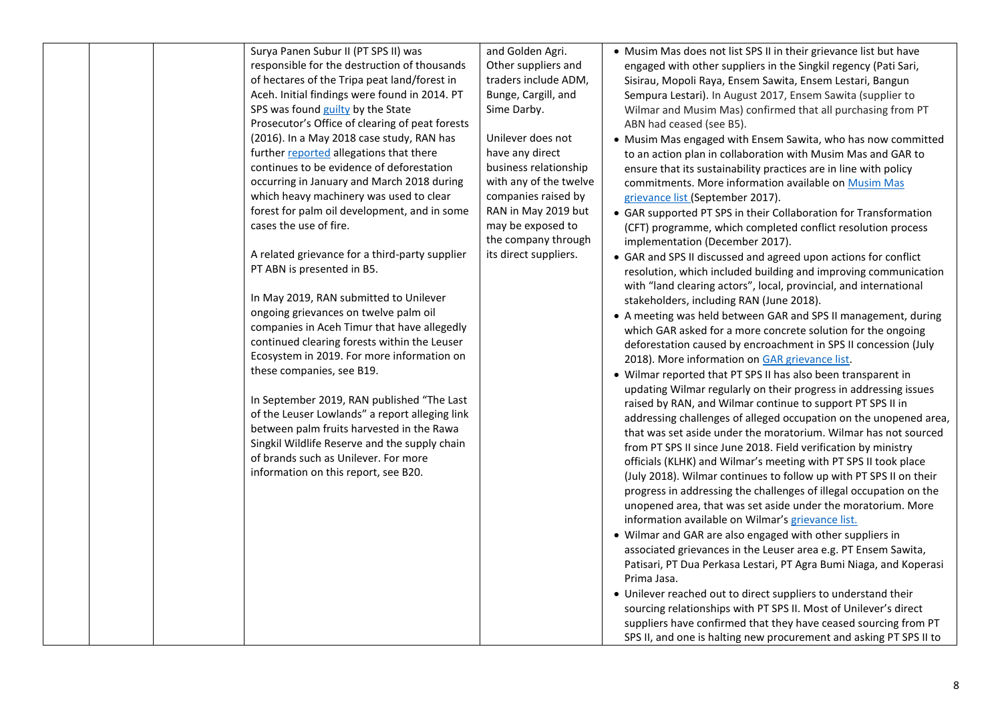| Surya Panen Subur II (PT SPS II) was<br>responsible for the destruction of thousands<br>of hectares of the Tripa peat land/forest in<br>Aceh. Initial findings were found in 2014. PT<br>SPS was found guilty by the State<br>Prosecutor's Office of clearing of peat forests<br>(2016). In a May 2018 case study, RAN has<br>further reported allegations that there<br>continues to be evidence of deforestation<br>occurring in January and March 2018 during<br>which heavy machinery was used to clear<br>forest for palm oil development, and in some<br>cases the use of fire.<br>A related grievance for a third-party supplier<br>PT ABN is presented in B5.<br>In May 2019, RAN submitted to Unilever<br>ongoing grievances on twelve palm oil<br>companies in Aceh Timur that have allegedly<br>continued clearing forests within the Leuser<br>Ecosystem in 2019. For more information on<br>these companies, see B19.<br>In September 2019, RAN published "The Last<br>of the Leuser Lowlands" a report alleging link<br>between palm fruits harvested in the Rawa<br>Singkil Wildlife Reserve and the supply chain<br>of brands such as Unilever. For more<br>information on this report, see B20. | and Golden Agri.<br>Other suppliers and<br>traders include ADM,<br>Bunge, Cargill, and<br>Sime Darby.<br>Unilever does not<br>have any direct<br>business relationship<br>with any of the twelve<br>companies raised by<br>RAN in May 2019 but<br>may be exposed to<br>the company through<br>its direct suppliers. | • Musim Mas does not list SPS II in their grievance list but have<br>engaged with other suppliers in the Singkil regency (Pati Sari,<br>Sisirau, Mopoli Raya, Ensem Sawita, Ensem Lestari, Bangun<br>Sempura Lestari). In August 2017, Ensem Sawita (supplier to<br>Wilmar and Musim Mas) confirmed that all purchasing from PT<br>ABN had ceased (see B5).<br>• Musim Mas engaged with Ensem Sawita, who has now committed<br>to an action plan in collaboration with Musim Mas and GAR to<br>ensure that its sustainability practices are in line with policy<br>commitments. More information available on Musim Mas<br>grievance list (September 2017).<br>• GAR supported PT SPS in their Collaboration for Transformation<br>(CFT) programme, which completed conflict resolution process<br>implementation (December 2017).<br>• GAR and SPS II discussed and agreed upon actions for conflict<br>resolution, which included building and improving communication<br>with "land clearing actors", local, provincial, and international<br>stakeholders, including RAN (June 2018).<br>• A meeting was held between GAR and SPS II management, during<br>which GAR asked for a more concrete solution for the ongoing<br>deforestation caused by encroachment in SPS II concession (July<br>2018). More information on GAR grievance list.<br>• Wilmar reported that PT SPS II has also been transparent in<br>updating Wilmar regularly on their progress in addressing issues<br>raised by RAN, and Wilmar continue to support PT SPS II in<br>addressing challenges of alleged occupation on the unopened area,<br>that was set aside under the moratorium. Wilmar has not sourced<br>from PT SPS II since June 2018. Field verification by ministry<br>officials (KLHK) and Wilmar's meeting with PT SPS II took place<br>(July 2018). Wilmar continues to follow up with PT SPS II on their<br>progress in addressing the challenges of illegal occupation on the<br>unopened area, that was set aside under the moratorium. More<br>information available on Wilmar's grievance list.<br>• Wilmar and GAR are also engaged with other suppliers in<br>associated grievances in the Leuser area e.g. PT Ensem Sawita,<br>Patisari, PT Dua Perkasa Lestari, PT Agra Bumi Niaga, and Koperasi<br>Prima Jasa.<br>• Unilever reached out to direct suppliers to understand their<br>sourcing relationships with PT SPS II. Most of Unilever's direct<br>suppliers have confirmed that they have ceased sourcing from PT<br>SPS II, and one is halting new procurement and asking PT SPS II to |
|------------------------------------------------------------------------------------------------------------------------------------------------------------------------------------------------------------------------------------------------------------------------------------------------------------------------------------------------------------------------------------------------------------------------------------------------------------------------------------------------------------------------------------------------------------------------------------------------------------------------------------------------------------------------------------------------------------------------------------------------------------------------------------------------------------------------------------------------------------------------------------------------------------------------------------------------------------------------------------------------------------------------------------------------------------------------------------------------------------------------------------------------------------------------------------------------------------------|---------------------------------------------------------------------------------------------------------------------------------------------------------------------------------------------------------------------------------------------------------------------------------------------------------------------|------------------------------------------------------------------------------------------------------------------------------------------------------------------------------------------------------------------------------------------------------------------------------------------------------------------------------------------------------------------------------------------------------------------------------------------------------------------------------------------------------------------------------------------------------------------------------------------------------------------------------------------------------------------------------------------------------------------------------------------------------------------------------------------------------------------------------------------------------------------------------------------------------------------------------------------------------------------------------------------------------------------------------------------------------------------------------------------------------------------------------------------------------------------------------------------------------------------------------------------------------------------------------------------------------------------------------------------------------------------------------------------------------------------------------------------------------------------------------------------------------------------------------------------------------------------------------------------------------------------------------------------------------------------------------------------------------------------------------------------------------------------------------------------------------------------------------------------------------------------------------------------------------------------------------------------------------------------------------------------------------------------------------------------------------------------------------------------------------------------------------------------------------------------------------------------------------------------------------------------------------------------------------------------------------------------------------------------------------------------------------------------------------------------------------------------------------------------------------------------------------------------------------------------------------------------------------------------------------|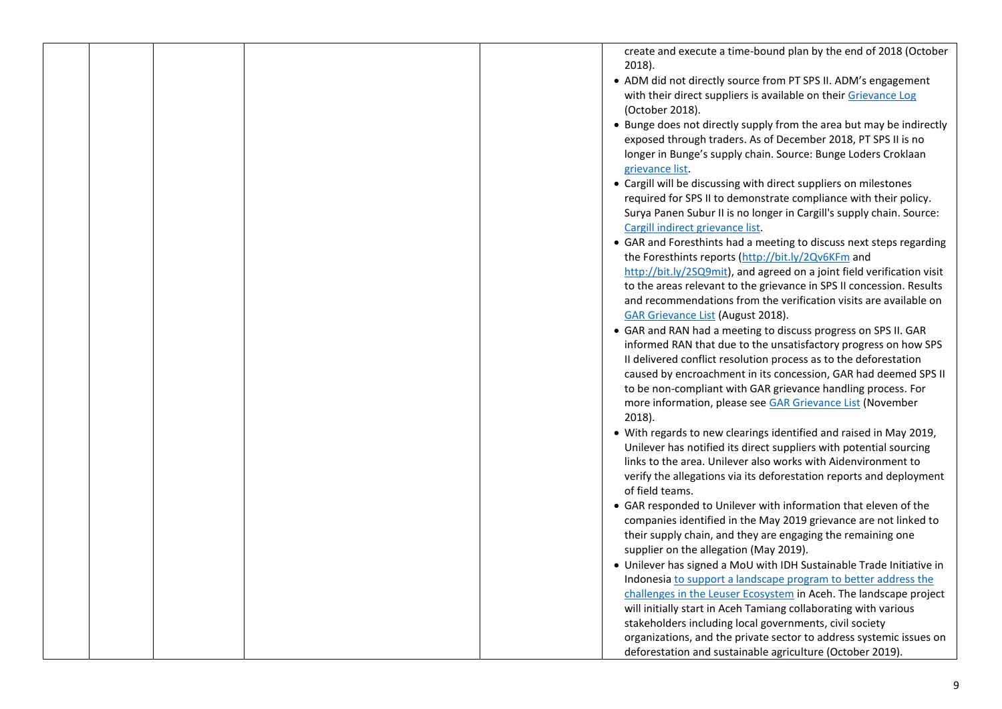|  |  | create and execute a time-bound plan by the end of 2018 (October       |
|--|--|------------------------------------------------------------------------|
|  |  | 2018).                                                                 |
|  |  | • ADM did not directly source from PT SPS II. ADM's engagement         |
|  |  | with their direct suppliers is available on their Grievance Log        |
|  |  | (October 2018).                                                        |
|  |  | • Bunge does not directly supply from the area but may be indirectly   |
|  |  | exposed through traders. As of December 2018, PT SPS II is no          |
|  |  | longer in Bunge's supply chain. Source: Bunge Loders Croklaan          |
|  |  | grievance list.                                                        |
|  |  | • Cargill will be discussing with direct suppliers on milestones       |
|  |  | required for SPS II to demonstrate compliance with their policy.       |
|  |  | Surya Panen Subur II is no longer in Cargill's supply chain. Source:   |
|  |  | Cargill indirect grievance list.                                       |
|  |  | • GAR and Foresthints had a meeting to discuss next steps regarding    |
|  |  | the Foresthints reports (http://bit.ly/2Qv6KFm and                     |
|  |  | http://bit.ly/2SQ9mit), and agreed on a joint field verification visit |
|  |  | to the areas relevant to the grievance in SPS II concession. Results   |
|  |  | and recommendations from the verification visits are available on      |
|  |  | <b>GAR Grievance List (August 2018).</b>                               |
|  |  | • GAR and RAN had a meeting to discuss progress on SPS II. GAR         |
|  |  | informed RAN that due to the unsatisfactory progress on how SPS        |
|  |  | II delivered conflict resolution process as to the deforestation       |
|  |  | caused by encroachment in its concession, GAR had deemed SPS II        |
|  |  | to be non-compliant with GAR grievance handling process. For           |
|  |  | more information, please see GAR Grievance List (November              |
|  |  | 2018).                                                                 |
|  |  | • With regards to new clearings identified and raised in May 2019,     |
|  |  | Unilever has notified its direct suppliers with potential sourcing     |
|  |  | links to the area. Unilever also works with Aidenvironment to          |
|  |  | verify the allegations via its deforestation reports and deployment    |
|  |  | of field teams.                                                        |
|  |  | • GAR responded to Unilever with information that eleven of the        |
|  |  | companies identified in the May 2019 grievance are not linked to       |
|  |  | their supply chain, and they are engaging the remaining one            |
|  |  | supplier on the allegation (May 2019).                                 |
|  |  | • Unilever has signed a MoU with IDH Sustainable Trade Initiative in   |
|  |  | Indonesia to support a landscape program to better address the         |
|  |  | challenges in the Leuser Ecosystem in Aceh. The landscape project      |
|  |  | will initially start in Aceh Tamiang collaborating with various        |
|  |  | stakeholders including local governments, civil society                |
|  |  | organizations, and the private sector to address systemic issues on    |
|  |  | deforestation and sustainable agriculture (October 2019).              |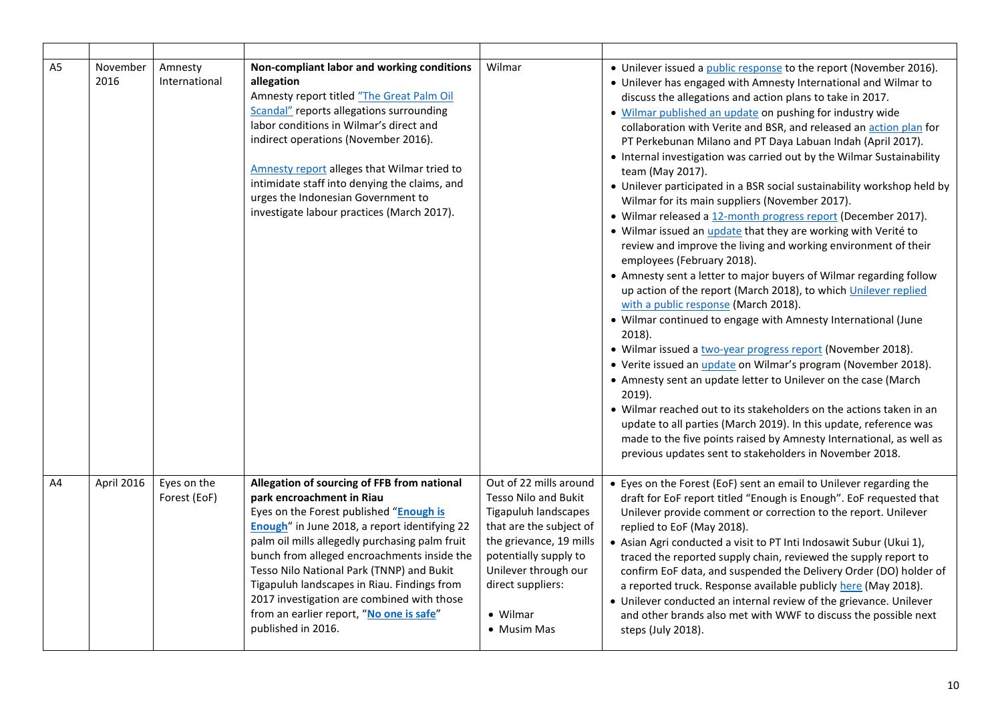| A5 | November<br>2016 | Amnesty<br>International    | Non-compliant labor and working conditions<br>allegation<br>Amnesty report titled "The Great Palm Oil<br>Scandal" reports allegations surrounding<br>labor conditions in Wilmar's direct and<br>indirect operations (November 2016).<br>Amnesty report alleges that Wilmar tried to<br>intimidate staff into denying the claims, and<br>urges the Indonesian Government to<br>investigate labour practices (March 2017).                                                          | Wilmar                                                                                                                                                                                                                        | • Unilever issued a <i>public response</i> to the report (November 2016).<br>• Unilever has engaged with Amnesty International and Wilmar to<br>discuss the allegations and action plans to take in 2017.<br>. Wilmar published an update on pushing for industry wide<br>collaboration with Verite and BSR, and released an action plan for<br>PT Perkebunan Milano and PT Daya Labuan Indah (April 2017).<br>• Internal investigation was carried out by the Wilmar Sustainability<br>team (May 2017).<br>• Unilever participated in a BSR social sustainability workshop held by<br>Wilmar for its main suppliers (November 2017).<br>• Wilmar released a 12-month progress report (December 2017).<br>• Wilmar issued an update that they are working with Verité to<br>review and improve the living and working environment of their<br>employees (February 2018).<br>• Amnesty sent a letter to major buyers of Wilmar regarding follow<br>up action of the report (March 2018), to which Unilever replied<br>with a public response (March 2018).<br>• Wilmar continued to engage with Amnesty International (June<br>2018).<br>• Wilmar issued a two-year progress report (November 2018).<br>• Verite issued an <i>update</i> on Wilmar's program (November 2018).<br>• Amnesty sent an update letter to Unilever on the case (March<br>$2019$ ).<br>• Wilmar reached out to its stakeholders on the actions taken in an<br>update to all parties (March 2019). In this update, reference was<br>made to the five points raised by Amnesty International, as well as<br>previous updates sent to stakeholders in November 2018. |
|----|------------------|-----------------------------|-----------------------------------------------------------------------------------------------------------------------------------------------------------------------------------------------------------------------------------------------------------------------------------------------------------------------------------------------------------------------------------------------------------------------------------------------------------------------------------|-------------------------------------------------------------------------------------------------------------------------------------------------------------------------------------------------------------------------------|-------------------------------------------------------------------------------------------------------------------------------------------------------------------------------------------------------------------------------------------------------------------------------------------------------------------------------------------------------------------------------------------------------------------------------------------------------------------------------------------------------------------------------------------------------------------------------------------------------------------------------------------------------------------------------------------------------------------------------------------------------------------------------------------------------------------------------------------------------------------------------------------------------------------------------------------------------------------------------------------------------------------------------------------------------------------------------------------------------------------------------------------------------------------------------------------------------------------------------------------------------------------------------------------------------------------------------------------------------------------------------------------------------------------------------------------------------------------------------------------------------------------------------------------------------------------------------------------------------------------------------------------|
| A4 | April 2016       | Eyes on the<br>Forest (EoF) | Allegation of sourcing of FFB from national<br>park encroachment in Riau<br>Eyes on the Forest published "Enough is<br>Enough" in June 2018, a report identifying 22<br>palm oil mills allegedly purchasing palm fruit<br>bunch from alleged encroachments inside the<br>Tesso Nilo National Park (TNNP) and Bukit<br>Tigapuluh landscapes in Riau. Findings from<br>2017 investigation are combined with those<br>from an earlier report, "No one is safe"<br>published in 2016. | Out of 22 mills around<br>Tesso Nilo and Bukit<br>Tigapuluh landscapes<br>that are the subject of<br>the grievance, 19 mills<br>potentially supply to<br>Unilever through our<br>direct suppliers:<br>• Wilmar<br>• Musim Mas | • Eyes on the Forest (EoF) sent an email to Unilever regarding the<br>draft for EoF report titled "Enough is Enough". EoF requested that<br>Unilever provide comment or correction to the report. Unilever<br>replied to EoF (May 2018).<br>• Asian Agri conducted a visit to PT Inti Indosawit Subur (Ukui 1),<br>traced the reported supply chain, reviewed the supply report to<br>confirm EoF data, and suspended the Delivery Order (DO) holder of<br>a reported truck. Response available publicly here (May 2018).<br>• Unilever conducted an internal review of the grievance. Unilever<br>and other brands also met with WWF to discuss the possible next<br>steps (July 2018).                                                                                                                                                                                                                                                                                                                                                                                                                                                                                                                                                                                                                                                                                                                                                                                                                                                                                                                                                  |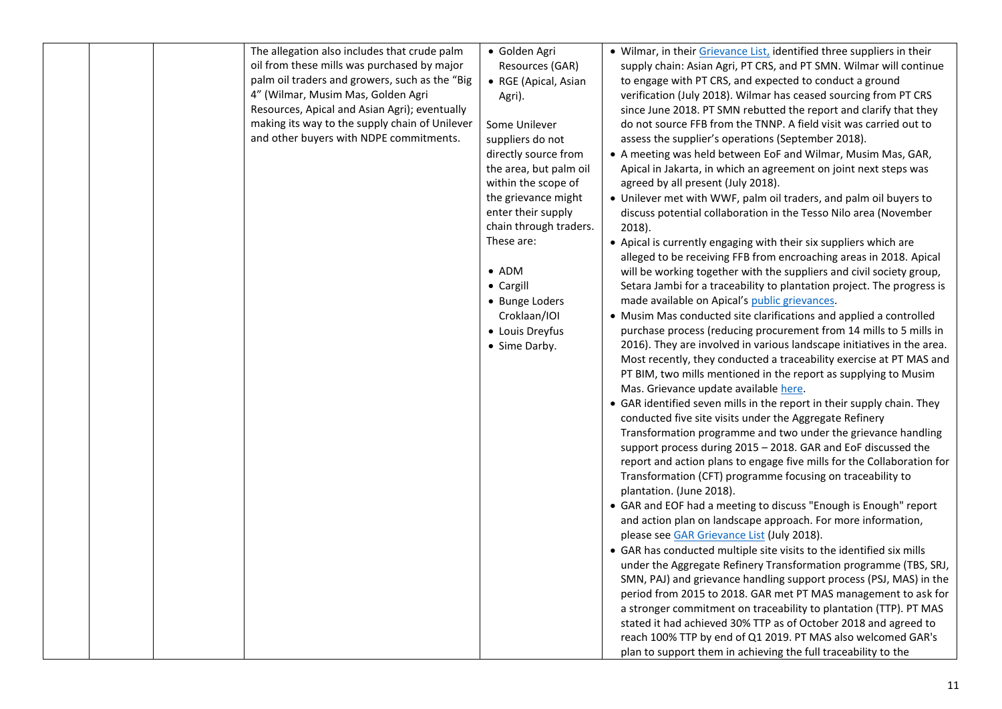| The allegation also includes that crude palm<br>oil from these mills was purchased by major<br>palm oil traders and growers, such as the "Big<br>4" (Wilmar, Musim Mas, Golden Agri<br>Resources, Apical and Asian Agri); eventually<br>making its way to the supply chain of Unilever<br>and other buyers with NDPE commitments. | · Golden Agri<br>Resources (GAR)<br>• RGE (Apical, Asian<br>Agri).<br>Some Unilever<br>suppliers do not<br>directly source from<br>the area, but palm oil<br>within the scope of<br>the grievance might<br>enter their supply<br>chain through traders.<br>These are:<br>$\bullet$ ADM<br>• Cargill<br>• Bunge Loders<br>Croklaan/IOI<br>• Louis Dreyfus<br>• Sime Darby. | . Wilmar, in their Grievance List, identified three suppliers in their<br>supply chain: Asian Agri, PT CRS, and PT SMN. Wilmar will continue<br>to engage with PT CRS, and expected to conduct a ground<br>verification (July 2018). Wilmar has ceased sourcing from PT CRS<br>since June 2018. PT SMN rebutted the report and clarify that they<br>do not source FFB from the TNNP. A field visit was carried out to<br>assess the supplier's operations (September 2018).<br>• A meeting was held between EoF and Wilmar, Musim Mas, GAR,<br>Apical in Jakarta, in which an agreement on joint next steps was<br>agreed by all present (July 2018).<br>• Unilever met with WWF, palm oil traders, and palm oil buyers to<br>discuss potential collaboration in the Tesso Nilo area (November<br>2018).<br>• Apical is currently engaging with their six suppliers which are<br>alleged to be receiving FFB from encroaching areas in 2018. Apical<br>will be working together with the suppliers and civil society group,<br>Setara Jambi for a traceability to plantation project. The progress is<br>made available on Apical's public grievances.<br>• Musim Mas conducted site clarifications and applied a controlled<br>purchase process (reducing procurement from 14 mills to 5 mills in<br>2016). They are involved in various landscape initiatives in the area.<br>Most recently, they conducted a traceability exercise at PT MAS and<br>PT BIM, two mills mentioned in the report as supplying to Musim<br>Mas. Grievance update available here.<br>• GAR identified seven mills in the report in their supply chain. They<br>conducted five site visits under the Aggregate Refinery<br>Transformation programme and two under the grievance handling<br>support process during 2015 - 2018. GAR and EoF discussed the<br>report and action plans to engage five mills for the Collaboration for<br>Transformation (CFT) programme focusing on traceability to<br>plantation. (June 2018).<br>• GAR and EOF had a meeting to discuss "Enough is Enough" report<br>and action plan on landscape approach. For more information,<br>please see GAR Grievance List (July 2018).<br>• GAR has conducted multiple site visits to the identified six mills<br>under the Aggregate Refinery Transformation programme (TBS, SRJ,<br>SMN, PAJ) and grievance handling support process (PSJ, MAS) in the<br>period from 2015 to 2018. GAR met PT MAS management to ask for<br>a stronger commitment on traceability to plantation (TTP). PT MAS<br>stated it had achieved 30% TTP as of October 2018 and agreed to<br>reach 100% TTP by end of Q1 2019. PT MAS also welcomed GAR's<br>plan to support them in achieving the full traceability to the |
|-----------------------------------------------------------------------------------------------------------------------------------------------------------------------------------------------------------------------------------------------------------------------------------------------------------------------------------|---------------------------------------------------------------------------------------------------------------------------------------------------------------------------------------------------------------------------------------------------------------------------------------------------------------------------------------------------------------------------|------------------------------------------------------------------------------------------------------------------------------------------------------------------------------------------------------------------------------------------------------------------------------------------------------------------------------------------------------------------------------------------------------------------------------------------------------------------------------------------------------------------------------------------------------------------------------------------------------------------------------------------------------------------------------------------------------------------------------------------------------------------------------------------------------------------------------------------------------------------------------------------------------------------------------------------------------------------------------------------------------------------------------------------------------------------------------------------------------------------------------------------------------------------------------------------------------------------------------------------------------------------------------------------------------------------------------------------------------------------------------------------------------------------------------------------------------------------------------------------------------------------------------------------------------------------------------------------------------------------------------------------------------------------------------------------------------------------------------------------------------------------------------------------------------------------------------------------------------------------------------------------------------------------------------------------------------------------------------------------------------------------------------------------------------------------------------------------------------------------------------------------------------------------------------------------------------------------------------------------------------------------------------------------------------------------------------------------------------------------------------------------------------------------------------------------------------------------------------------------------------------------------------------------------------------------------------------------------------------------------------------------------------------------------------------------------------------------------------------------------------------|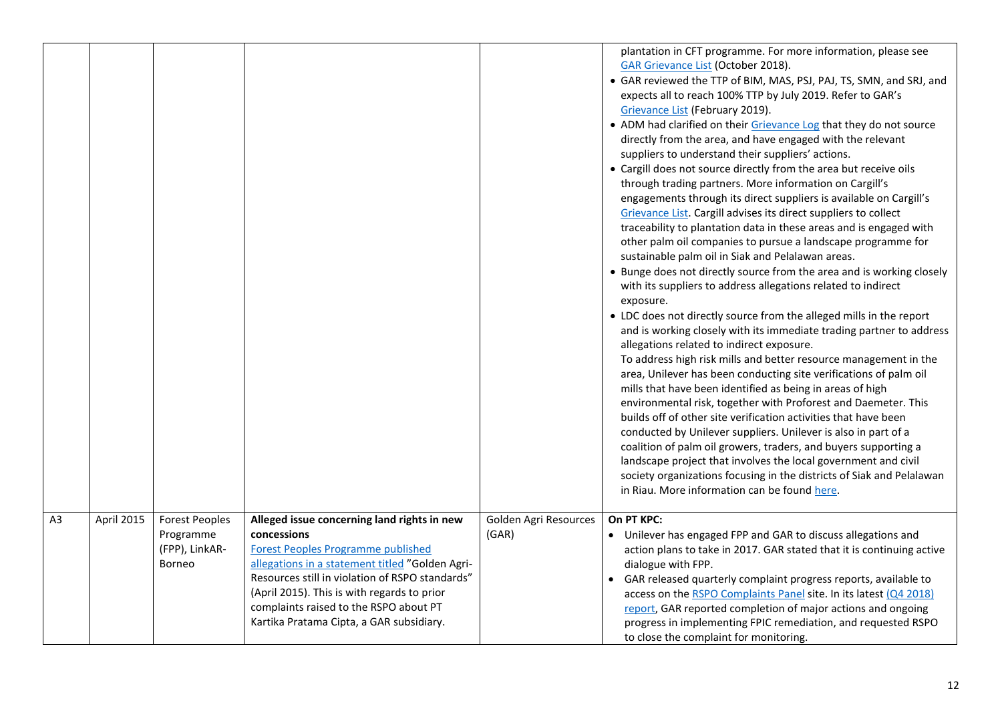| <b>GAR Grievance List (October 2018).</b><br>• GAR reviewed the TTP of BIM, MAS, PSJ, PAJ, TS, SMN, and SRJ, and<br>expects all to reach 100% TTP by July 2019. Refer to GAR's |  |
|--------------------------------------------------------------------------------------------------------------------------------------------------------------------------------|--|
|                                                                                                                                                                                |  |
|                                                                                                                                                                                |  |
|                                                                                                                                                                                |  |
| Grievance List (February 2019).<br>• ADM had clarified on their Grievance Log that they do not source                                                                          |  |
| directly from the area, and have engaged with the relevant                                                                                                                     |  |
| suppliers to understand their suppliers' actions.                                                                                                                              |  |
| • Cargill does not source directly from the area but receive oils                                                                                                              |  |
| through trading partners. More information on Cargill's                                                                                                                        |  |
| engagements through its direct suppliers is available on Cargill's                                                                                                             |  |
| Grievance List. Cargill advises its direct suppliers to collect                                                                                                                |  |
| traceability to plantation data in these areas and is engaged with                                                                                                             |  |
| other palm oil companies to pursue a landscape programme for<br>sustainable palm oil in Siak and Pelalawan areas.                                                              |  |
| • Bunge does not directly source from the area and is working closely                                                                                                          |  |
| with its suppliers to address allegations related to indirect<br>exposure.                                                                                                     |  |
| • LDC does not directly source from the alleged mills in the report                                                                                                            |  |
| and is working closely with its immediate trading partner to address                                                                                                           |  |
| allegations related to indirect exposure.                                                                                                                                      |  |
| To address high risk mills and better resource management in the                                                                                                               |  |
| area, Unilever has been conducting site verifications of palm oil                                                                                                              |  |
| mills that have been identified as being in areas of high                                                                                                                      |  |
| environmental risk, together with Proforest and Daemeter. This                                                                                                                 |  |
| builds off of other site verification activities that have been<br>conducted by Unilever suppliers. Unilever is also in part of a                                              |  |
| coalition of palm oil growers, traders, and buyers supporting a                                                                                                                |  |
| landscape project that involves the local government and civil                                                                                                                 |  |
| society organizations focusing in the districts of Siak and Pelalawan                                                                                                          |  |
| in Riau. More information can be found here.                                                                                                                                   |  |
|                                                                                                                                                                                |  |
| A <sub>3</sub><br>April 2015<br><b>Forest Peoples</b><br>Alleged issue concerning land rights in new<br>Golden Agri Resources<br>On PT KPC:                                    |  |
| Programme<br>concessions<br>(GAR)<br>• Unilever has engaged FPP and GAR to discuss allegations and                                                                             |  |
| (FPP), LinkAR-<br><b>Forest Peoples Programme published</b><br>action plans to take in 2017. GAR stated that it is continuing active                                           |  |
| allegations in a statement titled "Golden Agri-<br>Borneo<br>dialogue with FPP.                                                                                                |  |
| Resources still in violation of RSPO standards"<br>GAR released quarterly complaint progress reports, available to                                                             |  |
| (April 2015). This is with regards to prior<br>access on the RSPO Complaints Panel site. In its latest (Q4 2018)<br>complaints raised to the RSPO about PT                     |  |
| report, GAR reported completion of major actions and ongoing<br>Kartika Pratama Cipta, a GAR subsidiary.<br>progress in implementing FPIC remediation, and requested RSPO      |  |
| to close the complaint for monitoring.                                                                                                                                         |  |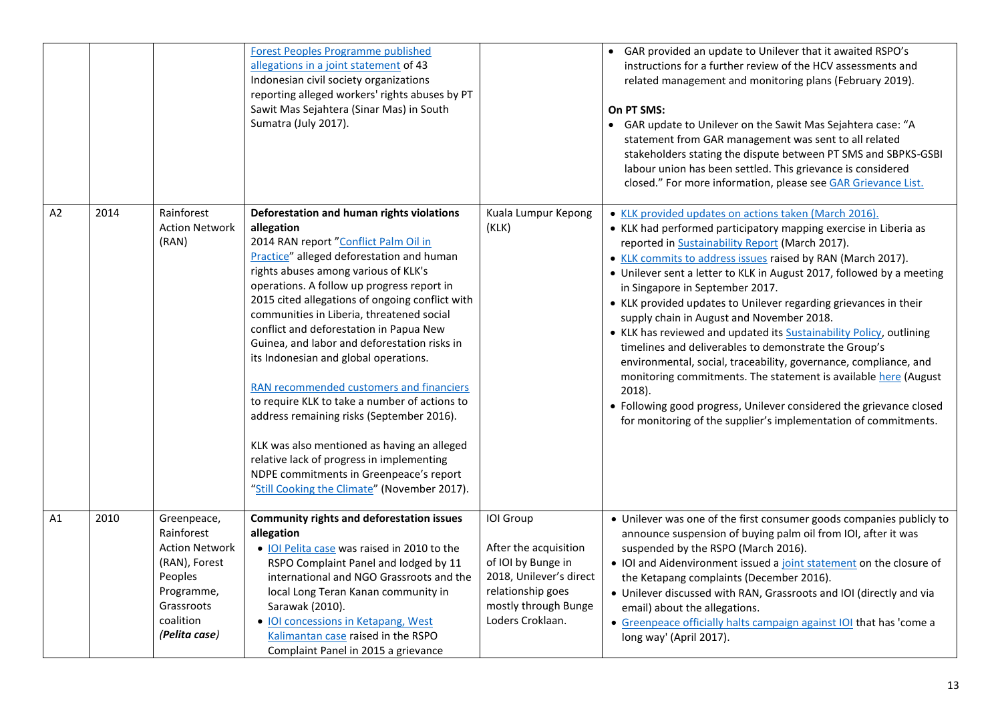|    |      |                                                                                                                                          | <b>Forest Peoples Programme published</b><br>allegations in a joint statement of 43<br>Indonesian civil society organizations<br>reporting alleged workers' rights abuses by PT<br>Sawit Mas Sejahtera (Sinar Mas) in South<br>Sumatra (July 2017).                                                                                                                                                                                                                                                                                                                                                                                                                                                                                                                                                      |                                                                                                                                                      | • GAR provided an update to Unilever that it awaited RSPO's<br>instructions for a further review of the HCV assessments and<br>related management and monitoring plans (February 2019).<br>On PT SMS:<br>• GAR update to Unilever on the Sawit Mas Sejahtera case: "A<br>statement from GAR management was sent to all related<br>stakeholders stating the dispute between PT SMS and SBPKS-GSBI<br>labour union has been settled. This grievance is considered<br>closed." For more information, please see GAR Grievance List.                                                                                                                                                                                                                                                                                                                                                                    |
|----|------|------------------------------------------------------------------------------------------------------------------------------------------|----------------------------------------------------------------------------------------------------------------------------------------------------------------------------------------------------------------------------------------------------------------------------------------------------------------------------------------------------------------------------------------------------------------------------------------------------------------------------------------------------------------------------------------------------------------------------------------------------------------------------------------------------------------------------------------------------------------------------------------------------------------------------------------------------------|------------------------------------------------------------------------------------------------------------------------------------------------------|-----------------------------------------------------------------------------------------------------------------------------------------------------------------------------------------------------------------------------------------------------------------------------------------------------------------------------------------------------------------------------------------------------------------------------------------------------------------------------------------------------------------------------------------------------------------------------------------------------------------------------------------------------------------------------------------------------------------------------------------------------------------------------------------------------------------------------------------------------------------------------------------------------|
| A2 | 2014 | Rainforest<br><b>Action Network</b><br>(RAN)                                                                                             | Deforestation and human rights violations<br>allegation<br>2014 RAN report "Conflict Palm Oil in<br>Practice" alleged deforestation and human<br>rights abuses among various of KLK's<br>operations. A follow up progress report in<br>2015 cited allegations of ongoing conflict with<br>communities in Liberia, threatened social<br>conflict and deforestation in Papua New<br>Guinea, and labor and deforestation risks in<br>its Indonesian and global operations.<br>RAN recommended customers and financiers<br>to require KLK to take a number of actions to<br>address remaining risks (September 2016).<br>KLK was also mentioned as having an alleged<br>relative lack of progress in implementing<br>NDPE commitments in Greenpeace's report<br>"Still Cooking the Climate" (November 2017). | Kuala Lumpur Kepong<br>(KLK)                                                                                                                         | • KLK provided updates on actions taken (March 2016).<br>• KLK had performed participatory mapping exercise in Liberia as<br>reported in Sustainability Report (March 2017).<br>. KLK commits to address issues raised by RAN (March 2017).<br>• Unilever sent a letter to KLK in August 2017, followed by a meeting<br>in Singapore in September 2017.<br>• KLK provided updates to Unilever regarding grievances in their<br>supply chain in August and November 2018.<br>• KLK has reviewed and updated its Sustainability Policy, outlining<br>timelines and deliverables to demonstrate the Group's<br>environmental, social, traceability, governance, compliance, and<br>monitoring commitments. The statement is available here (August<br>2018).<br>• Following good progress, Unilever considered the grievance closed<br>for monitoring of the supplier's implementation of commitments. |
| A1 | 2010 | Greenpeace,<br>Rainforest<br><b>Action Network</b><br>(RAN), Forest<br>Peoples<br>Programme,<br>Grassroots<br>coalition<br>(Pelita case) | <b>Community rights and deforestation issues</b><br>allegation<br>. IOI Pelita case was raised in 2010 to the<br>RSPO Complaint Panel and lodged by 11<br>international and NGO Grassroots and the<br>local Long Teran Kanan community in<br>Sarawak (2010).<br>• IOI concessions in Ketapang, West<br>Kalimantan case raised in the RSPO<br>Complaint Panel in 2015 a grievance                                                                                                                                                                                                                                                                                                                                                                                                                         | IOI Group<br>After the acquisition<br>of IOI by Bunge in<br>2018, Unilever's direct<br>relationship goes<br>mostly through Bunge<br>Loders Croklaan. | • Unilever was one of the first consumer goods companies publicly to<br>announce suspension of buying palm oil from IOI, after it was<br>suspended by the RSPO (March 2016).<br>• IOI and Aidenvironment issued a joint statement on the closure of<br>the Ketapang complaints (December 2016).<br>• Unilever discussed with RAN, Grassroots and IOI (directly and via<br>email) about the allegations.<br>• Greenpeace officially halts campaign against IOI that has 'come a<br>long way' (April 2017).                                                                                                                                                                                                                                                                                                                                                                                           |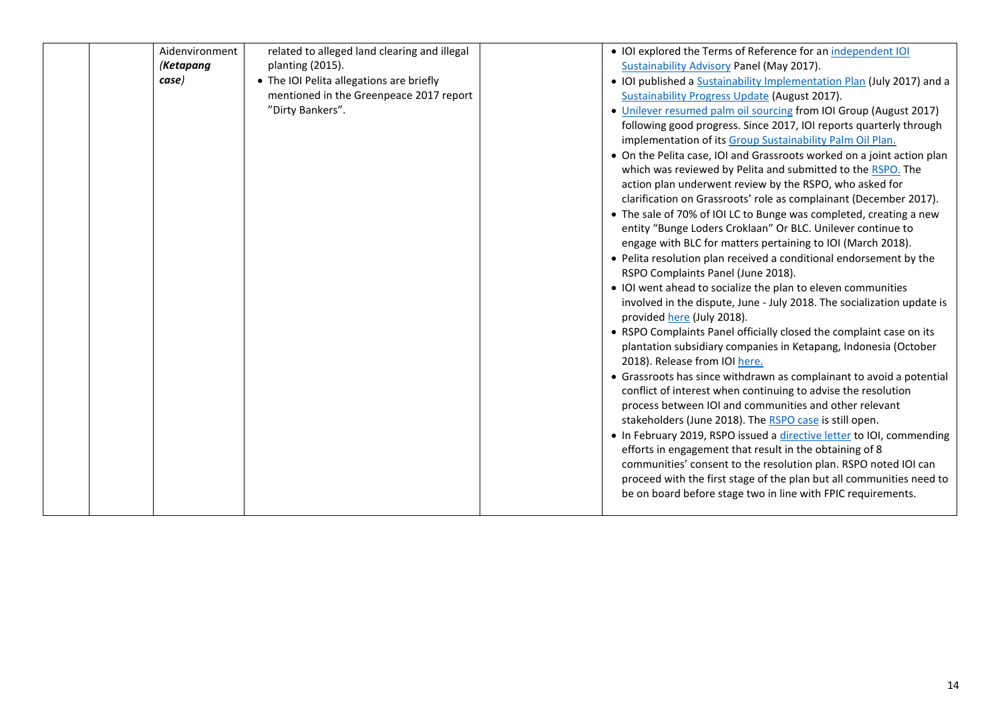| Aidenvironment | related to alleged land clearing and illegal | • IOI explored the Terms of Reference for an independent IOI                                     |
|----------------|----------------------------------------------|--------------------------------------------------------------------------------------------------|
| (Ketapang      | planting (2015).                             | Sustainability Advisory Panel (May 2017).                                                        |
| case)          | • The IOI Pelita allegations are briefly     | • IOI published a Sustainability Implementation Plan (July 2017) and a                           |
|                | mentioned in the Greenpeace 2017 report      | <b>Sustainability Progress Update (August 2017).</b>                                             |
|                | "Dirty Bankers".                             | • Unilever resumed palm oil sourcing from IOI Group (August 2017)                                |
|                |                                              | following good progress. Since 2017, IOI reports quarterly through                               |
|                |                                              | implementation of its Group Sustainability Palm Oil Plan.                                        |
|                |                                              | • On the Pelita case, IOI and Grassroots worked on a joint action plan                           |
|                |                                              | which was reviewed by Pelita and submitted to the RSPO. The                                      |
|                |                                              | action plan underwent review by the RSPO, who asked for                                          |
|                |                                              | clarification on Grassroots' role as complainant (December 2017).                                |
|                |                                              | • The sale of 70% of IOI LC to Bunge was completed, creating a new                               |
|                |                                              | entity "Bunge Loders Croklaan" Or BLC. Unilever continue to                                      |
|                |                                              | engage with BLC for matters pertaining to IOI (March 2018).                                      |
|                |                                              | • Pelita resolution plan received a conditional endorsement by the                               |
|                |                                              | RSPO Complaints Panel (June 2018).                                                               |
|                |                                              | • IOI went ahead to socialize the plan to eleven communities                                     |
|                |                                              | involved in the dispute, June - July 2018. The socialization update is                           |
|                |                                              | provided here (July 2018).                                                                       |
|                |                                              | • RSPO Complaints Panel officially closed the complaint case on its                              |
|                |                                              | plantation subsidiary companies in Ketapang, Indonesia (October<br>2018). Release from IOI here. |
|                |                                              | • Grassroots has since withdrawn as complainant to avoid a potential                             |
|                |                                              | conflict of interest when continuing to advise the resolution                                    |
|                |                                              | process between IOI and communities and other relevant                                           |
|                |                                              | stakeholders (June 2018). The RSPO case is still open.                                           |
|                |                                              | • In February 2019, RSPO issued a directive letter to IOI, commending                            |
|                |                                              | efforts in engagement that result in the obtaining of 8                                          |
|                |                                              | communities' consent to the resolution plan. RSPO noted IOI can                                  |
|                |                                              | proceed with the first stage of the plan but all communities need to                             |
|                |                                              | be on board before stage two in line with FPIC requirements.                                     |
|                |                                              |                                                                                                  |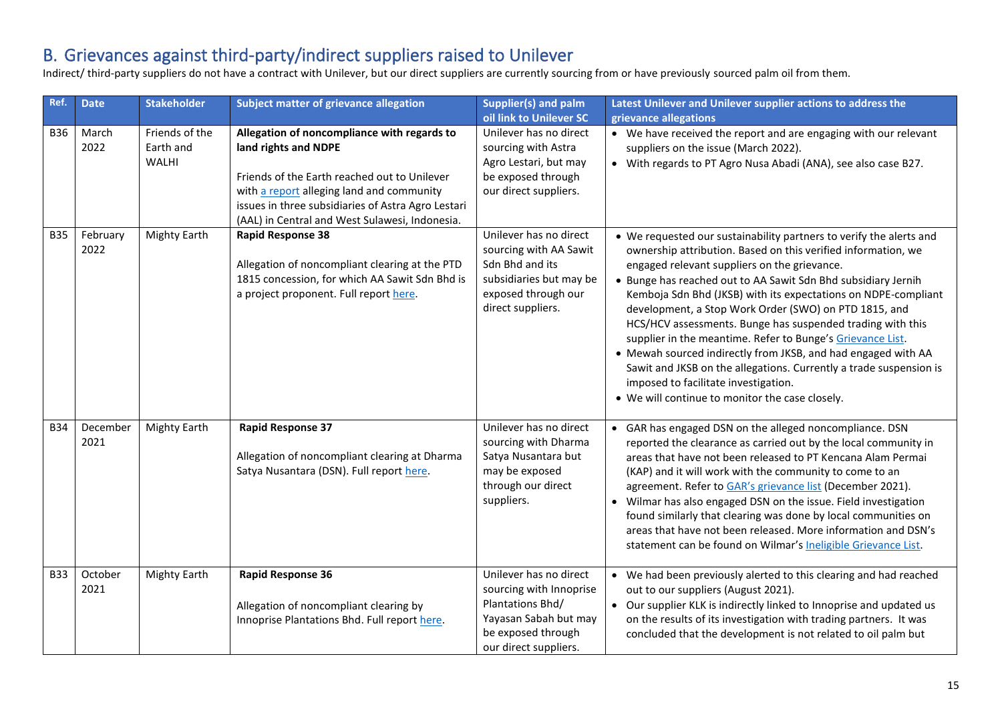## B. Grievances against third-party/indirect suppliers raised to Unilever

Indirect/ third-party suppliers do not have a contract with Unilever, but our direct suppliers are currently sourcing from or have previously sourced palm oil from them.

| Ref.       | <b>Date</b>      | <b>Stakeholder</b>                          | Subject matter of grievance allegation                                                                                                                                                                                                                                   | Supplier(s) and palm<br>oil link to Unilever SC                                                                                               | Latest Unilever and Unilever supplier actions to address the<br>grievance allegations                                                                                                                                                                                                                                                                                                                                                                                                                                                                                                                                                                                                                                                          |
|------------|------------------|---------------------------------------------|--------------------------------------------------------------------------------------------------------------------------------------------------------------------------------------------------------------------------------------------------------------------------|-----------------------------------------------------------------------------------------------------------------------------------------------|------------------------------------------------------------------------------------------------------------------------------------------------------------------------------------------------------------------------------------------------------------------------------------------------------------------------------------------------------------------------------------------------------------------------------------------------------------------------------------------------------------------------------------------------------------------------------------------------------------------------------------------------------------------------------------------------------------------------------------------------|
| <b>B36</b> | March<br>2022    | Friends of the<br>Earth and<br><b>WALHI</b> | Allegation of noncompliance with regards to<br>land rights and NDPE<br>Friends of the Earth reached out to Unilever<br>with a report alleging land and community<br>issues in three subsidiaries of Astra Agro Lestari<br>(AAL) in Central and West Sulawesi, Indonesia. | Unilever has no direct<br>sourcing with Astra<br>Agro Lestari, but may<br>be exposed through<br>our direct suppliers.                         | • We have received the report and are engaging with our relevant<br>suppliers on the issue (March 2022).<br>• With regards to PT Agro Nusa Abadi (ANA), see also case B27.                                                                                                                                                                                                                                                                                                                                                                                                                                                                                                                                                                     |
| <b>B35</b> | February<br>2022 | Mighty Earth                                | <b>Rapid Response 38</b><br>Allegation of noncompliant clearing at the PTD<br>1815 concession, for which AA Sawit Sdn Bhd is<br>a project proponent. Full report here.                                                                                                   | Unilever has no direct<br>sourcing with AA Sawit<br>Sdn Bhd and its<br>subsidiaries but may be<br>exposed through our<br>direct suppliers.    | • We requested our sustainability partners to verify the alerts and<br>ownership attribution. Based on this verified information, we<br>engaged relevant suppliers on the grievance.<br>• Bunge has reached out to AA Sawit Sdn Bhd subsidiary Jernih<br>Kemboja Sdn Bhd (JKSB) with its expectations on NDPE-compliant<br>development, a Stop Work Order (SWO) on PTD 1815, and<br>HCS/HCV assessments. Bunge has suspended trading with this<br>supplier in the meantime. Refer to Bunge's Grievance List.<br>• Mewah sourced indirectly from JKSB, and had engaged with AA<br>Sawit and JKSB on the allegations. Currently a trade suspension is<br>imposed to facilitate investigation.<br>• We will continue to monitor the case closely. |
| <b>B34</b> | December<br>2021 | Mighty Earth                                | <b>Rapid Response 37</b><br>Allegation of noncompliant clearing at Dharma<br>Satya Nusantara (DSN). Full report here.                                                                                                                                                    | Unilever has no direct<br>sourcing with Dharma<br>Satya Nusantara but<br>may be exposed<br>through our direct<br>suppliers.                   | • GAR has engaged DSN on the alleged noncompliance. DSN<br>reported the clearance as carried out by the local community in<br>areas that have not been released to PT Kencana Alam Permai<br>(KAP) and it will work with the community to come to an<br>agreement. Refer to GAR's grievance list (December 2021).<br>• Wilmar has also engaged DSN on the issue. Field investigation<br>found similarly that clearing was done by local communities on<br>areas that have not been released. More information and DSN's<br>statement can be found on Wilmar's Ineligible Grievance List.                                                                                                                                                       |
| <b>B33</b> | October<br>2021  | Mighty Earth                                | <b>Rapid Response 36</b><br>Allegation of noncompliant clearing by<br>Innoprise Plantations Bhd. Full report here.                                                                                                                                                       | Unilever has no direct<br>sourcing with Innoprise<br>Plantations Bhd/<br>Yayasan Sabah but may<br>be exposed through<br>our direct suppliers. | • We had been previously alerted to this clearing and had reached<br>out to our suppliers (August 2021).<br>• Our supplier KLK is indirectly linked to Innoprise and updated us<br>on the results of its investigation with trading partners. It was<br>concluded that the development is not related to oil palm but                                                                                                                                                                                                                                                                                                                                                                                                                          |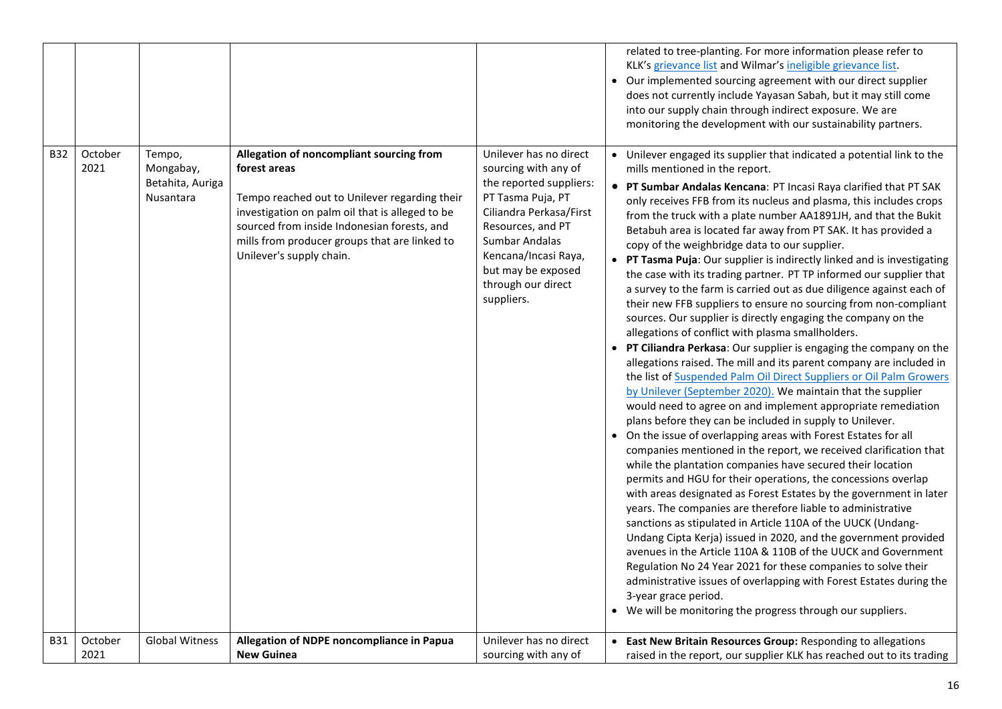| <b>B32</b> | October         | Tempo,                                     | Allegation of noncompliant sourcing from                                                                                                                                                                                                     | Unilever has no direct                                                                                                                                                                                                   | related to tree-planting. For more information please refer to<br>KLK's grievance list and Wilmar's ineligible grievance list.<br>Our implemented sourcing agreement with our direct supplier<br>does not currently include Yayasan Sabah, but it may still come<br>into our supply chain through indirect exposure. We are<br>monitoring the development with our sustainability partners.<br>• Unilever engaged its supplier that indicated a potential link to the                                                                                                                                                                                                                                                                                                                                                                                                                                                                                                                                                                                                                                                                                                                                                                                                                                                                                                                                                                                                                                                                                                                                                                                                                                                                                                                                                                                                                                                                                                                                                                             |
|------------|-----------------|--------------------------------------------|----------------------------------------------------------------------------------------------------------------------------------------------------------------------------------------------------------------------------------------------|--------------------------------------------------------------------------------------------------------------------------------------------------------------------------------------------------------------------------|---------------------------------------------------------------------------------------------------------------------------------------------------------------------------------------------------------------------------------------------------------------------------------------------------------------------------------------------------------------------------------------------------------------------------------------------------------------------------------------------------------------------------------------------------------------------------------------------------------------------------------------------------------------------------------------------------------------------------------------------------------------------------------------------------------------------------------------------------------------------------------------------------------------------------------------------------------------------------------------------------------------------------------------------------------------------------------------------------------------------------------------------------------------------------------------------------------------------------------------------------------------------------------------------------------------------------------------------------------------------------------------------------------------------------------------------------------------------------------------------------------------------------------------------------------------------------------------------------------------------------------------------------------------------------------------------------------------------------------------------------------------------------------------------------------------------------------------------------------------------------------------------------------------------------------------------------------------------------------------------------------------------------------------------------|
|            | 2021            | Mongabay,<br>Betahita, Auriga<br>Nusantara | forest areas<br>Tempo reached out to Unilever regarding their<br>investigation on palm oil that is alleged to be<br>sourced from inside Indonesian forests, and<br>mills from producer groups that are linked to<br>Unilever's supply chain. | sourcing with any of<br>the reported suppliers:<br>PT Tasma Puja, PT<br>Ciliandra Perkasa/First<br>Resources, and PT<br>Sumbar Andalas<br>Kencana/Incasi Raya,<br>but may be exposed<br>through our direct<br>suppliers. | mills mentioned in the report.<br>• PT Sumbar Andalas Kencana: PT Incasi Raya clarified that PT SAK<br>only receives FFB from its nucleus and plasma, this includes crops<br>from the truck with a plate number AA1891JH, and that the Bukit<br>Betabuh area is located far away from PT SAK. It has provided a<br>copy of the weighbridge data to our supplier.<br>• PT Tasma Puja: Our supplier is indirectly linked and is investigating<br>the case with its trading partner. PT TP informed our supplier that<br>a survey to the farm is carried out as due diligence against each of<br>their new FFB suppliers to ensure no sourcing from non-compliant<br>sources. Our supplier is directly engaging the company on the<br>allegations of conflict with plasma smallholders.<br>PT Ciliandra Perkasa: Our supplier is engaging the company on the<br>allegations raised. The mill and its parent company are included in<br>the list of Suspended Palm Oil Direct Suppliers or Oil Palm Growers<br>by Unilever (September 2020). We maintain that the supplier<br>would need to agree on and implement appropriate remediation<br>plans before they can be included in supply to Unilever.<br>• On the issue of overlapping areas with Forest Estates for all<br>companies mentioned in the report, we received clarification that<br>while the plantation companies have secured their location<br>permits and HGU for their operations, the concessions overlap<br>with areas designated as Forest Estates by the government in later<br>years. The companies are therefore liable to administrative<br>sanctions as stipulated in Article 110A of the UUCK (Undang-<br>Undang Cipta Kerja) issued in 2020, and the government provided<br>avenues in the Article 110A & 110B of the UUCK and Government<br>Regulation No 24 Year 2021 for these companies to solve their<br>administrative issues of overlapping with Forest Estates during the<br>3-year grace period.<br>• We will be monitoring the progress through our suppliers. |
| <b>B31</b> | October<br>2021 | <b>Global Witness</b>                      | Allegation of NDPE noncompliance in Papua<br><b>New Guinea</b>                                                                                                                                                                               | Unilever has no direct<br>sourcing with any of                                                                                                                                                                           | • East New Britain Resources Group: Responding to allegations<br>raised in the report, our supplier KLK has reached out to its trading                                                                                                                                                                                                                                                                                                                                                                                                                                                                                                                                                                                                                                                                                                                                                                                                                                                                                                                                                                                                                                                                                                                                                                                                                                                                                                                                                                                                                                                                                                                                                                                                                                                                                                                                                                                                                                                                                                            |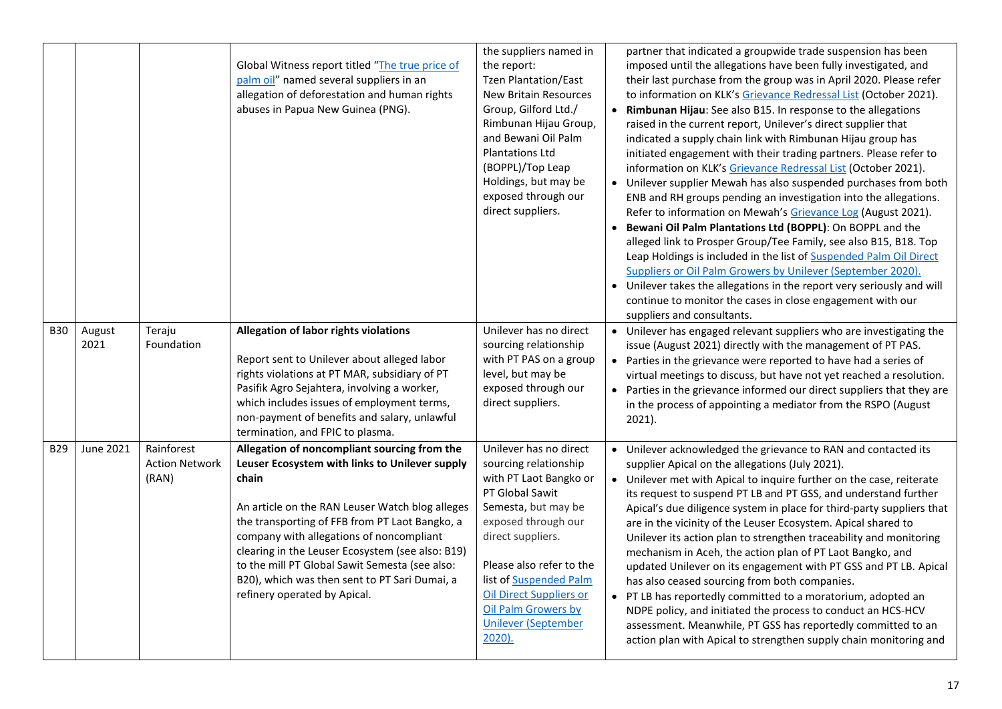|            |                |                                              | Global Witness report titled "The true price of<br>palm oil" named several suppliers in an<br>allegation of deforestation and human rights<br>abuses in Papua New Guinea (PNG).                                                                                                                                                                                                                                                                 | the suppliers named in<br>the report:<br><b>Tzen Plantation/East</b><br><b>New Britain Resources</b><br>Group, Gilford Ltd./<br>Rimbunan Hijau Group,<br>and Bewani Oil Palm<br><b>Plantations Ltd</b><br>(BOPPL)/Top Leap<br>Holdings, but may be<br>exposed through our<br>direct suppliers.                            | partner that indicated a groupwide trade suspension has been<br>imposed until the allegations have been fully investigated, and<br>their last purchase from the group was in April 2020. Please refer<br>to information on KLK's Grievance Redressal List (October 2021).<br>Rimbunan Hijau: See also B15. In response to the allegations<br>raised in the current report, Unilever's direct supplier that<br>indicated a supply chain link with Rimbunan Hijau group has<br>initiated engagement with their trading partners. Please refer to<br>information on KLK's Grievance Redressal List (October 2021).<br>• Unilever supplier Mewah has also suspended purchases from both<br>ENB and RH groups pending an investigation into the allegations.<br>Refer to information on Mewah's Grievance Log (August 2021).<br>• Bewani Oil Palm Plantations Ltd (BOPPL): On BOPPL and the<br>alleged link to Prosper Group/Tee Family, see also B15, B18. Top<br>Leap Holdings is included in the list of <b>Suspended Palm Oil Direct</b><br>Suppliers or Oil Palm Growers by Unilever (September 2020).<br>• Unilever takes the allegations in the report very seriously and will<br>continue to monitor the cases in close engagement with our<br>suppliers and consultants. |
|------------|----------------|----------------------------------------------|-------------------------------------------------------------------------------------------------------------------------------------------------------------------------------------------------------------------------------------------------------------------------------------------------------------------------------------------------------------------------------------------------------------------------------------------------|---------------------------------------------------------------------------------------------------------------------------------------------------------------------------------------------------------------------------------------------------------------------------------------------------------------------------|------------------------------------------------------------------------------------------------------------------------------------------------------------------------------------------------------------------------------------------------------------------------------------------------------------------------------------------------------------------------------------------------------------------------------------------------------------------------------------------------------------------------------------------------------------------------------------------------------------------------------------------------------------------------------------------------------------------------------------------------------------------------------------------------------------------------------------------------------------------------------------------------------------------------------------------------------------------------------------------------------------------------------------------------------------------------------------------------------------------------------------------------------------------------------------------------------------------------------------------------------------------------------|
| <b>B30</b> | August<br>2021 | Teraju<br>Foundation                         | Allegation of labor rights violations<br>Report sent to Unilever about alleged labor<br>rights violations at PT MAR, subsidiary of PT<br>Pasifik Agro Sejahtera, involving a worker,<br>which includes issues of employment terms,<br>non-payment of benefits and salary, unlawful<br>termination, and FPIC to plasma.                                                                                                                          | Unilever has no direct<br>sourcing relationship<br>with PT PAS on a group<br>level, but may be<br>exposed through our<br>direct suppliers.                                                                                                                                                                                | • Unilever has engaged relevant suppliers who are investigating the<br>issue (August 2021) directly with the management of PT PAS.<br>• Parties in the grievance were reported to have had a series of<br>virtual meetings to discuss, but have not yet reached a resolution.<br>• Parties in the grievance informed our direct suppliers that they are<br>in the process of appointing a mediator from the RSPO (August<br>$2021$ ).                                                                                                                                                                                                                                                                                                                                                                                                                                                                                                                                                                                                                                                                                                                                                                                                                                        |
| <b>B29</b> | June 2021      | Rainforest<br><b>Action Network</b><br>(RAN) | Allegation of noncompliant sourcing from the<br>Leuser Ecosystem with links to Unilever supply<br>chain<br>An article on the RAN Leuser Watch blog alleges<br>the transporting of FFB from PT Laot Bangko, a<br>company with allegations of noncompliant<br>clearing in the Leuser Ecosystem (see also: B19)<br>to the mill PT Global Sawit Semesta (see also:<br>B20), which was then sent to PT Sari Dumai, a<br>refinery operated by Apical. | Unilever has no direct<br>sourcing relationship<br>with PT Laot Bangko or<br>PT Global Sawit<br>Semesta, but may be<br>exposed through our<br>direct suppliers.<br>Please also refer to the<br>list of Suspended Palm<br><b>Oil Direct Suppliers or</b><br>Oil Palm Growers by<br><b>Unilever (September</b><br>$2020$ ). | • Unilever acknowledged the grievance to RAN and contacted its<br>supplier Apical on the allegations (July 2021).<br>• Unilever met with Apical to inquire further on the case, reiterate<br>its request to suspend PT LB and PT GSS, and understand further<br>Apical's due diligence system in place for third-party suppliers that<br>are in the vicinity of the Leuser Ecosystem. Apical shared to<br>Unilever its action plan to strengthen traceability and monitoring<br>mechanism in Aceh, the action plan of PT Laot Bangko, and<br>updated Unilever on its engagement with PT GSS and PT LB. Apical<br>has also ceased sourcing from both companies.<br>• PT LB has reportedly committed to a moratorium, adopted an<br>NDPE policy, and initiated the process to conduct an HCS-HCV<br>assessment. Meanwhile, PT GSS has reportedly committed to an<br>action plan with Apical to strengthen supply chain monitoring and                                                                                                                                                                                                                                                                                                                                          |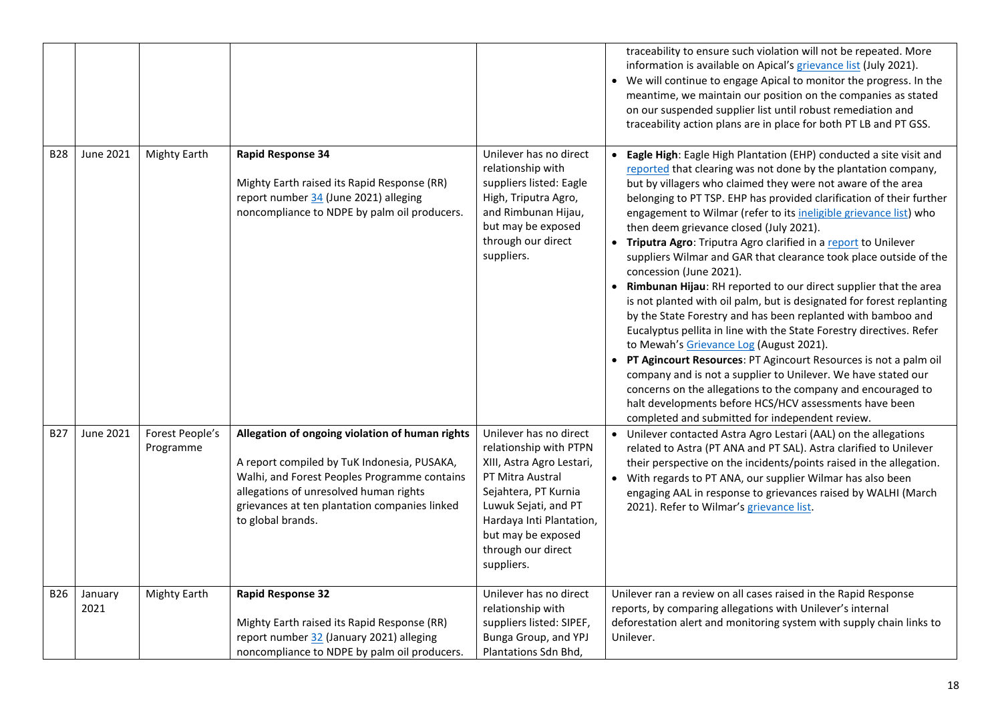| <b>B28</b> | June 2021       | <b>Mighty Earth</b>          | <b>Rapid Response 34</b>                                                                                                                                                                                                                                       | Unilever has no direct                                                                                                                                                                                                                  | traceability to ensure such violation will not be repeated. More<br>information is available on Apical's grievance list (July 2021).<br>We will continue to engage Apical to monitor the progress. In the<br>meantime, we maintain our position on the companies as stated<br>on our suspended supplier list until robust remediation and<br>traceability action plans are in place for both PT LB and PT GSS.<br>Eagle High: Eagle High Plantation (EHP) conducted a site visit and                                                                                                                                                                                                                                                                                                                                                                                                                                                                                                                                                                                                                                                                      |
|------------|-----------------|------------------------------|----------------------------------------------------------------------------------------------------------------------------------------------------------------------------------------------------------------------------------------------------------------|-----------------------------------------------------------------------------------------------------------------------------------------------------------------------------------------------------------------------------------------|-----------------------------------------------------------------------------------------------------------------------------------------------------------------------------------------------------------------------------------------------------------------------------------------------------------------------------------------------------------------------------------------------------------------------------------------------------------------------------------------------------------------------------------------------------------------------------------------------------------------------------------------------------------------------------------------------------------------------------------------------------------------------------------------------------------------------------------------------------------------------------------------------------------------------------------------------------------------------------------------------------------------------------------------------------------------------------------------------------------------------------------------------------------|
|            |                 |                              | Mighty Earth raised its Rapid Response (RR)<br>report number 34 (June 2021) alleging<br>noncompliance to NDPE by palm oil producers.                                                                                                                           | relationship with<br>suppliers listed: Eagle<br>High, Triputra Agro,<br>and Rimbunan Hijau,<br>but may be exposed<br>through our direct<br>suppliers.                                                                                   | reported that clearing was not done by the plantation company,<br>but by villagers who claimed they were not aware of the area<br>belonging to PT TSP. EHP has provided clarification of their further<br>engagement to Wilmar (refer to its ineligible grievance list) who<br>then deem grievance closed (July 2021).<br>• Triputra Agro: Triputra Agro clarified in a report to Unilever<br>suppliers Wilmar and GAR that clearance took place outside of the<br>concession (June 2021).<br>Rimbunan Hijau: RH reported to our direct supplier that the area<br>is not planted with oil palm, but is designated for forest replanting<br>by the State Forestry and has been replanted with bamboo and<br>Eucalyptus pellita in line with the State Forestry directives. Refer<br>to Mewah's Grievance Log (August 2021).<br>PT Agincourt Resources: PT Agincourt Resources is not a palm oil<br>$\bullet$<br>company and is not a supplier to Unilever. We have stated our<br>concerns on the allegations to the company and encouraged to<br>halt developments before HCS/HCV assessments have been<br>completed and submitted for independent review. |
| <b>B27</b> | June 2021       | Forest People's<br>Programme | Allegation of ongoing violation of human rights<br>A report compiled by TuK Indonesia, PUSAKA,<br>Walhi, and Forest Peoples Programme contains<br>allegations of unresolved human rights<br>grievances at ten plantation companies linked<br>to global brands. | Unilever has no direct<br>relationship with PTPN<br>XIII, Astra Agro Lestari,<br>PT Mitra Austral<br>Sejahtera, PT Kurnia<br>Luwuk Sejati, and PT<br>Hardaya Inti Plantation,<br>but may be exposed<br>through our direct<br>suppliers. | Unilever contacted Astra Agro Lestari (AAL) on the allegations<br>$\bullet$<br>related to Astra (PT ANA and PT SAL). Astra clarified to Unilever<br>their perspective on the incidents/points raised in the allegation.<br>With regards to PT ANA, our supplier Wilmar has also been<br>engaging AAL in response to grievances raised by WALHI (March<br>2021). Refer to Wilmar's grievance list.                                                                                                                                                                                                                                                                                                                                                                                                                                                                                                                                                                                                                                                                                                                                                         |
| <b>B26</b> | January<br>2021 | <b>Mighty Earth</b>          | <b>Rapid Response 32</b><br>Mighty Earth raised its Rapid Response (RR)<br>report number 32 (January 2021) alleging<br>noncompliance to NDPE by palm oil producers.                                                                                            | Unilever has no direct<br>relationship with<br>suppliers listed: SIPEF,<br>Bunga Group, and YPJ<br>Plantations Sdn Bhd,                                                                                                                 | Unilever ran a review on all cases raised in the Rapid Response<br>reports, by comparing allegations with Unilever's internal<br>deforestation alert and monitoring system with supply chain links to<br>Unilever.                                                                                                                                                                                                                                                                                                                                                                                                                                                                                                                                                                                                                                                                                                                                                                                                                                                                                                                                        |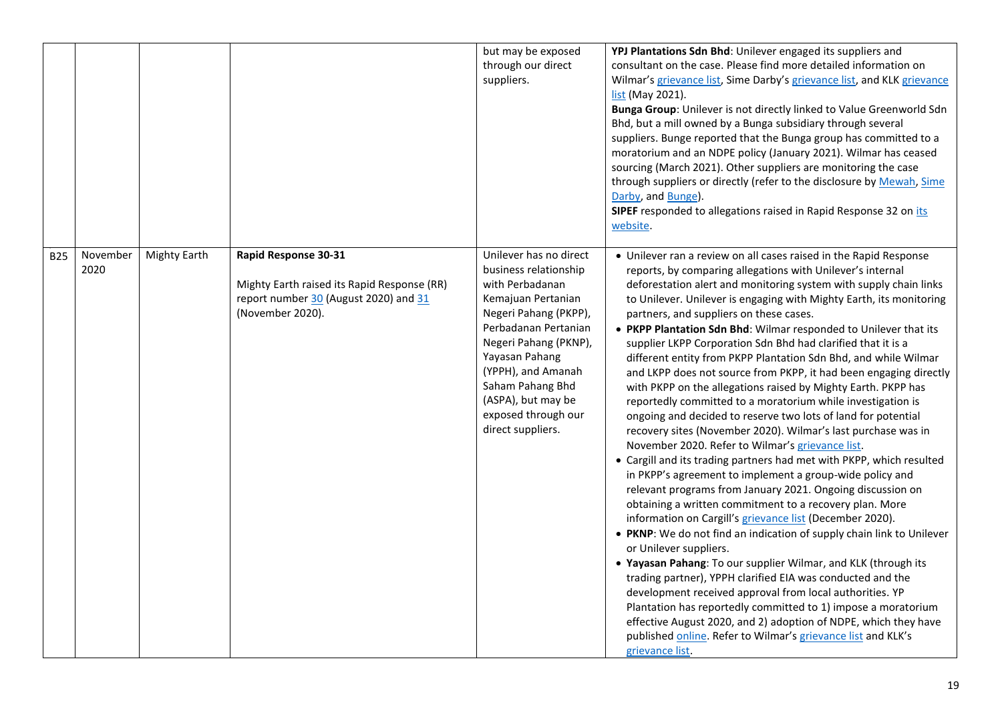|            |                  |              |                                                                                                                                  | but may be exposed<br>through our direct<br>suppliers.                                                                                                                                                                                                                                           | YPJ Plantations Sdn Bhd: Unilever engaged its suppliers and<br>consultant on the case. Please find more detailed information on<br>Wilmar's grievance list, Sime Darby's grievance list, and KLK grievance<br>list (May 2021).<br>Bunga Group: Unilever is not directly linked to Value Greenworld Sdn<br>Bhd, but a mill owned by a Bunga subsidiary through several<br>suppliers. Bunge reported that the Bunga group has committed to a<br>moratorium and an NDPE policy (January 2021). Wilmar has ceased<br>sourcing (March 2021). Other suppliers are monitoring the case<br>through suppliers or directly (refer to the disclosure by Mewah, Sime<br>Darby, and Bunge).<br>SIPEF responded to allegations raised in Rapid Response 32 on its<br>website.                                                                                                                                                                                                                                                                                                                                                                                                                                                                                                                                                                                                                                                                                                                                                                                                                                                                                                                                                                                                         |
|------------|------------------|--------------|----------------------------------------------------------------------------------------------------------------------------------|--------------------------------------------------------------------------------------------------------------------------------------------------------------------------------------------------------------------------------------------------------------------------------------------------|-------------------------------------------------------------------------------------------------------------------------------------------------------------------------------------------------------------------------------------------------------------------------------------------------------------------------------------------------------------------------------------------------------------------------------------------------------------------------------------------------------------------------------------------------------------------------------------------------------------------------------------------------------------------------------------------------------------------------------------------------------------------------------------------------------------------------------------------------------------------------------------------------------------------------------------------------------------------------------------------------------------------------------------------------------------------------------------------------------------------------------------------------------------------------------------------------------------------------------------------------------------------------------------------------------------------------------------------------------------------------------------------------------------------------------------------------------------------------------------------------------------------------------------------------------------------------------------------------------------------------------------------------------------------------------------------------------------------------------------------------------------------------|
| <b>B25</b> | November<br>2020 | Mighty Earth | Rapid Response 30-31<br>Mighty Earth raised its Rapid Response (RR)<br>report number 30 (August 2020) and 31<br>(November 2020). | Unilever has no direct<br>business relationship<br>with Perbadanan<br>Kemajuan Pertanian<br>Negeri Pahang (PKPP),<br>Perbadanan Pertanian<br>Negeri Pahang (PKNP),<br>Yayasan Pahang<br>(YPPH), and Amanah<br>Saham Pahang Bhd<br>(ASPA), but may be<br>exposed through our<br>direct suppliers. | • Unilever ran a review on all cases raised in the Rapid Response<br>reports, by comparing allegations with Unilever's internal<br>deforestation alert and monitoring system with supply chain links<br>to Unilever. Unilever is engaging with Mighty Earth, its monitoring<br>partners, and suppliers on these cases.<br>• PKPP Plantation Sdn Bhd: Wilmar responded to Unilever that its<br>supplier LKPP Corporation Sdn Bhd had clarified that it is a<br>different entity from PKPP Plantation Sdn Bhd, and while Wilmar<br>and LKPP does not source from PKPP, it had been engaging directly<br>with PKPP on the allegations raised by Mighty Earth. PKPP has<br>reportedly committed to a moratorium while investigation is<br>ongoing and decided to reserve two lots of land for potential<br>recovery sites (November 2020). Wilmar's last purchase was in<br>November 2020. Refer to Wilmar's grievance list.<br>• Cargill and its trading partners had met with PKPP, which resulted<br>in PKPP's agreement to implement a group-wide policy and<br>relevant programs from January 2021. Ongoing discussion on<br>obtaining a written commitment to a recovery plan. More<br>information on Cargill's grievance list (December 2020).<br>• PKNP: We do not find an indication of supply chain link to Unilever<br>or Unilever suppliers.<br>. Yayasan Pahang: To our supplier Wilmar, and KLK (through its<br>trading partner), YPPH clarified EIA was conducted and the<br>development received approval from local authorities. YP<br>Plantation has reportedly committed to 1) impose a moratorium<br>effective August 2020, and 2) adoption of NDPE, which they have<br>published online. Refer to Wilmar's grievance list and KLK's<br>grievance list. |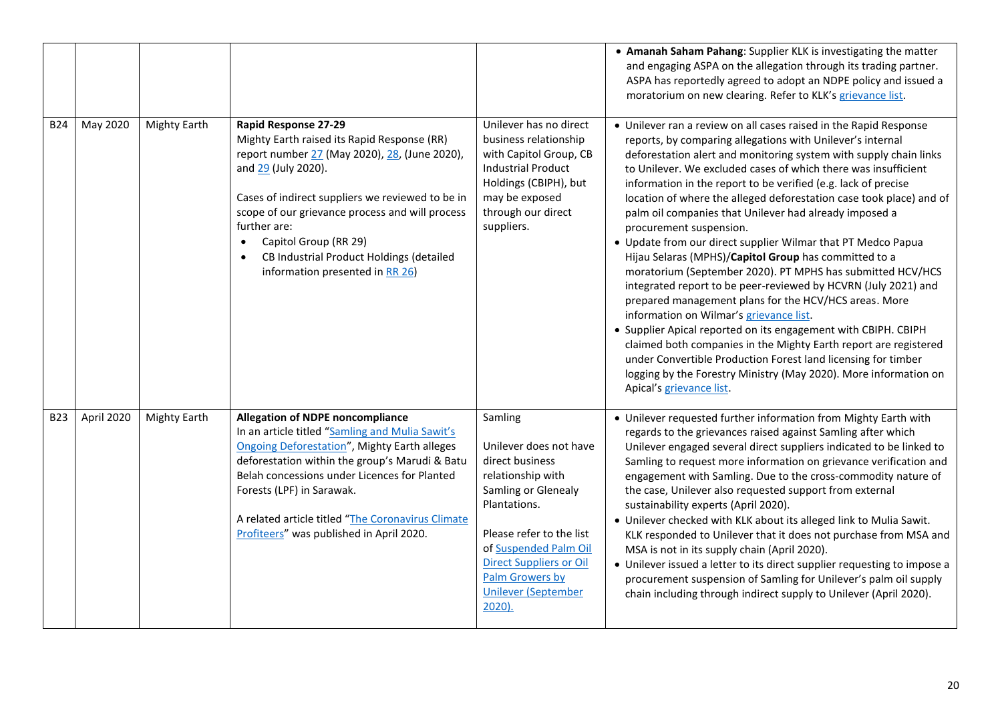|            |            |                     |                                                                                                                                                                                                                                                                                                                                                                                                             |                                                                                                                                                                                                                                                                | • Amanah Saham Pahang: Supplier KLK is investigating the matter<br>and engaging ASPA on the allegation through its trading partner.<br>ASPA has reportedly agreed to adopt an NDPE policy and issued a<br>moratorium on new clearing. Refer to KLK's grievance list.                                                                                                                                                                                                                                                                                                                                                                                                                                                                                                                                                                                                                                                                                                                                                                                                                                                                                                     |
|------------|------------|---------------------|-------------------------------------------------------------------------------------------------------------------------------------------------------------------------------------------------------------------------------------------------------------------------------------------------------------------------------------------------------------------------------------------------------------|----------------------------------------------------------------------------------------------------------------------------------------------------------------------------------------------------------------------------------------------------------------|--------------------------------------------------------------------------------------------------------------------------------------------------------------------------------------------------------------------------------------------------------------------------------------------------------------------------------------------------------------------------------------------------------------------------------------------------------------------------------------------------------------------------------------------------------------------------------------------------------------------------------------------------------------------------------------------------------------------------------------------------------------------------------------------------------------------------------------------------------------------------------------------------------------------------------------------------------------------------------------------------------------------------------------------------------------------------------------------------------------------------------------------------------------------------|
| <b>B24</b> | May 2020   | <b>Mighty Earth</b> | <b>Rapid Response 27-29</b><br>Mighty Earth raised its Rapid Response (RR)<br>report number 27 (May 2020), 28, (June 2020),<br>and 29 (July 2020).<br>Cases of indirect suppliers we reviewed to be in<br>scope of our grievance process and will process<br>further are:<br>Capitol Group (RR 29)<br>$\bullet$<br>CB Industrial Product Holdings (detailed<br>$\bullet$<br>information presented in RR 26) | Unilever has no direct<br>business relationship<br>with Capitol Group, CB<br><b>Industrial Product</b><br>Holdings (CBIPH), but<br>may be exposed<br>through our direct<br>suppliers.                                                                          | • Unilever ran a review on all cases raised in the Rapid Response<br>reports, by comparing allegations with Unilever's internal<br>deforestation alert and monitoring system with supply chain links<br>to Unilever. We excluded cases of which there was insufficient<br>information in the report to be verified (e.g. lack of precise<br>location of where the alleged deforestation case took place) and of<br>palm oil companies that Unilever had already imposed a<br>procurement suspension.<br>• Update from our direct supplier Wilmar that PT Medco Papua<br>Hijau Selaras (MPHS)/Capitol Group has committed to a<br>moratorium (September 2020). PT MPHS has submitted HCV/HCS<br>integrated report to be peer-reviewed by HCVRN (July 2021) and<br>prepared management plans for the HCV/HCS areas. More<br>information on Wilmar's grievance list.<br>• Supplier Apical reported on its engagement with CBIPH. CBIPH<br>claimed both companies in the Mighty Earth report are registered<br>under Convertible Production Forest land licensing for timber<br>logging by the Forestry Ministry (May 2020). More information on<br>Apical's grievance list. |
| <b>B23</b> | April 2020 | <b>Mighty Earth</b> | <b>Allegation of NDPE noncompliance</b><br>In an article titled "Samling and Mulia Sawit's<br><b>Ongoing Deforestation", Mighty Earth alleges</b><br>deforestation within the group's Marudi & Batu<br>Belah concessions under Licences for Planted<br>Forests (LPF) in Sarawak.<br>A related article titled "The Coronavirus Climate<br>Profiteers" was published in April 2020.                           | Samling<br>Unilever does not have<br>direct business<br>relationship with<br>Samling or Glenealy<br>Plantations.<br>Please refer to the list<br>of Suspended Palm Oil<br>Direct Suppliers or Oil<br>Palm Growers by<br><b>Unilever (September</b><br>$2020$ ). | • Unilever requested further information from Mighty Earth with<br>regards to the grievances raised against Samling after which<br>Unilever engaged several direct suppliers indicated to be linked to<br>Samling to request more information on grievance verification and<br>engagement with Samling. Due to the cross-commodity nature of<br>the case, Unilever also requested support from external<br>sustainability experts (April 2020).<br>• Unilever checked with KLK about its alleged link to Mulia Sawit.<br>KLK responded to Unilever that it does not purchase from MSA and<br>MSA is not in its supply chain (April 2020).<br>• Unilever issued a letter to its direct supplier requesting to impose a<br>procurement suspension of Samling for Unilever's palm oil supply<br>chain including through indirect supply to Unilever (April 2020).                                                                                                                                                                                                                                                                                                           |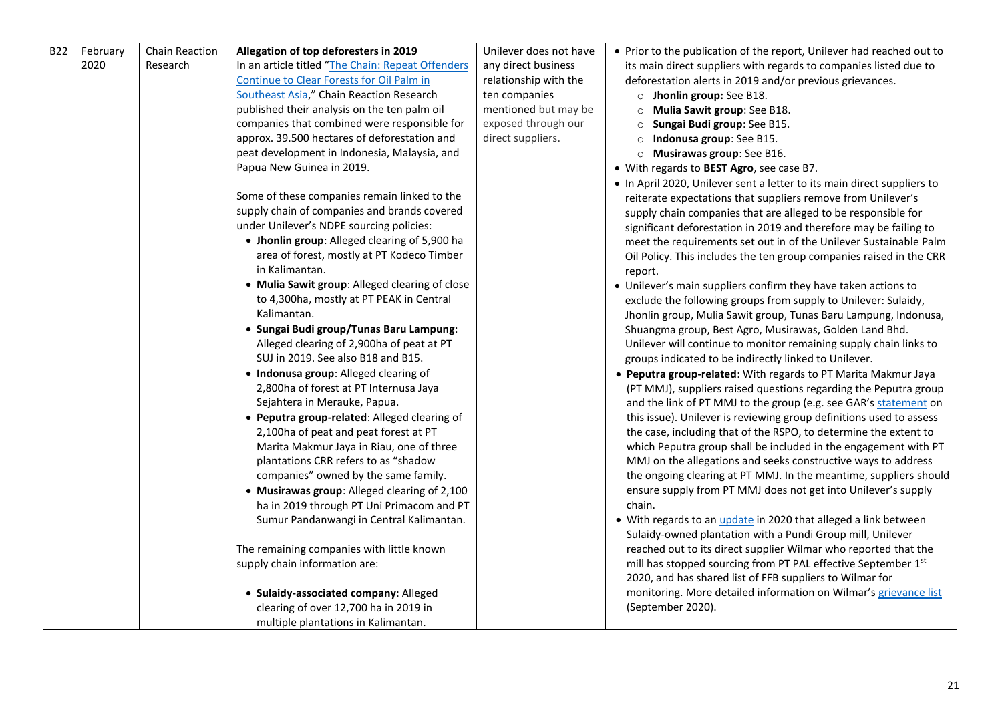| <b>B22</b> | February | Chain Reaction | Allegation of top deforesters in 2019             | Unilever does not have | • Prior to the publication of the report, Unilever had reached out to   |
|------------|----------|----------------|---------------------------------------------------|------------------------|-------------------------------------------------------------------------|
|            | 2020     | Research       | In an article titled "The Chain: Repeat Offenders | any direct business    | its main direct suppliers with regards to companies listed due to       |
|            |          |                | Continue to Clear Forests for Oil Palm in         | relationship with the  | deforestation alerts in 2019 and/or previous grievances.                |
|            |          |                | Southeast Asia," Chain Reaction Research          | ten companies          | o Jhonlin group: See B18.                                               |
|            |          |                | published their analysis on the ten palm oil      | mentioned but may be   | O Mulia Sawit group: See B18.                                           |
|            |          |                | companies that combined were responsible for      | exposed through our    | Sungai Budi group: See B15.<br>$\circ$                                  |
|            |          |                | approx. 39.500 hectares of deforestation and      | direct suppliers.      | o Indonusa group: See B15.                                              |
|            |          |                | peat development in Indonesia, Malaysia, and      |                        | $\circ$ Musirawas group: See B16.                                       |
|            |          |                | Papua New Guinea in 2019.                         |                        | • With regards to BEST Agro, see case B7.                               |
|            |          |                |                                                   |                        | . In April 2020, Unilever sent a letter to its main direct suppliers to |
|            |          |                | Some of these companies remain linked to the      |                        | reiterate expectations that suppliers remove from Unilever's            |
|            |          |                | supply chain of companies and brands covered      |                        | supply chain companies that are alleged to be responsible for           |
|            |          |                | under Unilever's NDPE sourcing policies:          |                        | significant deforestation in 2019 and therefore may be failing to       |
|            |          |                | • Jhonlin group: Alleged clearing of 5,900 ha     |                        | meet the requirements set out in of the Unilever Sustainable Palm       |
|            |          |                | area of forest, mostly at PT Kodeco Timber        |                        | Oil Policy. This includes the ten group companies raised in the CRR     |
|            |          |                | in Kalimantan.                                    |                        | report.                                                                 |
|            |          |                | • Mulia Sawit group: Alleged clearing of close    |                        | • Unilever's main suppliers confirm they have taken actions to          |
|            |          |                | to 4,300ha, mostly at PT PEAK in Central          |                        | exclude the following groups from supply to Unilever: Sulaidy,          |
|            |          |                | Kalimantan.                                       |                        | Jhonlin group, Mulia Sawit group, Tunas Baru Lampung, Indonusa,         |
|            |          |                | · Sungai Budi group/Tunas Baru Lampung:           |                        | Shuangma group, Best Agro, Musirawas, Golden Land Bhd.                  |
|            |          |                | Alleged clearing of 2,900ha of peat at PT         |                        | Unilever will continue to monitor remaining supply chain links to       |
|            |          |                | SUJ in 2019. See also B18 and B15.                |                        | groups indicated to be indirectly linked to Unilever.                   |
|            |          |                | • Indonusa group: Alleged clearing of             |                        | • Peputra group-related: With regards to PT Marita Makmur Jaya          |
|            |          |                | 2,800ha of forest at PT Internusa Jaya            |                        | (PT MMJ), suppliers raised questions regarding the Peputra group        |
|            |          |                | Sejahtera in Merauke, Papua.                      |                        | and the link of PT MMJ to the group (e.g. see GAR's statement on        |
|            |          |                | • Peputra group-related: Alleged clearing of      |                        | this issue). Unilever is reviewing group definitions used to assess     |
|            |          |                | 2,100ha of peat and peat forest at PT             |                        | the case, including that of the RSPO, to determine the extent to        |
|            |          |                | Marita Makmur Jaya in Riau, one of three          |                        | which Peputra group shall be included in the engagement with PT         |
|            |          |                | plantations CRR refers to as "shadow              |                        | MMJ on the allegations and seeks constructive ways to address           |
|            |          |                | companies" owned by the same family.              |                        | the ongoing clearing at PT MMJ. In the meantime, suppliers should       |
|            |          |                | • Musirawas group: Alleged clearing of 2,100      |                        | ensure supply from PT MMJ does not get into Unilever's supply           |
|            |          |                | ha in 2019 through PT Uni Primacom and PT         |                        | chain.                                                                  |
|            |          |                | Sumur Pandanwangi in Central Kalimantan.          |                        | • With regards to an <i>update</i> in 2020 that alleged a link between  |
|            |          |                |                                                   |                        | Sulaidy-owned plantation with a Pundi Group mill, Unilever              |
|            |          |                | The remaining companies with little known         |                        | reached out to its direct supplier Wilmar who reported that the         |
|            |          |                | supply chain information are:                     |                        | mill has stopped sourcing from PT PAL effective September 1st           |
|            |          |                |                                                   |                        | 2020, and has shared list of FFB suppliers to Wilmar for                |
|            |          |                | · Sulaidy-associated company: Alleged             |                        | monitoring. More detailed information on Wilmar's grievance list        |
|            |          |                | clearing of over 12,700 ha in 2019 in             |                        | (September 2020).                                                       |
|            |          |                | multiple plantations in Kalimantan.               |                        |                                                                         |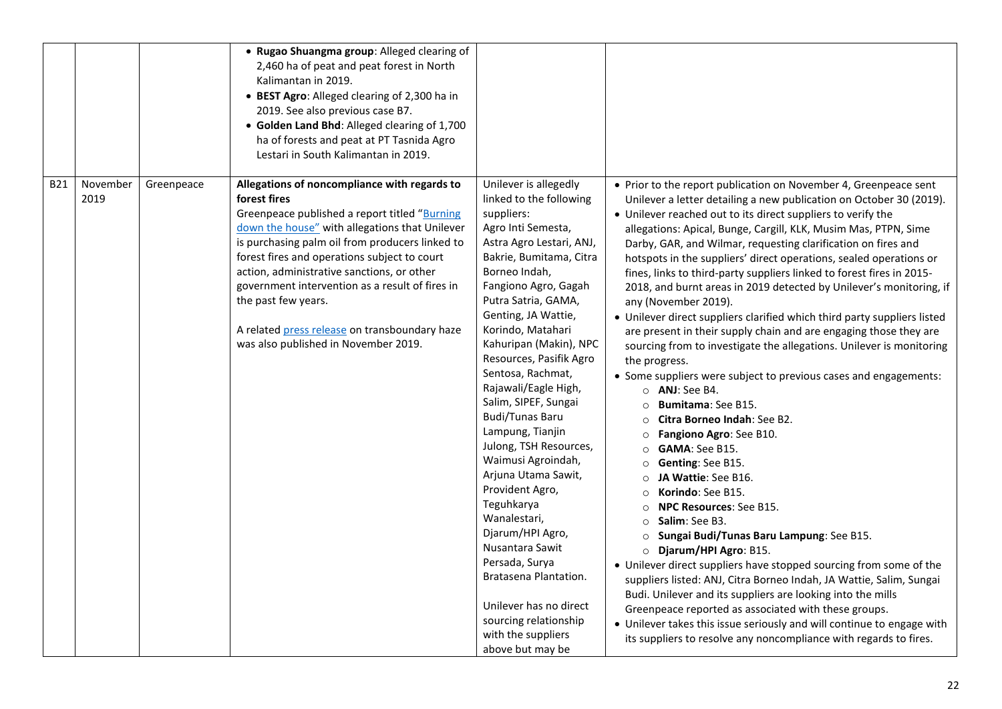|            |                  |            | • Rugao Shuangma group: Alleged clearing of<br>2,460 ha of peat and peat forest in North<br>Kalimantan in 2019.<br>• BEST Agro: Alleged clearing of 2,300 ha in<br>2019. See also previous case B7.<br>• Golden Land Bhd: Alleged clearing of 1,700<br>ha of forests and peat at PT Tasnida Agro<br>Lestari in South Kalimantan in 2019.                                                                                                                                            |                                                                                                                                                                                                                                                                                                                                                                                                                                                                                                                                                                                                                                                                                                                                        |                                                                                                                                                                                                                                                                                                                                                                                                                                                                                                                                                                                                                                                                                                                                                                                                                                                                                                                                                                                                                                                                                                                                                                                                                                                                                                                                                                                                                                                                                                                                                                                                                                                                                                                                          |
|------------|------------------|------------|-------------------------------------------------------------------------------------------------------------------------------------------------------------------------------------------------------------------------------------------------------------------------------------------------------------------------------------------------------------------------------------------------------------------------------------------------------------------------------------|----------------------------------------------------------------------------------------------------------------------------------------------------------------------------------------------------------------------------------------------------------------------------------------------------------------------------------------------------------------------------------------------------------------------------------------------------------------------------------------------------------------------------------------------------------------------------------------------------------------------------------------------------------------------------------------------------------------------------------------|------------------------------------------------------------------------------------------------------------------------------------------------------------------------------------------------------------------------------------------------------------------------------------------------------------------------------------------------------------------------------------------------------------------------------------------------------------------------------------------------------------------------------------------------------------------------------------------------------------------------------------------------------------------------------------------------------------------------------------------------------------------------------------------------------------------------------------------------------------------------------------------------------------------------------------------------------------------------------------------------------------------------------------------------------------------------------------------------------------------------------------------------------------------------------------------------------------------------------------------------------------------------------------------------------------------------------------------------------------------------------------------------------------------------------------------------------------------------------------------------------------------------------------------------------------------------------------------------------------------------------------------------------------------------------------------------------------------------------------------|
| <b>B21</b> | November<br>2019 | Greenpeace | Allegations of noncompliance with regards to<br>forest fires<br>Greenpeace published a report titled "Burning<br>down the house" with allegations that Unilever<br>is purchasing palm oil from producers linked to<br>forest fires and operations subject to court<br>action, administrative sanctions, or other<br>government intervention as a result of fires in<br>the past few years.<br>A related press release on transboundary haze<br>was also published in November 2019. | Unilever is allegedly<br>linked to the following<br>suppliers:<br>Agro Inti Semesta,<br>Astra Agro Lestari, ANJ,<br>Bakrie, Bumitama, Citra<br>Borneo Indah,<br>Fangiono Agro, Gagah<br>Putra Satria, GAMA,<br>Genting, JA Wattie,<br>Korindo, Matahari<br>Kahuripan (Makin), NPC<br>Resources, Pasifik Agro<br>Sentosa, Rachmat,<br>Rajawali/Eagle High,<br>Salim, SIPEF, Sungai<br><b>Budi/Tunas Baru</b><br>Lampung, Tianjin<br>Julong, TSH Resources,<br>Waimusi Agroindah,<br>Arjuna Utama Sawit,<br>Provident Agro,<br>Teguhkarya<br>Wanalestari,<br>Djarum/HPI Agro,<br>Nusantara Sawit<br>Persada, Surya<br>Bratasena Plantation.<br>Unilever has no direct<br>sourcing relationship<br>with the suppliers<br>above but may be | • Prior to the report publication on November 4, Greenpeace sent<br>Unilever a letter detailing a new publication on October 30 (2019).<br>• Unilever reached out to its direct suppliers to verify the<br>allegations: Apical, Bunge, Cargill, KLK, Musim Mas, PTPN, Sime<br>Darby, GAR, and Wilmar, requesting clarification on fires and<br>hotspots in the suppliers' direct operations, sealed operations or<br>fines, links to third-party suppliers linked to forest fires in 2015-<br>2018, and burnt areas in 2019 detected by Unilever's monitoring, if<br>any (November 2019).<br>• Unilever direct suppliers clarified which third party suppliers listed<br>are present in their supply chain and are engaging those they are<br>sourcing from to investigate the allegations. Unilever is monitoring<br>the progress.<br>• Some suppliers were subject to previous cases and engagements:<br>$\circ$ ANJ: See B4.<br>Bumitama: See B15.<br>$\circ$<br>Citra Borneo Indah: See B2.<br>$\circ$<br>O Fangiono Agro: See B10.<br>$\circ$ <b>GAMA</b> : See B15.<br>○ Genting: See B15.<br>JA Wattie: See B16.<br>Korindo: See B15.<br>$\circ$<br>NPC Resources: See B15.<br>$\circ$<br>Salim: See B3.<br>$\circ$<br>Sungai Budi/Tunas Baru Lampung: See B15.<br>$\circ$<br>Djarum/HPI Agro: B15.<br>$\circ$<br>• Unilever direct suppliers have stopped sourcing from some of the<br>suppliers listed: ANJ, Citra Borneo Indah, JA Wattie, Salim, Sungai<br>Budi. Unilever and its suppliers are looking into the mills<br>Greenpeace reported as associated with these groups.<br>• Unilever takes this issue seriously and will continue to engage with<br>its suppliers to resolve any noncompliance with regards to fires. |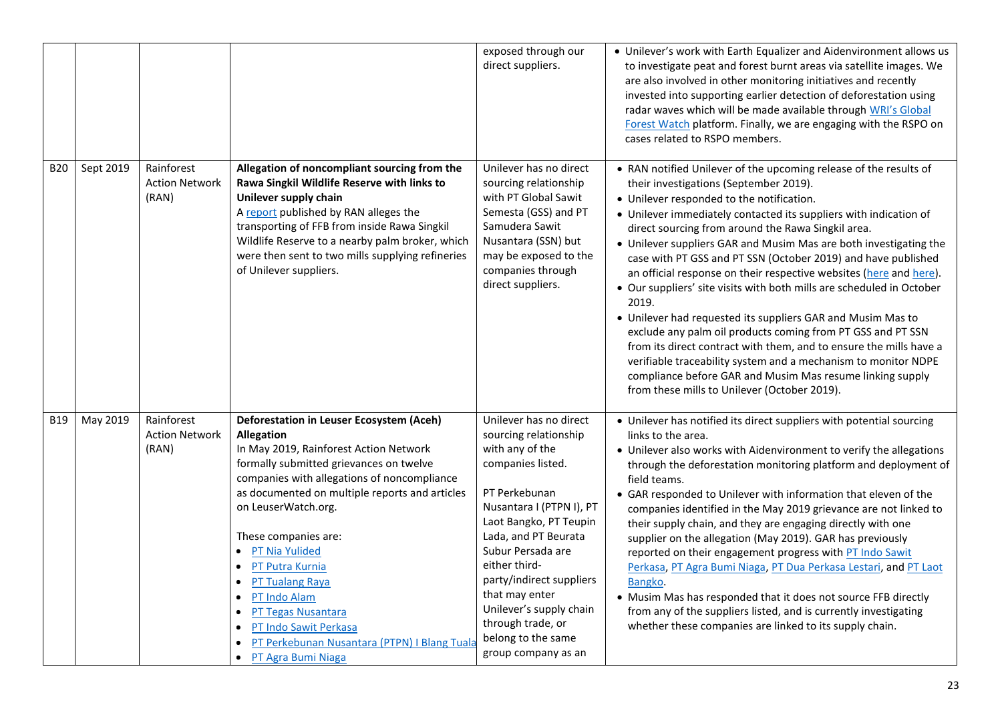|            |           |                                              |                                                                                                                                                                                                                                                                                                                                                                                                                                                                                                                        | exposed through our<br>direct suppliers.                                                                                                                                                                                                                                                                                                                                | • Unilever's work with Earth Equalizer and Aidenvironment allows us<br>to investigate peat and forest burnt areas via satellite images. We<br>are also involved in other monitoring initiatives and recently<br>invested into supporting earlier detection of deforestation using<br>radar waves which will be made available through WRI's Global<br>Forest Watch platform. Finally, we are engaging with the RSPO on<br>cases related to RSPO members.                                                                                                                                                                                                                                                                                                                                                                                                                                                                                                             |
|------------|-----------|----------------------------------------------|------------------------------------------------------------------------------------------------------------------------------------------------------------------------------------------------------------------------------------------------------------------------------------------------------------------------------------------------------------------------------------------------------------------------------------------------------------------------------------------------------------------------|-------------------------------------------------------------------------------------------------------------------------------------------------------------------------------------------------------------------------------------------------------------------------------------------------------------------------------------------------------------------------|----------------------------------------------------------------------------------------------------------------------------------------------------------------------------------------------------------------------------------------------------------------------------------------------------------------------------------------------------------------------------------------------------------------------------------------------------------------------------------------------------------------------------------------------------------------------------------------------------------------------------------------------------------------------------------------------------------------------------------------------------------------------------------------------------------------------------------------------------------------------------------------------------------------------------------------------------------------------|
| <b>B20</b> | Sept 2019 | Rainforest<br><b>Action Network</b><br>(RAN) | Allegation of noncompliant sourcing from the<br>Rawa Singkil Wildlife Reserve with links to<br>Unilever supply chain<br>A report published by RAN alleges the<br>transporting of FFB from inside Rawa Singkil<br>Wildlife Reserve to a nearby palm broker, which<br>were then sent to two mills supplying refineries<br>of Unilever suppliers.                                                                                                                                                                         | Unilever has no direct<br>sourcing relationship<br>with PT Global Sawit<br>Semesta (GSS) and PT<br>Samudera Sawit<br>Nusantara (SSN) but<br>may be exposed to the<br>companies through<br>direct suppliers.                                                                                                                                                             | • RAN notified Unilever of the upcoming release of the results of<br>their investigations (September 2019).<br>• Unilever responded to the notification.<br>• Unilever immediately contacted its suppliers with indication of<br>direct sourcing from around the Rawa Singkil area.<br>• Unilever suppliers GAR and Musim Mas are both investigating the<br>case with PT GSS and PT SSN (October 2019) and have published<br>an official response on their respective websites (here and here).<br>• Our suppliers' site visits with both mills are scheduled in October<br>2019.<br>• Unilever had requested its suppliers GAR and Musim Mas to<br>exclude any palm oil products coming from PT GSS and PT SSN<br>from its direct contract with them, and to ensure the mills have a<br>verifiable traceability system and a mechanism to monitor NDPE<br>compliance before GAR and Musim Mas resume linking supply<br>from these mills to Unilever (October 2019). |
| <b>B19</b> | May 2019  | Rainforest<br><b>Action Network</b><br>(RAN) | <b>Deforestation in Leuser Ecosystem (Aceh)</b><br><b>Allegation</b><br>In May 2019, Rainforest Action Network<br>formally submitted grievances on twelve<br>companies with allegations of noncompliance<br>as documented on multiple reports and articles<br>on LeuserWatch.org.<br>These companies are:<br><b>PT Nia Yulided</b><br>PT Putra Kurnia<br><b>PT Tualang Raya</b><br>PT Indo Alam<br>PT Tegas Nusantara<br>PT Indo Sawit Perkasa<br>PT Perkebunan Nusantara (PTPN) I Blang Tuala<br>• PT Agra Bumi Niaga | Unilever has no direct<br>sourcing relationship<br>with any of the<br>companies listed.<br>PT Perkebunan<br>Nusantara I (PTPN I), PT<br>Laot Bangko, PT Teupin<br>Lada, and PT Beurata<br>Subur Persada are<br>either third-<br>party/indirect suppliers<br>that may enter<br>Unilever's supply chain<br>through trade, or<br>belong to the same<br>group company as an | • Unilever has notified its direct suppliers with potential sourcing<br>links to the area.<br>• Unilever also works with Aidenvironment to verify the allegations<br>through the deforestation monitoring platform and deployment of<br>field teams.<br>• GAR responded to Unilever with information that eleven of the<br>companies identified in the May 2019 grievance are not linked to<br>their supply chain, and they are engaging directly with one<br>supplier on the allegation (May 2019). GAR has previously<br>reported on their engagement progress with PT Indo Sawit<br>Perkasa, PT Agra Bumi Niaga, PT Dua Perkasa Lestari, and PT Laot<br>Bangko.<br>• Musim Mas has responded that it does not source FFB directly<br>from any of the suppliers listed, and is currently investigating<br>whether these companies are linked to its supply chain.                                                                                                  |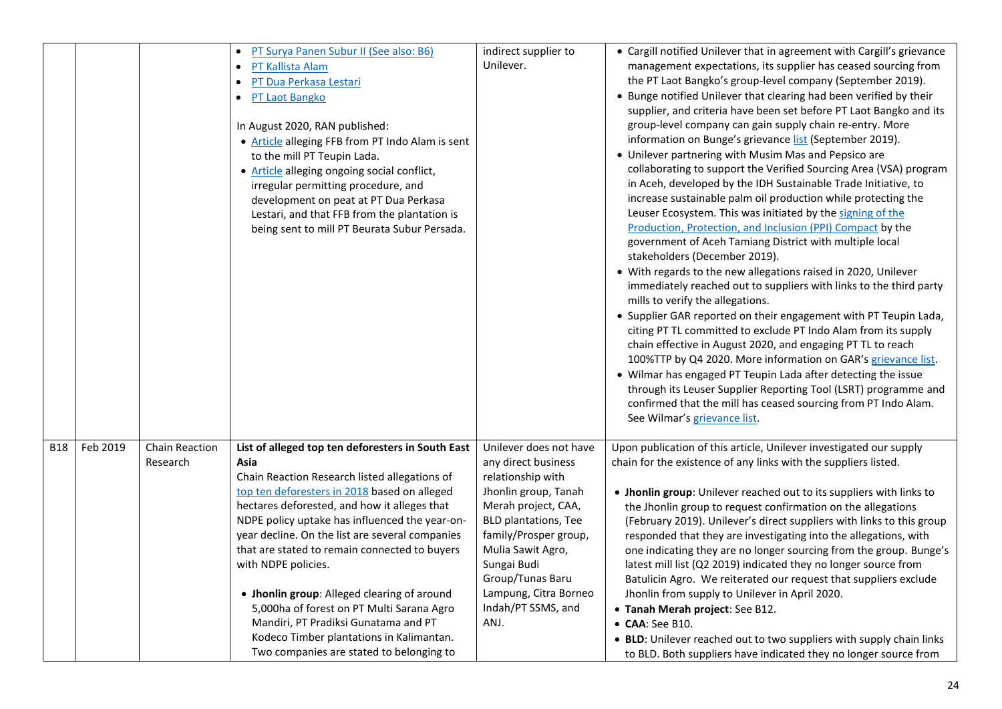|            |          |                            | PT Surya Panen Subur II (See also: B6)<br>PT Kallista Alam<br>PT Dua Perkasa Lestari<br>PT Laot Bangko<br>In August 2020, RAN published:<br>• Article alleging FFB from PT Indo Alam is sent<br>to the mill PT Teupin Lada.<br>• Article alleging ongoing social conflict,<br>irregular permitting procedure, and<br>development on peat at PT Dua Perkasa<br>Lestari, and that FFB from the plantation is<br>being sent to mill PT Beurata Subur Persada.                                                                                                                                                          | indirect supplier to<br>Unilever.                                                                                                                                                                                                                                                        | • Cargill notified Unilever that in agreement with Cargill's grievance<br>management expectations, its supplier has ceased sourcing from<br>the PT Laot Bangko's group-level company (September 2019).<br>• Bunge notified Unilever that clearing had been verified by their<br>supplier, and criteria have been set before PT Laot Bangko and its<br>group-level company can gain supply chain re-entry. More<br>information on Bunge's grievance list (September 2019).<br>• Unilever partnering with Musim Mas and Pepsico are<br>collaborating to support the Verified Sourcing Area (VSA) program<br>in Aceh, developed by the IDH Sustainable Trade Initiative, to<br>increase sustainable palm oil production while protecting the<br>Leuser Ecosystem. This was initiated by the signing of the<br>Production, Protection, and Inclusion (PPI) Compact by the<br>government of Aceh Tamiang District with multiple local<br>stakeholders (December 2019).<br>• With regards to the new allegations raised in 2020, Unilever<br>immediately reached out to suppliers with links to the third party<br>mills to verify the allegations.<br>• Supplier GAR reported on their engagement with PT Teupin Lada,<br>citing PT TL committed to exclude PT Indo Alam from its supply<br>chain effective in August 2020, and engaging PT TL to reach<br>100%TTP by Q4 2020. More information on GAR's grievance list.<br>• Wilmar has engaged PT Teupin Lada after detecting the issue<br>through its Leuser Supplier Reporting Tool (LSRT) programme and<br>confirmed that the mill has ceased sourcing from PT Indo Alam.<br>See Wilmar's grievance list. |
|------------|----------|----------------------------|---------------------------------------------------------------------------------------------------------------------------------------------------------------------------------------------------------------------------------------------------------------------------------------------------------------------------------------------------------------------------------------------------------------------------------------------------------------------------------------------------------------------------------------------------------------------------------------------------------------------|------------------------------------------------------------------------------------------------------------------------------------------------------------------------------------------------------------------------------------------------------------------------------------------|-----------------------------------------------------------------------------------------------------------------------------------------------------------------------------------------------------------------------------------------------------------------------------------------------------------------------------------------------------------------------------------------------------------------------------------------------------------------------------------------------------------------------------------------------------------------------------------------------------------------------------------------------------------------------------------------------------------------------------------------------------------------------------------------------------------------------------------------------------------------------------------------------------------------------------------------------------------------------------------------------------------------------------------------------------------------------------------------------------------------------------------------------------------------------------------------------------------------------------------------------------------------------------------------------------------------------------------------------------------------------------------------------------------------------------------------------------------------------------------------------------------------------------------------------------------------------------------------------------------------------------------------------------------|
| <b>B18</b> | Feb 2019 | Chain Reaction<br>Research | List of alleged top ten deforesters in South East<br>Asia<br>Chain Reaction Research listed allegations of<br>top ten deforesters in 2018 based on alleged<br>hectares deforested, and how it alleges that<br>NDPE policy uptake has influenced the year-on-<br>year decline. On the list are several companies<br>that are stated to remain connected to buyers<br>with NDPE policies.<br>• Jhonlin group: Alleged clearing of around<br>5,000ha of forest on PT Multi Sarana Agro<br>Mandiri, PT Pradiksi Gunatama and PT<br>Kodeco Timber plantations in Kalimantan.<br>Two companies are stated to belonging to | Unilever does not have<br>any direct business<br>relationship with<br>Jhonlin group, Tanah<br>Merah project, CAA,<br><b>BLD plantations, Tee</b><br>family/Prosper group,<br>Mulia Sawit Agro,<br>Sungai Budi<br>Group/Tunas Baru<br>Lampung, Citra Borneo<br>Indah/PT SSMS, and<br>ANJ. | Upon publication of this article, Unilever investigated our supply<br>chain for the existence of any links with the suppliers listed.<br>• Jhonlin group: Unilever reached out to its suppliers with links to<br>the Jhonlin group to request confirmation on the allegations<br>(February 2019). Unilever's direct suppliers with links to this group<br>responded that they are investigating into the allegations, with<br>one indicating they are no longer sourcing from the group. Bunge's<br>latest mill list (Q2 2019) indicated they no longer source from<br>Batulicin Agro. We reiterated our request that suppliers exclude<br>Jhonlin from supply to Unilever in April 2020.<br>• Tanah Merah project: See B12.<br>• CAA: See B10.<br>• BLD: Unilever reached out to two suppliers with supply chain links<br>to BLD. Both suppliers have indicated they no longer source from                                                                                                                                                                                                                                                                                                                                                                                                                                                                                                                                                                                                                                                                                                                                                               |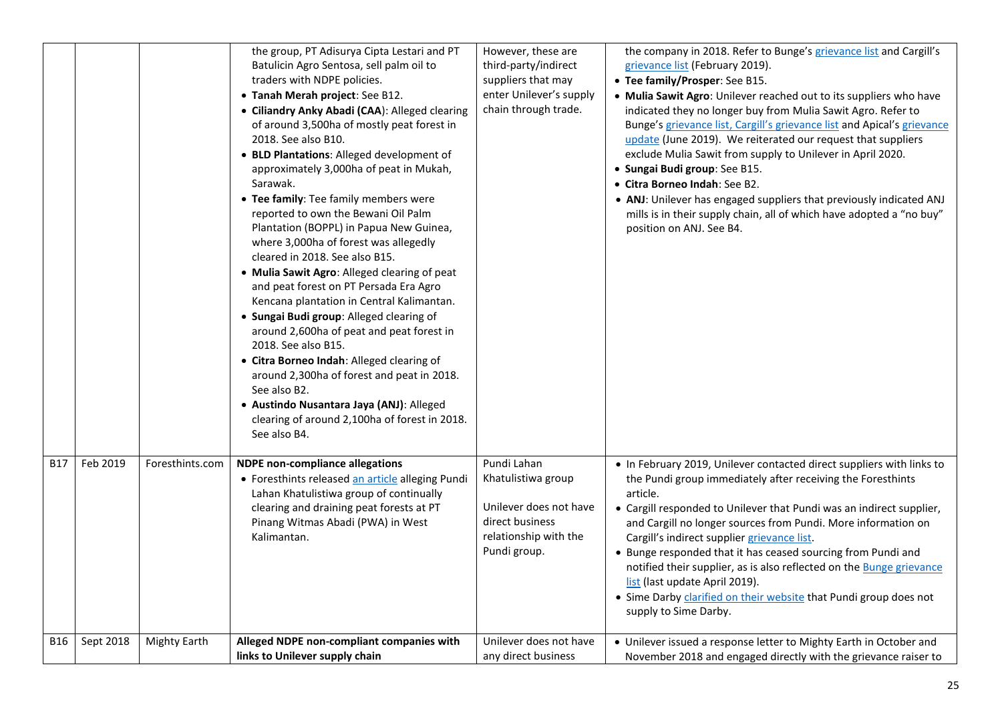|            |           |                     | the group, PT Adisurya Cipta Lestari and PT<br>Batulicin Agro Sentosa, sell palm oil to<br>traders with NDPE policies.<br>• Tanah Merah project: See B12.<br>· Ciliandry Anky Abadi (CAA): Alleged clearing<br>of around 3,500ha of mostly peat forest in<br>2018. See also B10.<br>• BLD Plantations: Alleged development of<br>approximately 3,000ha of peat in Mukah,<br>Sarawak.<br>• Tee family: Tee family members were<br>reported to own the Bewani Oil Palm<br>Plantation (BOPPL) in Papua New Guinea,<br>where 3,000ha of forest was allegedly<br>cleared in 2018. See also B15.<br>. Mulia Sawit Agro: Alleged clearing of peat<br>and peat forest on PT Persada Era Agro<br>Kencana plantation in Central Kalimantan.<br>· Sungai Budi group: Alleged clearing of<br>around 2,600ha of peat and peat forest in<br>2018. See also B15.<br>• Citra Borneo Indah: Alleged clearing of<br>around 2,300ha of forest and peat in 2018.<br>See also B2.<br>· Austindo Nusantara Jaya (ANJ): Alleged<br>clearing of around 2,100ha of forest in 2018.<br>See also B4. | However, these are<br>third-party/indirect<br>suppliers that may<br>enter Unilever's supply<br>chain through trade.     | the company in 2018. Refer to Bunge's grievance list and Cargill's<br>grievance list (February 2019).<br>• Tee family/Prosper: See B15.<br>. Mulia Sawit Agro: Unilever reached out to its suppliers who have<br>indicated they no longer buy from Mulia Sawit Agro. Refer to<br>Bunge's grievance list, Cargill's grievance list and Apical's grievance<br>update (June 2019). We reiterated our request that suppliers<br>exclude Mulia Sawit from supply to Unilever in April 2020.<br>· Sungai Budi group: See B15.<br>• Citra Borneo Indah: See B2.<br>• ANJ: Unilever has engaged suppliers that previously indicated ANJ<br>mills is in their supply chain, all of which have adopted a "no buy"<br>position on ANJ. See B4. |
|------------|-----------|---------------------|---------------------------------------------------------------------------------------------------------------------------------------------------------------------------------------------------------------------------------------------------------------------------------------------------------------------------------------------------------------------------------------------------------------------------------------------------------------------------------------------------------------------------------------------------------------------------------------------------------------------------------------------------------------------------------------------------------------------------------------------------------------------------------------------------------------------------------------------------------------------------------------------------------------------------------------------------------------------------------------------------------------------------------------------------------------------------|-------------------------------------------------------------------------------------------------------------------------|-------------------------------------------------------------------------------------------------------------------------------------------------------------------------------------------------------------------------------------------------------------------------------------------------------------------------------------------------------------------------------------------------------------------------------------------------------------------------------------------------------------------------------------------------------------------------------------------------------------------------------------------------------------------------------------------------------------------------------------|
| <b>B17</b> | Feb 2019  | Foresthints.com     | <b>NDPE non-compliance allegations</b><br>• Foresthints released an article alleging Pundi<br>Lahan Khatulistiwa group of continually<br>clearing and draining peat forests at PT<br>Pinang Witmas Abadi (PWA) in West<br>Kalimantan.                                                                                                                                                                                                                                                                                                                                                                                                                                                                                                                                                                                                                                                                                                                                                                                                                                     | Pundi Lahan<br>Khatulistiwa group<br>Unilever does not have<br>direct business<br>relationship with the<br>Pundi group. | • In February 2019, Unilever contacted direct suppliers with links to<br>the Pundi group immediately after receiving the Foresthints<br>article.<br>• Cargill responded to Unilever that Pundi was an indirect supplier,<br>and Cargill no longer sources from Pundi. More information on<br>Cargill's indirect supplier grievance list.<br>• Bunge responded that it has ceased sourcing from Pundi and<br>notified their supplier, as is also reflected on the <b>Bunge grievance</b><br>list (last update April 2019).<br>• Sime Darby <i>clarified on their website</i> that Pundi group does not<br>supply to Sime Darby.                                                                                                      |
| <b>B16</b> | Sept 2018 | <b>Mighty Earth</b> | Alleged NDPE non-compliant companies with<br>links to Unilever supply chain                                                                                                                                                                                                                                                                                                                                                                                                                                                                                                                                                                                                                                                                                                                                                                                                                                                                                                                                                                                               | Unilever does not have<br>any direct business                                                                           | • Unilever issued a response letter to Mighty Earth in October and<br>November 2018 and engaged directly with the grievance raiser to                                                                                                                                                                                                                                                                                                                                                                                                                                                                                                                                                                                               |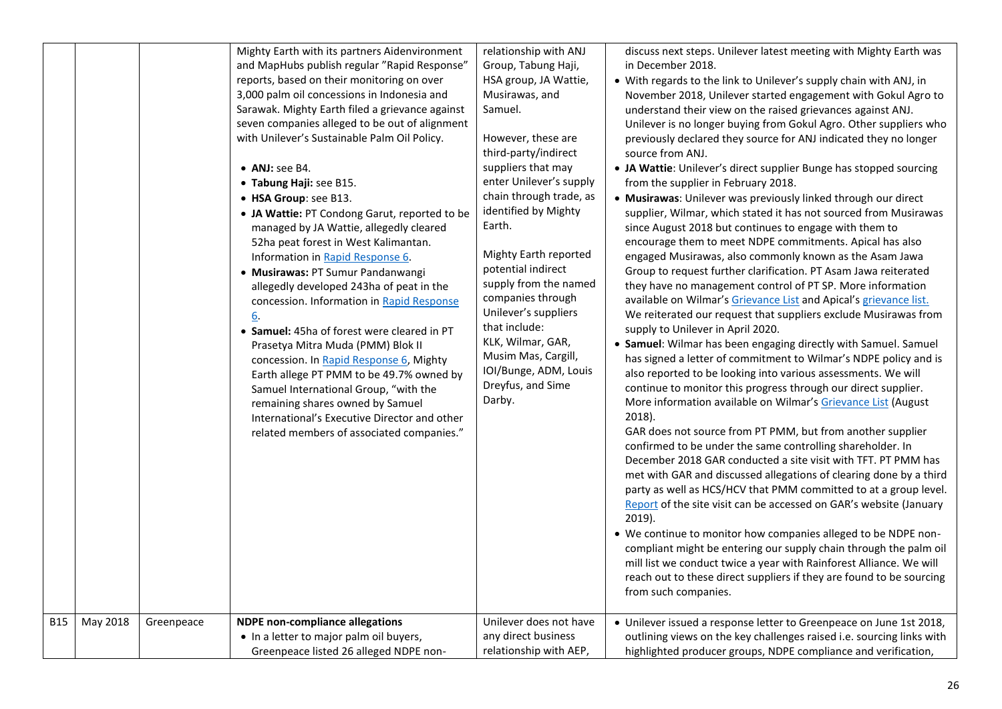|            |          |            | Mighty Earth with its partners Aidenvironment<br>and MapHubs publish regular "Rapid Response"<br>reports, based on their monitoring on over<br>3,000 palm oil concessions in Indonesia and<br>Sarawak. Mighty Earth filed a grievance against<br>seven companies alleged to be out of alignment<br>with Unilever's Sustainable Palm Oil Policy.<br>• ANJ: see B4.<br>• Tabung Haji: see B15.<br>• HSA Group: see B13.<br>• JA Wattie: PT Condong Garut, reported to be<br>managed by JA Wattie, allegedly cleared<br>52ha peat forest in West Kalimantan.<br>Information in Rapid Response 6.<br>· Musirawas: PT Sumur Pandanwangi<br>allegedly developed 243ha of peat in the<br>concession. Information in Rapid Response<br>6.<br>• Samuel: 45ha of forest were cleared in PT<br>Prasetya Mitra Muda (PMM) Blok II<br>concession. In Rapid Response 6, Mighty<br>Earth allege PT PMM to be 49.7% owned by<br>Samuel International Group, "with the<br>remaining shares owned by Samuel<br>International's Executive Director and other<br>related members of associated companies." | relationship with ANJ<br>Group, Tabung Haji,<br>HSA group, JA Wattie,<br>Musirawas, and<br>Samuel.<br>However, these are<br>third-party/indirect<br>suppliers that may<br>enter Unilever's supply<br>chain through trade, as<br>identified by Mighty<br>Earth.<br>Mighty Earth reported<br>potential indirect<br>supply from the named<br>companies through<br>Unilever's suppliers<br>that include:<br>KLK, Wilmar, GAR,<br>Musim Mas, Cargill,<br>IOI/Bunge, ADM, Louis<br>Dreyfus, and Sime<br>Darby. | discuss next steps. Unilever latest meeting with Mighty Earth was<br>in December 2018.<br>• With regards to the link to Unilever's supply chain with ANJ, in<br>November 2018, Unilever started engagement with Gokul Agro to<br>understand their view on the raised grievances against ANJ.<br>Unilever is no longer buying from Gokul Agro. Other suppliers who<br>previously declared they source for ANJ indicated they no longer<br>source from ANJ.<br>• JA Wattie: Unilever's direct supplier Bunge has stopped sourcing<br>from the supplier in February 2018.<br>· Musirawas: Unilever was previously linked through our direct<br>supplier, Wilmar, which stated it has not sourced from Musirawas<br>since August 2018 but continues to engage with them to<br>encourage them to meet NDPE commitments. Apical has also<br>engaged Musirawas, also commonly known as the Asam Jawa<br>Group to request further clarification. PT Asam Jawa reiterated<br>they have no management control of PT SP. More information<br>available on Wilmar's Grievance List and Apical's grievance list.<br>We reiterated our request that suppliers exclude Musirawas from<br>supply to Unilever in April 2020.<br>• Samuel: Wilmar has been engaging directly with Samuel. Samuel<br>has signed a letter of commitment to Wilmar's NDPE policy and is<br>also reported to be looking into various assessments. We will<br>continue to monitor this progress through our direct supplier.<br>More information available on Wilmar's Grievance List (August<br>2018).<br>GAR does not source from PT PMM, but from another supplier<br>confirmed to be under the same controlling shareholder. In<br>December 2018 GAR conducted a site visit with TFT. PT PMM has<br>met with GAR and discussed allegations of clearing done by a third<br>party as well as HCS/HCV that PMM committed to at a group level.<br>Report of the site visit can be accessed on GAR's website (January<br>2019).<br>• We continue to monitor how companies alleged to be NDPE non-<br>compliant might be entering our supply chain through the palm oil<br>mill list we conduct twice a year with Rainforest Alliance. We will<br>reach out to these direct suppliers if they are found to be sourcing<br>from such companies. |
|------------|----------|------------|----------------------------------------------------------------------------------------------------------------------------------------------------------------------------------------------------------------------------------------------------------------------------------------------------------------------------------------------------------------------------------------------------------------------------------------------------------------------------------------------------------------------------------------------------------------------------------------------------------------------------------------------------------------------------------------------------------------------------------------------------------------------------------------------------------------------------------------------------------------------------------------------------------------------------------------------------------------------------------------------------------------------------------------------------------------------------------------|----------------------------------------------------------------------------------------------------------------------------------------------------------------------------------------------------------------------------------------------------------------------------------------------------------------------------------------------------------------------------------------------------------------------------------------------------------------------------------------------------------|-------------------------------------------------------------------------------------------------------------------------------------------------------------------------------------------------------------------------------------------------------------------------------------------------------------------------------------------------------------------------------------------------------------------------------------------------------------------------------------------------------------------------------------------------------------------------------------------------------------------------------------------------------------------------------------------------------------------------------------------------------------------------------------------------------------------------------------------------------------------------------------------------------------------------------------------------------------------------------------------------------------------------------------------------------------------------------------------------------------------------------------------------------------------------------------------------------------------------------------------------------------------------------------------------------------------------------------------------------------------------------------------------------------------------------------------------------------------------------------------------------------------------------------------------------------------------------------------------------------------------------------------------------------------------------------------------------------------------------------------------------------------------------------------------------------------------------------------------------------------------------------------------------------------------------------------------------------------------------------------------------------------------------------------------------------------------------------------------------------------------------------------------------------------------------------------------------------------------------------------------------------------------------------------------------|
| <b>B15</b> | May 2018 | Greenpeace | <b>NDPE</b> non-compliance allegations                                                                                                                                                                                                                                                                                                                                                                                                                                                                                                                                                                                                                                                                                                                                                                                                                                                                                                                                                                                                                                                 | Unilever does not have                                                                                                                                                                                                                                                                                                                                                                                                                                                                                   | • Unilever issued a response letter to Greenpeace on June 1st 2018,                                                                                                                                                                                                                                                                                                                                                                                                                                                                                                                                                                                                                                                                                                                                                                                                                                                                                                                                                                                                                                                                                                                                                                                                                                                                                                                                                                                                                                                                                                                                                                                                                                                                                                                                                                                                                                                                                                                                                                                                                                                                                                                                                                                                                                   |
|            |          |            | • In a letter to major palm oil buyers,                                                                                                                                                                                                                                                                                                                                                                                                                                                                                                                                                                                                                                                                                                                                                                                                                                                                                                                                                                                                                                                | any direct business                                                                                                                                                                                                                                                                                                                                                                                                                                                                                      | outlining views on the key challenges raised i.e. sourcing links with                                                                                                                                                                                                                                                                                                                                                                                                                                                                                                                                                                                                                                                                                                                                                                                                                                                                                                                                                                                                                                                                                                                                                                                                                                                                                                                                                                                                                                                                                                                                                                                                                                                                                                                                                                                                                                                                                                                                                                                                                                                                                                                                                                                                                                 |
|            |          |            | Greenpeace listed 26 alleged NDPE non-                                                                                                                                                                                                                                                                                                                                                                                                                                                                                                                                                                                                                                                                                                                                                                                                                                                                                                                                                                                                                                                 | relationship with AEP,                                                                                                                                                                                                                                                                                                                                                                                                                                                                                   | highlighted producer groups, NDPE compliance and verification,                                                                                                                                                                                                                                                                                                                                                                                                                                                                                                                                                                                                                                                                                                                                                                                                                                                                                                                                                                                                                                                                                                                                                                                                                                                                                                                                                                                                                                                                                                                                                                                                                                                                                                                                                                                                                                                                                                                                                                                                                                                                                                                                                                                                                                        |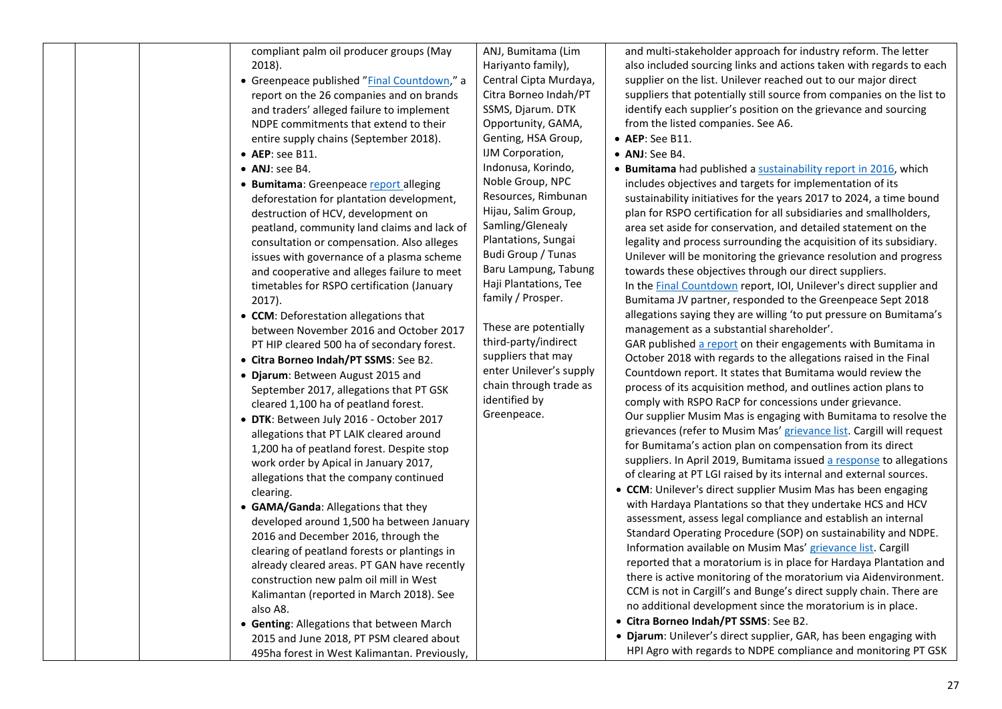| compliant palm oil producer groups (May<br>2018).<br>• Greenpeace published "Final Countdown," a<br>report on the 26 companies and on brands<br>and traders' alleged failure to implement<br>NDPE commitments that extend to their<br>entire supply chains (September 2018).<br>• AEP: see B11.<br>• ANJ: see B4.<br>• Bumitama: Greenpeace report alleging<br>deforestation for plantation development,<br>destruction of HCV, development on<br>peatland, community land claims and lack of<br>consultation or compensation. Also alleges<br>issues with governance of a plasma scheme<br>and cooperative and alleges failure to meet<br>timetables for RSPO certification (January<br>2017).<br>• CCM: Deforestation allegations that<br>between November 2016 and October 2017<br>PT HIP cleared 500 ha of secondary forest.<br>• Citra Borneo Indah/PT SSMS: See B2.<br>· Djarum: Between August 2015 and<br>September 2017, allegations that PT GSK<br>cleared 1,100 ha of peatland forest.<br>· DTK: Between July 2016 - October 2017<br>allegations that PT LAIK cleared around<br>1,200 ha of peatland forest. Despite stop | ANJ, Bumitama (Lim<br>Hariyanto family),<br>Central Cipta Murdaya,<br>Citra Borneo Indah/PT<br>SSMS, Djarum. DTK<br>Opportunity, GAMA,<br>Genting, HSA Group,<br>IJM Corporation,<br>Indonusa, Korindo,<br>Noble Group, NPC<br>Resources, Rimbunan<br>Hijau, Salim Group,<br>Samling/Glenealy<br>Plantations, Sungai<br>Budi Group / Tunas<br>Baru Lampung, Tabung<br>Haji Plantations, Tee<br>family / Prosper.<br>These are potentially<br>third-party/indirect<br>suppliers that may<br>enter Unilever's supply<br>chain through trade as<br>identified by<br>Greenpeace. | and multi-stakeholder approach for industry reform. The letter<br>also included sourcing links and actions taken with regards to each<br>supplier on the list. Unilever reached out to our major direct<br>suppliers that potentially still source from companies on the list to<br>identify each supplier's position on the grievance and sourcing<br>from the listed companies. See A6.<br>$\bullet$ AEP: See B11.<br>• ANJ: See B4.<br>• Bumitama had published a sustainability report in 2016, which<br>includes objectives and targets for implementation of its<br>sustainability initiatives for the years 2017 to 2024, a time bound<br>plan for RSPO certification for all subsidiaries and smallholders,<br>area set aside for conservation, and detailed statement on the<br>legality and process surrounding the acquisition of its subsidiary.<br>Unilever will be monitoring the grievance resolution and progress<br>towards these objectives through our direct suppliers.<br>In the Final Countdown report, IOI, Unilever's direct supplier and<br>Bumitama JV partner, responded to the Greenpeace Sept 2018<br>allegations saying they are willing 'to put pressure on Bumitama's<br>management as a substantial shareholder'.<br>GAR published a report on their engagements with Bumitama in<br>October 2018 with regards to the allegations raised in the Final<br>Countdown report. It states that Bumitama would review the<br>process of its acquisition method, and outlines action plans to<br>comply with RSPO RaCP for concessions under grievance.<br>Our supplier Musim Mas is engaging with Bumitama to resolve the<br>grievances (refer to Musim Mas' grievance list. Cargill will request<br>for Bumitama's action plan on compensation from its direct |
|--------------------------------------------------------------------------------------------------------------------------------------------------------------------------------------------------------------------------------------------------------------------------------------------------------------------------------------------------------------------------------------------------------------------------------------------------------------------------------------------------------------------------------------------------------------------------------------------------------------------------------------------------------------------------------------------------------------------------------------------------------------------------------------------------------------------------------------------------------------------------------------------------------------------------------------------------------------------------------------------------------------------------------------------------------------------------------------------------------------------------------------|------------------------------------------------------------------------------------------------------------------------------------------------------------------------------------------------------------------------------------------------------------------------------------------------------------------------------------------------------------------------------------------------------------------------------------------------------------------------------------------------------------------------------------------------------------------------------|--------------------------------------------------------------------------------------------------------------------------------------------------------------------------------------------------------------------------------------------------------------------------------------------------------------------------------------------------------------------------------------------------------------------------------------------------------------------------------------------------------------------------------------------------------------------------------------------------------------------------------------------------------------------------------------------------------------------------------------------------------------------------------------------------------------------------------------------------------------------------------------------------------------------------------------------------------------------------------------------------------------------------------------------------------------------------------------------------------------------------------------------------------------------------------------------------------------------------------------------------------------------------------------------------------------------------------------------------------------------------------------------------------------------------------------------------------------------------------------------------------------------------------------------------------------------------------------------------------------------------------------------------------------------------------------------------------------------------------------------------------------------------------------------|
|                                                                                                                                                                                                                                                                                                                                                                                                                                                                                                                                                                                                                                                                                                                                                                                                                                                                                                                                                                                                                                                                                                                                      |                                                                                                                                                                                                                                                                                                                                                                                                                                                                                                                                                                              |                                                                                                                                                                                                                                                                                                                                                                                                                                                                                                                                                                                                                                                                                                                                                                                                                                                                                                                                                                                                                                                                                                                                                                                                                                                                                                                                                                                                                                                                                                                                                                                                                                                                                                                                                                                            |
|                                                                                                                                                                                                                                                                                                                                                                                                                                                                                                                                                                                                                                                                                                                                                                                                                                                                                                                                                                                                                                                                                                                                      |                                                                                                                                                                                                                                                                                                                                                                                                                                                                                                                                                                              |                                                                                                                                                                                                                                                                                                                                                                                                                                                                                                                                                                                                                                                                                                                                                                                                                                                                                                                                                                                                                                                                                                                                                                                                                                                                                                                                                                                                                                                                                                                                                                                                                                                                                                                                                                                            |
|                                                                                                                                                                                                                                                                                                                                                                                                                                                                                                                                                                                                                                                                                                                                                                                                                                                                                                                                                                                                                                                                                                                                      |                                                                                                                                                                                                                                                                                                                                                                                                                                                                                                                                                                              |                                                                                                                                                                                                                                                                                                                                                                                                                                                                                                                                                                                                                                                                                                                                                                                                                                                                                                                                                                                                                                                                                                                                                                                                                                                                                                                                                                                                                                                                                                                                                                                                                                                                                                                                                                                            |
| work order by Apical in January 2017,<br>allegations that the company continued<br>clearing.                                                                                                                                                                                                                                                                                                                                                                                                                                                                                                                                                                                                                                                                                                                                                                                                                                                                                                                                                                                                                                         |                                                                                                                                                                                                                                                                                                                                                                                                                                                                                                                                                                              | suppliers. In April 2019, Bumitama issued a response to allegations<br>of clearing at PT LGI raised by its internal and external sources.<br>• CCM: Unilever's direct supplier Musim Mas has been engaging                                                                                                                                                                                                                                                                                                                                                                                                                                                                                                                                                                                                                                                                                                                                                                                                                                                                                                                                                                                                                                                                                                                                                                                                                                                                                                                                                                                                                                                                                                                                                                                 |
| • GAMA/Ganda: Allegations that they<br>developed around 1,500 ha between January<br>2016 and December 2016, through the<br>clearing of peatland forests or plantings in<br>already cleared areas. PT GAN have recently<br>construction new palm oil mill in West                                                                                                                                                                                                                                                                                                                                                                                                                                                                                                                                                                                                                                                                                                                                                                                                                                                                     |                                                                                                                                                                                                                                                                                                                                                                                                                                                                                                                                                                              | with Hardaya Plantations so that they undertake HCS and HCV<br>assessment, assess legal compliance and establish an internal<br>Standard Operating Procedure (SOP) on sustainability and NDPE.<br>Information available on Musim Mas' grievance list. Cargill<br>reported that a moratorium is in place for Hardaya Plantation and<br>there is active monitoring of the moratorium via Aidenvironment.                                                                                                                                                                                                                                                                                                                                                                                                                                                                                                                                                                                                                                                                                                                                                                                                                                                                                                                                                                                                                                                                                                                                                                                                                                                                                                                                                                                     |
| Kalimantan (reported in March 2018). See<br>also A8.<br>• Genting: Allegations that between March<br>2015 and June 2018, PT PSM cleared about                                                                                                                                                                                                                                                                                                                                                                                                                                                                                                                                                                                                                                                                                                                                                                                                                                                                                                                                                                                        |                                                                                                                                                                                                                                                                                                                                                                                                                                                                                                                                                                              | CCM is not in Cargill's and Bunge's direct supply chain. There are<br>no additional development since the moratorium is in place.<br>· Citra Borneo Indah/PT SSMS: See B2.<br>· Djarum: Unilever's direct supplier, GAR, has been engaging with                                                                                                                                                                                                                                                                                                                                                                                                                                                                                                                                                                                                                                                                                                                                                                                                                                                                                                                                                                                                                                                                                                                                                                                                                                                                                                                                                                                                                                                                                                                                            |
| 495ha forest in West Kalimantan. Previously,                                                                                                                                                                                                                                                                                                                                                                                                                                                                                                                                                                                                                                                                                                                                                                                                                                                                                                                                                                                                                                                                                         |                                                                                                                                                                                                                                                                                                                                                                                                                                                                                                                                                                              | HPI Agro with regards to NDPE compliance and monitoring PT GSK                                                                                                                                                                                                                                                                                                                                                                                                                                                                                                                                                                                                                                                                                                                                                                                                                                                                                                                                                                                                                                                                                                                                                                                                                                                                                                                                                                                                                                                                                                                                                                                                                                                                                                                             |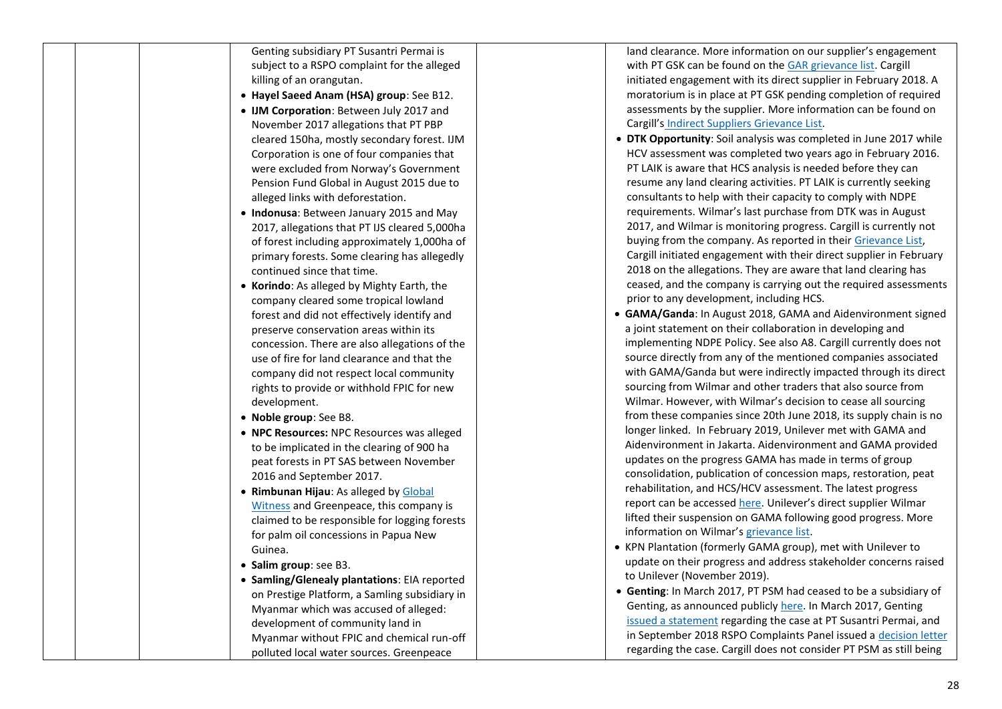|  | Genting subsidiary PT Susantri Permai is<br>subject to a RSPO complaint for the alleged<br>killing of an orangutan.<br>• Hayel Saeed Anam (HSA) group: See B12.<br>• IJM Corporation: Between July 2017 and<br>November 2017 allegations that PT PBP<br>cleared 150ha, mostly secondary forest. IJM<br>Corporation is one of four companies that<br>were excluded from Norway's Government<br>Pension Fund Global in August 2015 due to<br>alleged links with deforestation.<br>• Indonusa: Between January 2015 and May<br>2017, allegations that PT IJS cleared 5,000ha<br>of forest including approximately 1,000ha of<br>primary forests. Some clearing has allegedly<br>continued since that time.<br>• Korindo: As alleged by Mighty Earth, the<br>company cleared some tropical lowland<br>forest and did not effectively identify and<br>preserve conservation areas within its<br>concession. There are also allegations of the<br>use of fire for land clearance and that the<br>company did not respect local community<br>rights to provide or withhold FPIC for new<br>development.<br>• Noble group: See B8.<br>• NPC Resources: NPC Resources was alleged<br>to be implicated in the clearing of 900 ha<br>peat forests in PT SAS between November<br>2016 and September 2017.<br>• Rimbunan Hijau: As alleged by Global<br>Witness and Greenpeace, this company is<br>claimed to be responsible for logging forests<br>for palm oil concessions in Papua New<br>Guinea.<br>• Salim group: see B3.<br>• Samling/Glenealy plantations: EIA reported<br>on Prestige Platform, a Samling subsidiary in |  |
|--|--------------------------------------------------------------------------------------------------------------------------------------------------------------------------------------------------------------------------------------------------------------------------------------------------------------------------------------------------------------------------------------------------------------------------------------------------------------------------------------------------------------------------------------------------------------------------------------------------------------------------------------------------------------------------------------------------------------------------------------------------------------------------------------------------------------------------------------------------------------------------------------------------------------------------------------------------------------------------------------------------------------------------------------------------------------------------------------------------------------------------------------------------------------------------------------------------------------------------------------------------------------------------------------------------------------------------------------------------------------------------------------------------------------------------------------------------------------------------------------------------------------------------------------------------------------------------------------------------------------------|--|
|  | Myanmar which was accused of alleged:<br>development of community land in<br>Myanmar without FPIC and chemical run-off                                                                                                                                                                                                                                                                                                                                                                                                                                                                                                                                                                                                                                                                                                                                                                                                                                                                                                                                                                                                                                                                                                                                                                                                                                                                                                                                                                                                                                                                                             |  |
|  | polluted local water sources. Greenpeace                                                                                                                                                                                                                                                                                                                                                                                                                                                                                                                                                                                                                                                                                                                                                                                                                                                                                                                                                                                                                                                                                                                                                                                                                                                                                                                                                                                                                                                                                                                                                                           |  |

land clearance. More information on our supplier's engagement with PT GSK can be found on the <u>GAR [grievance list](https://goldenagri.com.sg/sustainability-dashboard/grievance-data)</u>. Cargill initiated engagement with its direct supplier in February 2018. A moratorium is in place at PT GSK pending completion of required assessments by the supplier. More information can be found on Cargill's [Indirect Suppliers Grievance List](https://www.cargill.com/sustainability/palm-oil/managing-grievances).

- **DTK Opportunity**: Soil analysis was completed in June 2017 while HCV assessment was completed two years ago in February 2016. PT LAIK is aware that HCS analysis is needed before they can resume any land clearing activities. PT LAIK is currently seeking consultants to help with their capacity to comply with NDPE requirements. Wilmar's last purchase from DTK was in August 2017, and Wilmar is monitoring progress. Cargill is currently not buying from the company. As reported in their [Grievance List,](https://www.cargill.com/sustainability/palm-oil/managing-grievances) Cargill initiated engagement with their direct supplier in February 2018 on the allegations. They are aware that land clearing has ceased, and the company is carrying out the required assessments prior to any development, including HCS.
- **GAMA/Ganda**: In August 2018, GAMA and Aid environment signed a joint statement on their collaboration in developing and implementing NDPE Policy. See also A8 . Cargill currently does not source directly from any of the mentioned companies associated with GAMA/Ganda but were indirectly impacted through its direct sourcing from Wilmar and other traders that also source from Wilmar. However, with Wilmar's decision to cease all sourcing from these companies since 20th June 2018, its supply chain is no longer linked. In February 2019, Unilever met with GAMA and Aid environment in Jakarta. Aid environment and GAMA provided updates on the progress GAMA has made in terms of group consolidation, publication of concession maps, restoration, peat rehabilitation, and HCS/HCV assessment. The latest progress report can be accessed <u>here</u>. Unilever's direct supplier Wilmar lifted their suspension on GAMA following good progress. More information on Wilmar's [grievance list](https://www.wilmar-international.com/sustainability/grievance-procedure/).
- KPN Plantation (formerly GAMA group), met with Unilever to update on their progress and address stakeholder concerns raised to Unilever (November 2019).
- **Genting**: In March 2017, PT PSM had ceased to be a subsidiary of Genting, as announced publicly [here.](http://disclosure.bursamalaysia.com/FileAccess/viewHtml?e=2744060) In March 2017, Genting [issued a statemen](http://www.gentingplantations.com/wp-content/uploads/2016/10/2017-Statement-by-PT-SP.pdf?_sm_au_=iVVRWfsfF6PnPTn7)t regarding the case at PT Susantri Permai, and in September 2018 RSPO Complaints Panel issued a [decision letter](https://ap1.salesforce.com/sfc/p/) regarding the case. Cargill does not consider PT PSM as still being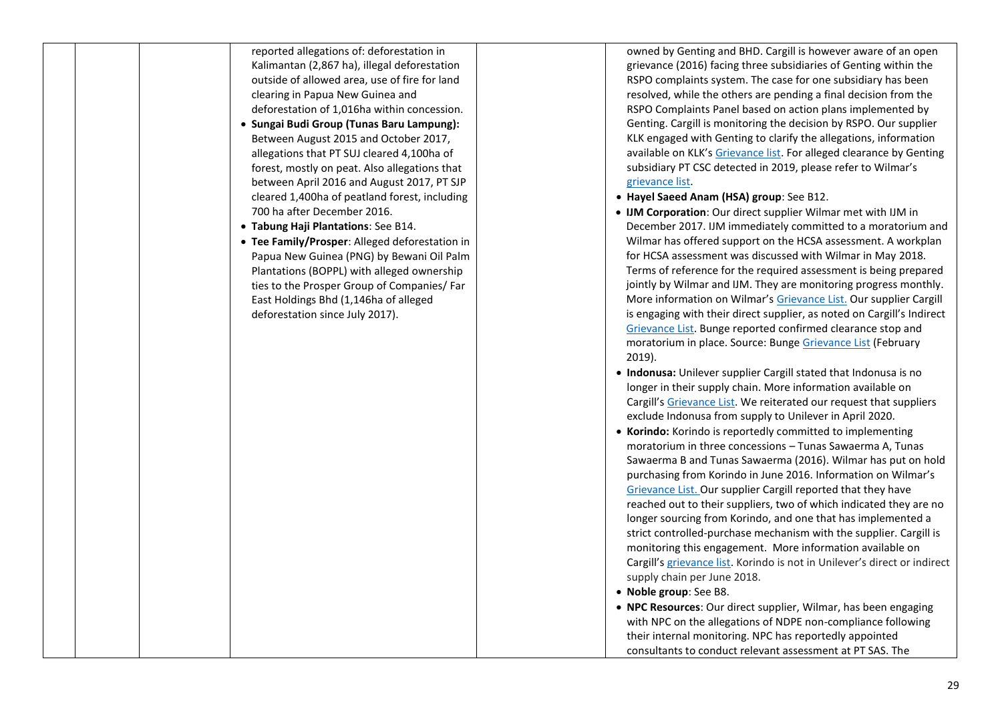reported allegations of: deforestation in Kalimantan (2,867 ha), illegal deforestation outside of allowed area, use of fire for land clearing in Papua New Guinea and deforestation of 1,016ha within concession.

- **Sungai Budi Group (Tunas Baru Lampung):** Between August 2015 and October 2017, allegations that PT SUJ cleared 4,100ha of forest, mostly on peat. Also allegations that between April 2016 and August 2017, PT SJP cleared 1,400ha of peatland forest, including 700 ha after December 2016.
- **Tabung Haji Plantations**: See B14.
- **Tee Family/Prosper**: Alleged deforestation in Papua New Guinea (PNG) by Bewani Oil Palm Plantations (BOPPL) with alleged ownership ties to the Prosper Group of Companies/ Far East Holdings Bhd (1,146ha of alleged deforestation since July 2017).

owned by Genting and BHD. Cargill is however aware of an open grievance (2016) facing three subsidiaries of Genting within the RSPO complaints system. The case for one subsidiary has been resolved, while the others are pending a final decision from the RSPO Complaints Panel based on action plans implemented by Genting. Cargill is monitoring the decision by RSPO. Our supplier KLK engaged with Genting to clarify the allegations, information available on KLK's [Grievance list.](https://www.klk.com.my/sustainability/grievance/) For alleged clearance by Genting subsidiary PT CSC detected in 2019, please refer to Wilmar's [grievance list.](https://www.wilmar-international.com/sustainability/grievance-procedure/)

- **Hayel Saeed Anam (HSA) group**: See B12.
- **IJM Corporation**: Our direct supplier Wilmar met with IJM in December 2017. IJM immediately committed to a moratorium and Wilmar has offered support on the HCSA assessment. A workplan for HCSA assessment was discussed with Wilmar in May 2018. Terms of reference for the required assessment is being prepared jointly by Wilmar and IJM. They are monitoring progress monthly. More information on Wilmar's [Grievance List.](https://www.wilmar-international.com/sustainability/grievance-procedure/) Our supplier Cargill is engaging with their direct supplier, as noted on Cargill's Indirect [Grievance List.](https://www.cargill.com/page/indirect-supplier-grievances) Bunge reported confirmed clearance stop and moratorium in place. Source: Bung[e Grievance List](http://europe.bungeloders.com/images/applications/Bunge_and_Bunge_Loders_Croklaan_Integrated_Grievance_List.pdf) (February 2019).
- **Indonusa:** Unilever supplier Cargill stated that Indonusa is no longer in their supply chain. More information available on Cargill's [Grievance List.](https://www.cargill.com/sustainability/palm-oil/managing-grievances) We reiterated our request that suppliers exclude Indonusa from supply to Unilever in April 2020.
- **Korindo:** Korindo is reportedly committed to implementing moratorium in three concessions – Tunas Sawaerma A, Tunas Sawaerma B and Tunas Sawaerma (2016). Wilmar has put on hold purchasing from Korindo in June 2016. Information on Wilmar's [Grievance List.](https://www.wilmar-international.com/sustainability/grievance-procedure/) Our supplier Cargill reported that they have reached out to their suppliers, two of which indicated they are no longer sourcing from Korindo, and one that has implemented a strict controlled-purchase mechanism with the supplier. Cargill is monitoring this engagement. More information available on Cargill's [grievance list.](https://www.cargill.com/sustainability/palm-oil/managing-grievances) Korindo is not in Unilever's direct or indirect supply chain per June 2018.
- **Noble group**: See B8.
- **NPC Resources**: Our direct supplier, Wilmar, has been engaging with NPC on the allegations of NDPE non-compliance following their internal monitoring. NPC has reportedly appointed consultants to conduct relevant assessment at PT SAS. The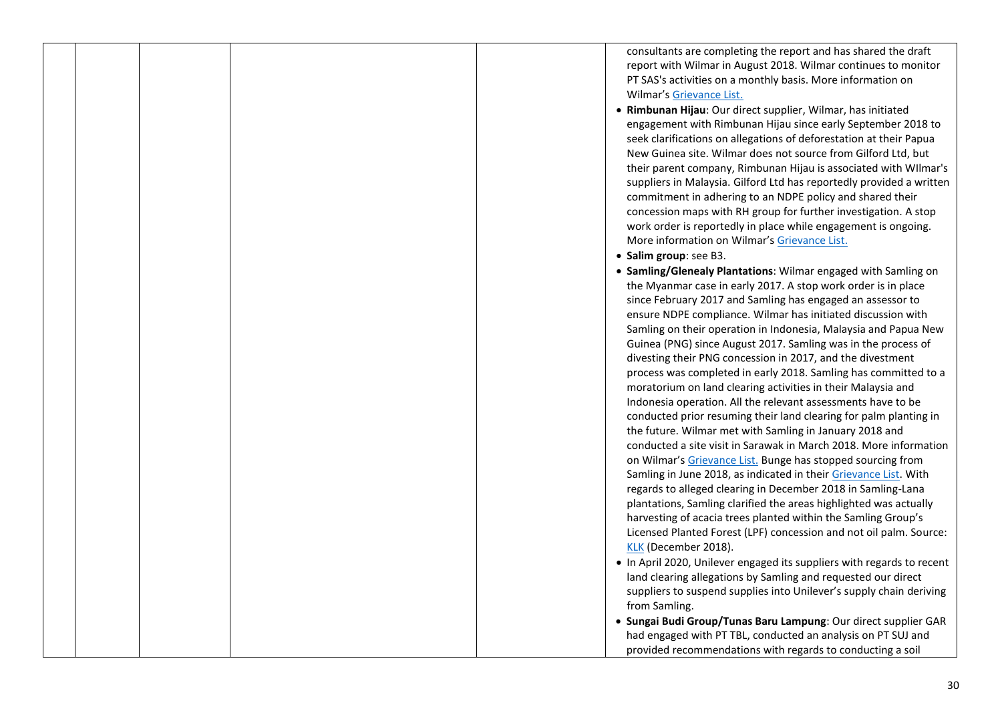consultants are completing the report and has shared the draft report with Wilmar in August 2018. Wilmar continues to monitor PT SAS's activities on a monthly basis. More information on Wilmar's [Grievance List.](https://www.wilmar-international.com/sustainability/grievance-procedure/)

- **Rimbunan Hijau**: Our direct supplier, Wilmar, has initiated engagement with Rimbunan Hijau since early September 2018 to seek clarifications on allegations of deforestation at their Papua New Guinea site. Wilmar does not source from Gilford Ltd, but their parent company, Rimbunan Hijau is associated with WIlmar's suppliers in Malaysia. Gilford Ltd has reportedly provided a written commitment in adhering to an NDPE policy and shared their concession maps with RH group for further investigation. A stop work order is reportedly in place while engagement is ongoing. More information on Wilmar's [Grievance List.](https://www.wilmar-international.com/sustainability/grievance-procedure/)
- **Salim group**: see B3.
- **Samling/Glenealy Plantations**: Wilmar engaged with Samling on the Myanmar case in early 2017. A stop work order is in place since February 2017 and Samling has engaged an assessor to ensure NDPE compliance. Wilmar has initiated discussion with Samling on their operation in Indonesia, Malaysia and Papua New Guinea (PNG) since August 2017. Samling was in the process of divesting their PNG concession in 2017, and the divestment process was completed in early 2018. Samling has committed to a moratorium on land clearing activities in their Malaysia and Indonesia operation. All the relevant assessments have to be conducted prior resuming their land clearing for palm planting in the future. Wilmar met with Samling in January 2018 and conducted a site visit in Sarawak in March 2018. More information on Wilmar's [Grievance List.](https://www.wilmar-international.com/sustainability/grievance-procedure/) Bunge has stopped sourcing from Samling in June 2018, as indicated in their [Grievance List.](http://europe.bungeloders.com/images/applications/Bunge_and_Bunge_Loders_Croklaan_Integrated_Grievance_List.pdf) With regards to alleged clearing in December 2018 in Samling-Lana plantations, Samling clarified the areas highlighted was actually harvesting of acacia trees planted within the Samling Group's Licensed Planted Forest (LPF) concession and not oil palm. Source: [KLK](https://www.klk.com.my/sustainability/grievance/) (December 2018). • In April 2020, Unilever engaged its suppliers with regards to recent
	- land clearing allegations by Samling and requested our direct suppliers to suspend supplies into Unilever's supply chain deriving from Samling.
- **Sungai Budi Group/Tunas Baru Lampung**: Our direct supplier GAR had engaged with PT TBL, conducted an analysis on PT SUJ and provided recommendations with regards to conducting a soil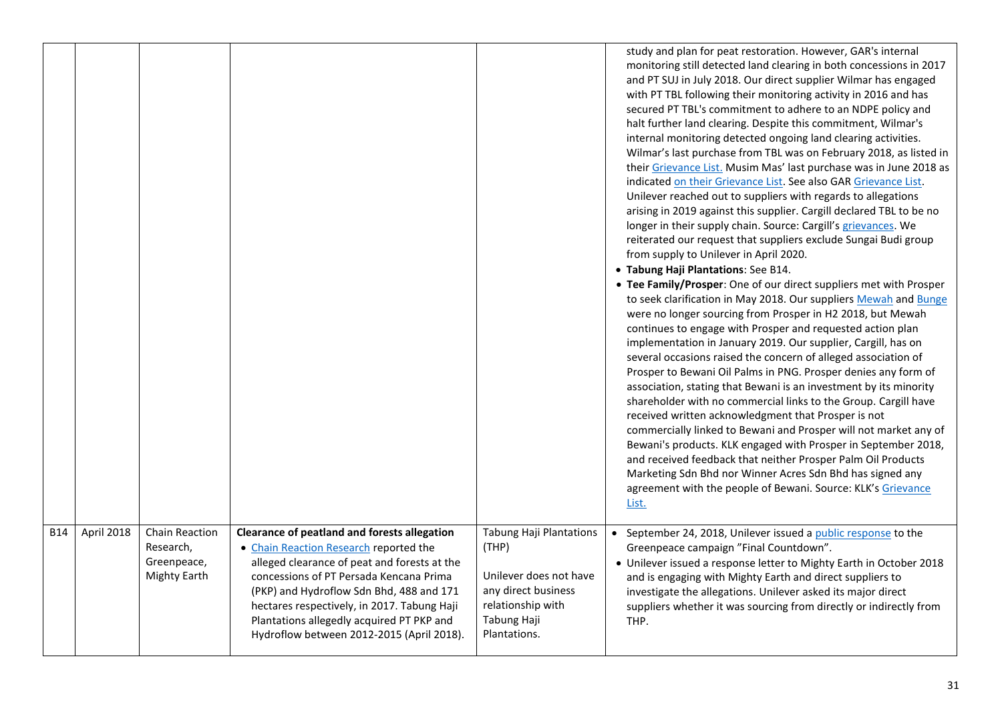|            |            |                                                                   |                                                                                                                                                                                                                                                                                                                                                                               |                                                                                                                                              | study and plan for peat restoration. However, GAR's internal<br>monitoring still detected land clearing in both concessions in 2017<br>and PT SUJ in July 2018. Our direct supplier Wilmar has engaged<br>with PT TBL following their monitoring activity in 2016 and has<br>secured PT TBL's commitment to adhere to an NDPE policy and<br>halt further land clearing. Despite this commitment, Wilmar's<br>internal monitoring detected ongoing land clearing activities.<br>Wilmar's last purchase from TBL was on February 2018, as listed in<br>their Grievance List. Musim Mas' last purchase was in June 2018 as<br>indicated on their Grievance List. See also GAR Grievance List.<br>Unilever reached out to suppliers with regards to allegations<br>arising in 2019 against this supplier. Cargill declared TBL to be no<br>longer in their supply chain. Source: Cargill's grievances. We<br>reiterated our request that suppliers exclude Sungai Budi group<br>from supply to Unilever in April 2020.<br>• Tabung Haji Plantations: See B14.<br>• Tee Family/Prosper: One of our direct suppliers met with Prosper<br>to seek clarification in May 2018. Our suppliers Mewah and Bunge<br>were no longer sourcing from Prosper in H2 2018, but Mewah<br>continues to engage with Prosper and requested action plan<br>implementation in January 2019. Our supplier, Cargill, has on<br>several occasions raised the concern of alleged association of<br>Prosper to Bewani Oil Palms in PNG. Prosper denies any form of<br>association, stating that Bewani is an investment by its minority<br>shareholder with no commercial links to the Group. Cargill have<br>received written acknowledgment that Prosper is not<br>commercially linked to Bewani and Prosper will not market any of<br>Bewani's products. KLK engaged with Prosper in September 2018,<br>and received feedback that neither Prosper Palm Oil Products<br>Marketing Sdn Bhd nor Winner Acres Sdn Bhd has signed any<br>agreement with the people of Bewani. Source: KLK's Grievance<br>List. |
|------------|------------|-------------------------------------------------------------------|-------------------------------------------------------------------------------------------------------------------------------------------------------------------------------------------------------------------------------------------------------------------------------------------------------------------------------------------------------------------------------|----------------------------------------------------------------------------------------------------------------------------------------------|---------------------------------------------------------------------------------------------------------------------------------------------------------------------------------------------------------------------------------------------------------------------------------------------------------------------------------------------------------------------------------------------------------------------------------------------------------------------------------------------------------------------------------------------------------------------------------------------------------------------------------------------------------------------------------------------------------------------------------------------------------------------------------------------------------------------------------------------------------------------------------------------------------------------------------------------------------------------------------------------------------------------------------------------------------------------------------------------------------------------------------------------------------------------------------------------------------------------------------------------------------------------------------------------------------------------------------------------------------------------------------------------------------------------------------------------------------------------------------------------------------------------------------------------------------------------------------------------------------------------------------------------------------------------------------------------------------------------------------------------------------------------------------------------------------------------------------------------------------------------------------------------------------------------------------------------------------------------------------------------------------------------------------------------------------------------------------|
| <b>B14</b> | April 2018 | Chain Reaction<br>Research,<br>Greenpeace,<br><b>Mighty Earth</b> | <b>Clearance of peatland and forests allegation</b><br>• Chain Reaction Research reported the<br>alleged clearance of peat and forests at the<br>concessions of PT Persada Kencana Prima<br>(PKP) and Hydroflow Sdn Bhd, 488 and 171<br>hectares respectively, in 2017. Tabung Haji<br>Plantations allegedly acquired PT PKP and<br>Hydroflow between 2012-2015 (April 2018). | <b>Tabung Haji Plantations</b><br>(THP)<br>Unilever does not have<br>any direct business<br>relationship with<br>Tabung Haji<br>Plantations. | September 24, 2018, Unilever issued a public response to the<br>Greenpeace campaign "Final Countdown".<br>• Unilever issued a response letter to Mighty Earth in October 2018<br>and is engaging with Mighty Earth and direct suppliers to<br>investigate the allegations. Unilever asked its major direct<br>suppliers whether it was sourcing from directly or indirectly from<br>THP.                                                                                                                                                                                                                                                                                                                                                                                                                                                                                                                                                                                                                                                                                                                                                                                                                                                                                                                                                                                                                                                                                                                                                                                                                                                                                                                                                                                                                                                                                                                                                                                                                                                                                        |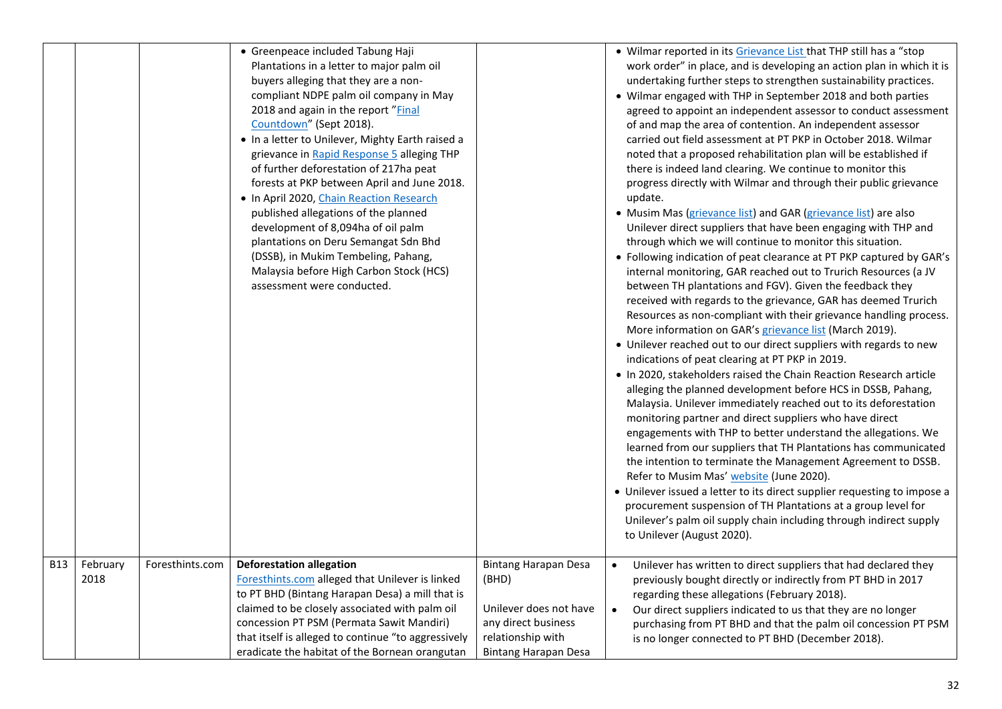|            |                  |                 | • Greenpeace included Tabung Haji<br>Plantations in a letter to major palm oil     |                                      | • Wilmar reported in its Grievance List that THP still has a "stop<br>work order" in place, and is developing an action plan in which it is  |
|------------|------------------|-----------------|------------------------------------------------------------------------------------|--------------------------------------|----------------------------------------------------------------------------------------------------------------------------------------------|
|            |                  |                 | buyers alleging that they are a non-                                               |                                      | undertaking further steps to strengthen sustainability practices.                                                                            |
|            |                  |                 | compliant NDPE palm oil company in May                                             |                                      | • Wilmar engaged with THP in September 2018 and both parties                                                                                 |
|            |                  |                 | 2018 and again in the report "Final                                                |                                      | agreed to appoint an independent assessor to conduct assessment                                                                              |
|            |                  |                 | Countdown" (Sept 2018).                                                            |                                      | of and map the area of contention. An independent assessor                                                                                   |
|            |                  |                 | . In a letter to Unilever, Mighty Earth raised a                                   |                                      | carried out field assessment at PT PKP in October 2018. Wilmar                                                                               |
|            |                  |                 | grievance in Rapid Response 5 alleging THP                                         |                                      | noted that a proposed rehabilitation plan will be established if                                                                             |
|            |                  |                 | of further deforestation of 217ha peat                                             |                                      | there is indeed land clearing. We continue to monitor this                                                                                   |
|            |                  |                 | forests at PKP between April and June 2018.                                        |                                      | progress directly with Wilmar and through their public grievance                                                                             |
|            |                  |                 | . In April 2020, Chain Reaction Research                                           |                                      | update.                                                                                                                                      |
|            |                  |                 | published allegations of the planned                                               |                                      | • Musim Mas (grievance list) and GAR (grievance list) are also                                                                               |
|            |                  |                 | development of 8,094ha of oil palm                                                 |                                      | Unilever direct suppliers that have been engaging with THP and                                                                               |
|            |                  |                 | plantations on Deru Semangat Sdn Bhd                                               |                                      | through which we will continue to monitor this situation.                                                                                    |
|            |                  |                 | (DSSB), in Mukim Tembeling, Pahang,                                                |                                      | • Following indication of peat clearance at PT PKP captured by GAR's                                                                         |
|            |                  |                 | Malaysia before High Carbon Stock (HCS)<br>assessment were conducted.              |                                      | internal monitoring, GAR reached out to Trurich Resources (a JV                                                                              |
|            |                  |                 |                                                                                    |                                      | between TH plantations and FGV). Given the feedback they<br>received with regards to the grievance, GAR has deemed Trurich                   |
|            |                  |                 |                                                                                    |                                      | Resources as non-compliant with their grievance handling process.                                                                            |
|            |                  |                 |                                                                                    |                                      | More information on GAR's grievance list (March 2019).                                                                                       |
|            |                  |                 |                                                                                    |                                      | • Unilever reached out to our direct suppliers with regards to new                                                                           |
|            |                  |                 |                                                                                    |                                      | indications of peat clearing at PT PKP in 2019.                                                                                              |
|            |                  |                 |                                                                                    |                                      | . In 2020, stakeholders raised the Chain Reaction Research article                                                                           |
|            |                  |                 |                                                                                    |                                      | alleging the planned development before HCS in DSSB, Pahang,                                                                                 |
|            |                  |                 |                                                                                    |                                      | Malaysia. Unilever immediately reached out to its deforestation                                                                              |
|            |                  |                 |                                                                                    |                                      | monitoring partner and direct suppliers who have direct                                                                                      |
|            |                  |                 |                                                                                    |                                      | engagements with THP to better understand the allegations. We                                                                                |
|            |                  |                 |                                                                                    |                                      | learned from our suppliers that TH Plantations has communicated                                                                              |
|            |                  |                 |                                                                                    |                                      | the intention to terminate the Management Agreement to DSSB.                                                                                 |
|            |                  |                 |                                                                                    |                                      | Refer to Musim Mas' website (June 2020).                                                                                                     |
|            |                  |                 |                                                                                    |                                      | • Unilever issued a letter to its direct supplier requesting to impose a                                                                     |
|            |                  |                 |                                                                                    |                                      | procurement suspension of TH Plantations at a group level for                                                                                |
|            |                  |                 |                                                                                    |                                      | Unilever's palm oil supply chain including through indirect supply                                                                           |
|            |                  |                 |                                                                                    |                                      | to Unilever (August 2020).                                                                                                                   |
| <b>B13</b> |                  | Foresthints.com |                                                                                    |                                      |                                                                                                                                              |
|            | February<br>2018 |                 | <b>Deforestation allegation</b><br>Foresthints.com alleged that Unilever is linked | <b>Bintang Harapan Desa</b><br>(BHD) | Unilever has written to direct suppliers that had declared they<br>$\bullet$<br>previously bought directly or indirectly from PT BHD in 2017 |
|            |                  |                 | to PT BHD (Bintang Harapan Desa) a mill that is                                    |                                      | regarding these allegations (February 2018).                                                                                                 |
|            |                  |                 | claimed to be closely associated with palm oil                                     | Unilever does not have               | Our direct suppliers indicated to us that they are no longer<br>$\bullet$                                                                    |
|            |                  |                 | concession PT PSM (Permata Sawit Mandiri)                                          | any direct business                  | purchasing from PT BHD and that the palm oil concession PT PSM                                                                               |
|            |                  |                 | that itself is alleged to continue "to aggressively                                | relationship with                    | is no longer connected to PT BHD (December 2018).                                                                                            |
|            |                  |                 | eradicate the habitat of the Bornean orangutan                                     | Bintang Harapan Desa                 |                                                                                                                                              |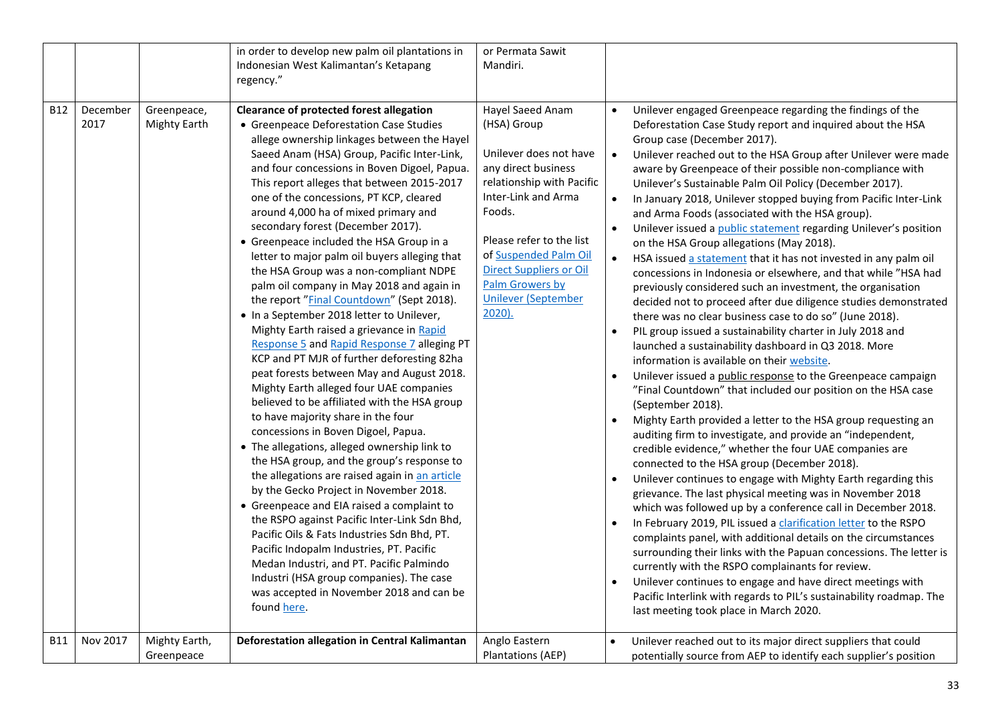|            |                  |                             | in order to develop new palm oil plantations in<br>Indonesian West Kalimantan's Ketapang                                                                                                                                                                                                                                                                                                                                                                                                                                                                                                                                                                                                                                                                                                                                                                                                                                                                                                                                                                                                                                                                                                                                                                                                                                                                                                                                                                                                                                                                                                         | or Permata Sawit<br>Mandiri.                                                                                                                                                                                                                                                                     |                                                                                                                                                                                                                                                                                                                                                                                                                                                                                                                                                                                                                                                                                                                                                                                                                                                                                                                                                                                                                                                                                                                                                                                                                                                                                                                                                                                                                                                                                                                                                                                                                                                                                                                                                                                                                                                                                                                                                                                                                                                                                                                                                                                                                     |
|------------|------------------|-----------------------------|--------------------------------------------------------------------------------------------------------------------------------------------------------------------------------------------------------------------------------------------------------------------------------------------------------------------------------------------------------------------------------------------------------------------------------------------------------------------------------------------------------------------------------------------------------------------------------------------------------------------------------------------------------------------------------------------------------------------------------------------------------------------------------------------------------------------------------------------------------------------------------------------------------------------------------------------------------------------------------------------------------------------------------------------------------------------------------------------------------------------------------------------------------------------------------------------------------------------------------------------------------------------------------------------------------------------------------------------------------------------------------------------------------------------------------------------------------------------------------------------------------------------------------------------------------------------------------------------------|--------------------------------------------------------------------------------------------------------------------------------------------------------------------------------------------------------------------------------------------------------------------------------------------------|---------------------------------------------------------------------------------------------------------------------------------------------------------------------------------------------------------------------------------------------------------------------------------------------------------------------------------------------------------------------------------------------------------------------------------------------------------------------------------------------------------------------------------------------------------------------------------------------------------------------------------------------------------------------------------------------------------------------------------------------------------------------------------------------------------------------------------------------------------------------------------------------------------------------------------------------------------------------------------------------------------------------------------------------------------------------------------------------------------------------------------------------------------------------------------------------------------------------------------------------------------------------------------------------------------------------------------------------------------------------------------------------------------------------------------------------------------------------------------------------------------------------------------------------------------------------------------------------------------------------------------------------------------------------------------------------------------------------------------------------------------------------------------------------------------------------------------------------------------------------------------------------------------------------------------------------------------------------------------------------------------------------------------------------------------------------------------------------------------------------------------------------------------------------------------------------------------------------|
|            |                  |                             | regency."                                                                                                                                                                                                                                                                                                                                                                                                                                                                                                                                                                                                                                                                                                                                                                                                                                                                                                                                                                                                                                                                                                                                                                                                                                                                                                                                                                                                                                                                                                                                                                                        |                                                                                                                                                                                                                                                                                                  |                                                                                                                                                                                                                                                                                                                                                                                                                                                                                                                                                                                                                                                                                                                                                                                                                                                                                                                                                                                                                                                                                                                                                                                                                                                                                                                                                                                                                                                                                                                                                                                                                                                                                                                                                                                                                                                                                                                                                                                                                                                                                                                                                                                                                     |
| <b>B12</b> | December<br>2017 | Greenpeace,<br>Mighty Earth | <b>Clearance of protected forest allegation</b><br>• Greenpeace Deforestation Case Studies<br>allege ownership linkages between the Hayel<br>Saeed Anam (HSA) Group, Pacific Inter-Link,<br>and four concessions in Boven Digoel, Papua.<br>This report alleges that between 2015-2017<br>one of the concessions, PT KCP, cleared<br>around 4,000 ha of mixed primary and<br>secondary forest (December 2017).<br>• Greenpeace included the HSA Group in a<br>letter to major palm oil buyers alleging that<br>the HSA Group was a non-compliant NDPE<br>palm oil company in May 2018 and again in<br>the report "Final Countdown" (Sept 2018).<br>• In a September 2018 letter to Unilever,<br>Mighty Earth raised a grievance in Rapid<br>Response 5 and Rapid Response 7 alleging PT<br>KCP and PT MJR of further deforesting 82ha<br>peat forests between May and August 2018.<br>Mighty Earth alleged four UAE companies<br>believed to be affiliated with the HSA group<br>to have majority share in the four<br>concessions in Boven Digoel, Papua.<br>• The allegations, alleged ownership link to<br>the HSA group, and the group's response to<br>the allegations are raised again in an article<br>by the Gecko Project in November 2018.<br>• Greenpeace and EIA raised a complaint to<br>the RSPO against Pacific Inter-Link Sdn Bhd,<br>Pacific Oils & Fats Industries Sdn Bhd, PT.<br>Pacific Indopalm Industries, PT. Pacific<br>Medan Industri, and PT. Pacific Palmindo<br>Industri (HSA group companies). The case<br>was accepted in November 2018 and can be<br>found here. | Hayel Saeed Anam<br>(HSA) Group<br>Unilever does not have<br>any direct business<br>relationship with Pacific<br>Inter-Link and Arma<br>Foods.<br>Please refer to the list<br>of Suspended Palm Oil<br><b>Direct Suppliers or Oil</b><br>Palm Growers by<br><b>Unilever (September</b><br>2020). | Unilever engaged Greenpeace regarding the findings of the<br>Deforestation Case Study report and inquired about the HSA<br>Group case (December 2017).<br>Unilever reached out to the HSA Group after Unilever were made<br>$\bullet$<br>aware by Greenpeace of their possible non-compliance with<br>Unilever's Sustainable Palm Oil Policy (December 2017).<br>$\bullet$<br>In January 2018, Unilever stopped buying from Pacific Inter-Link<br>and Arma Foods (associated with the HSA group).<br>Unilever issued a public statement regarding Unilever's position<br>on the HSA Group allegations (May 2018).<br>HSA issued a statement that it has not invested in any palm oil<br>concessions in Indonesia or elsewhere, and that while "HSA had<br>previously considered such an investment, the organisation<br>decided not to proceed after due diligence studies demonstrated<br>there was no clear business case to do so" (June 2018).<br>PIL group issued a sustainability charter in July 2018 and<br>$\bullet$<br>launched a sustainability dashboard in Q3 2018. More<br>information is available on their website.<br>Unilever issued a public response to the Greenpeace campaign<br>"Final Countdown" that included our position on the HSA case<br>(September 2018).<br>Mighty Earth provided a letter to the HSA group requesting an<br>$\bullet$<br>auditing firm to investigate, and provide an "independent,<br>credible evidence," whether the four UAE companies are<br>connected to the HSA group (December 2018).<br>Unilever continues to engage with Mighty Earth regarding this<br>$\bullet$<br>grievance. The last physical meeting was in November 2018<br>which was followed up by a conference call in December 2018.<br>In February 2019, PIL issued a clarification letter to the RSPO<br>$\bullet$<br>complaints panel, with additional details on the circumstances<br>surrounding their links with the Papuan concessions. The letter is<br>currently with the RSPO complainants for review.<br>Unilever continues to engage and have direct meetings with<br>Pacific Interlink with regards to PIL's sustainability roadmap. The<br>last meeting took place in March 2020. |
| <b>B11</b> | Nov 2017         | Mighty Earth,<br>Greenpeace | Deforestation allegation in Central Kalimantan                                                                                                                                                                                                                                                                                                                                                                                                                                                                                                                                                                                                                                                                                                                                                                                                                                                                                                                                                                                                                                                                                                                                                                                                                                                                                                                                                                                                                                                                                                                                                   | Anglo Eastern<br>Plantations (AEP)                                                                                                                                                                                                                                                               | Unilever reached out to its major direct suppliers that could<br>potentially source from AEP to identify each supplier's position                                                                                                                                                                                                                                                                                                                                                                                                                                                                                                                                                                                                                                                                                                                                                                                                                                                                                                                                                                                                                                                                                                                                                                                                                                                                                                                                                                                                                                                                                                                                                                                                                                                                                                                                                                                                                                                                                                                                                                                                                                                                                   |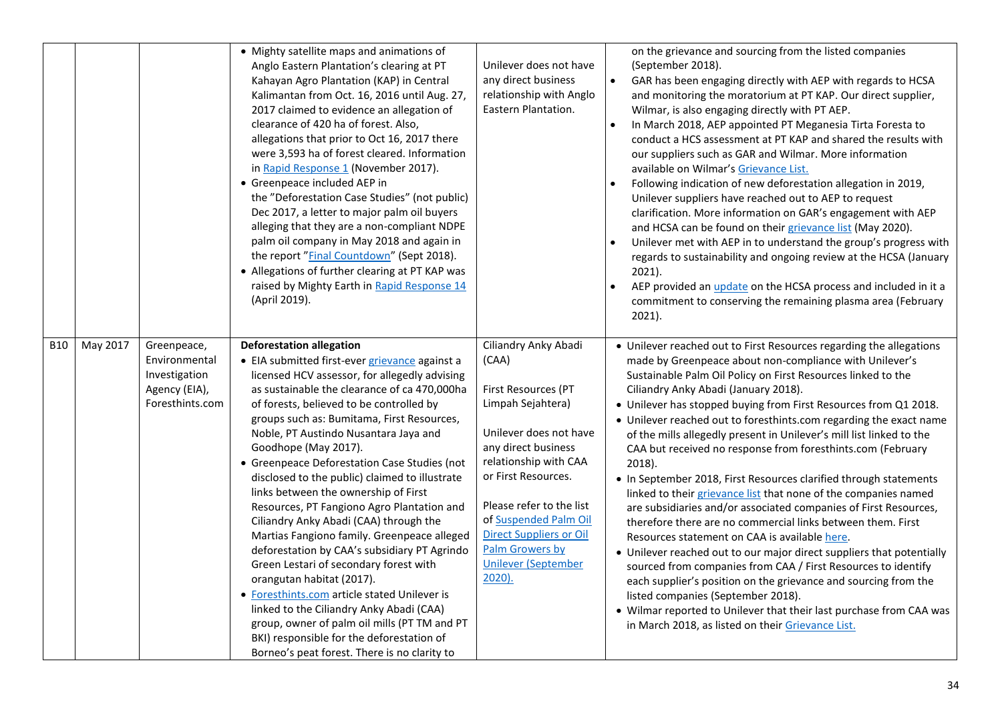|            |          |                                                                                   | • Mighty satellite maps and animations of<br>Anglo Eastern Plantation's clearing at PT<br>Kahayan Agro Plantation (KAP) in Central<br>Kalimantan from Oct. 16, 2016 until Aug. 27,<br>2017 claimed to evidence an allegation of<br>clearance of 420 ha of forest. Also,<br>allegations that prior to Oct 16, 2017 there<br>were 3,593 ha of forest cleared. Information<br>in Rapid Response 1 (November 2017).<br>• Greenpeace included AEP in<br>the "Deforestation Case Studies" (not public)<br>Dec 2017, a letter to major palm oil buyers<br>alleging that they are a non-compliant NDPE<br>palm oil company in May 2018 and again in<br>the report "Final Countdown" (Sept 2018).<br>• Allegations of further clearing at PT KAP was<br>raised by Mighty Earth in Rapid Response 14<br>(April 2019).                                                                                                                                                                                    | Unilever does not have<br>any direct business<br>relationship with Anglo<br>Eastern Plantation.                                                                                                                                                                                                                       | on the grievance and sourcing from the listed companies<br>(September 2018).<br>$\bullet$<br>GAR has been engaging directly with AEP with regards to HCSA<br>and monitoring the moratorium at PT KAP. Our direct supplier,<br>Wilmar, is also engaging directly with PT AEP.<br>In March 2018, AEP appointed PT Meganesia Tirta Foresta to<br>$\bullet$<br>conduct a HCS assessment at PT KAP and shared the results with<br>our suppliers such as GAR and Wilmar. More information<br>available on Wilmar's Grievance List.<br>Following indication of new deforestation allegation in 2019,<br>Unilever suppliers have reached out to AEP to request<br>clarification. More information on GAR's engagement with AEP<br>and HCSA can be found on their grievance list (May 2020).<br>Unilever met with AEP in to understand the group's progress with<br>regards to sustainability and ongoing review at the HCSA (January<br>$2021$ ).<br>AEP provided an <i>update</i> on the HCSA process and included in it a<br>commitment to conserving the remaining plasma area (February<br>$2021$ ).                                                                                                                                             |
|------------|----------|-----------------------------------------------------------------------------------|------------------------------------------------------------------------------------------------------------------------------------------------------------------------------------------------------------------------------------------------------------------------------------------------------------------------------------------------------------------------------------------------------------------------------------------------------------------------------------------------------------------------------------------------------------------------------------------------------------------------------------------------------------------------------------------------------------------------------------------------------------------------------------------------------------------------------------------------------------------------------------------------------------------------------------------------------------------------------------------------|-----------------------------------------------------------------------------------------------------------------------------------------------------------------------------------------------------------------------------------------------------------------------------------------------------------------------|----------------------------------------------------------------------------------------------------------------------------------------------------------------------------------------------------------------------------------------------------------------------------------------------------------------------------------------------------------------------------------------------------------------------------------------------------------------------------------------------------------------------------------------------------------------------------------------------------------------------------------------------------------------------------------------------------------------------------------------------------------------------------------------------------------------------------------------------------------------------------------------------------------------------------------------------------------------------------------------------------------------------------------------------------------------------------------------------------------------------------------------------------------------------------------------------------------------------------------------------|
| <b>B10</b> | May 2017 | Greenpeace,<br>Environmental<br>Investigation<br>Agency (EIA),<br>Foresthints.com | <b>Deforestation allegation</b><br>• EIA submitted first-ever grievance against a<br>licensed HCV assessor, for allegedly advising<br>as sustainable the clearance of ca 470,000ha<br>of forests, believed to be controlled by<br>groups such as: Bumitama, First Resources,<br>Noble, PT Austindo Nusantara Jaya and<br>Goodhope (May 2017).<br>• Greenpeace Deforestation Case Studies (not<br>disclosed to the public) claimed to illustrate<br>links between the ownership of First<br>Resources, PT Fangiono Agro Plantation and<br>Ciliandry Anky Abadi (CAA) through the<br>Martias Fangiono family. Greenpeace alleged<br>deforestation by CAA's subsidiary PT Agrindo<br>Green Lestari of secondary forest with<br>orangutan habitat (2017).<br>• Foresthints.com article stated Unilever is<br>linked to the Ciliandry Anky Abadi (CAA)<br>group, owner of palm oil mills (PT TM and PT<br>BKI) responsible for the deforestation of<br>Borneo's peat forest. There is no clarity to | Ciliandry Anky Abadi<br>(CAA)<br>First Resources (PT<br>Limpah Sejahtera)<br>Unilever does not have<br>any direct business<br>relationship with CAA<br>or First Resources.<br>Please refer to the list<br>of Suspended Palm Oil<br>Direct Suppliers or Oil<br>Palm Growers by<br><b>Unilever (September</b><br>2020). | • Unilever reached out to First Resources regarding the allegations<br>made by Greenpeace about non-compliance with Unilever's<br>Sustainable Palm Oil Policy on First Resources linked to the<br>Ciliandry Anky Abadi (January 2018).<br>• Unilever has stopped buying from First Resources from Q1 2018.<br>• Unilever reached out to foresthints.com regarding the exact name<br>of the mills allegedly present in Unilever's mill list linked to the<br>CAA but received no response from foresthints.com (February<br>2018).<br>• In September 2018, First Resources clarified through statements<br>linked to their grievance list that none of the companies named<br>are subsidiaries and/or associated companies of First Resources,<br>therefore there are no commercial links between them. First<br>Resources statement on CAA is available here.<br>• Unilever reached out to our major direct suppliers that potentially<br>sourced from companies from CAA / First Resources to identify<br>each supplier's position on the grievance and sourcing from the<br>listed companies (September 2018).<br>• Wilmar reported to Unilever that their last purchase from CAA was<br>in March 2018, as listed on their Grievance List. |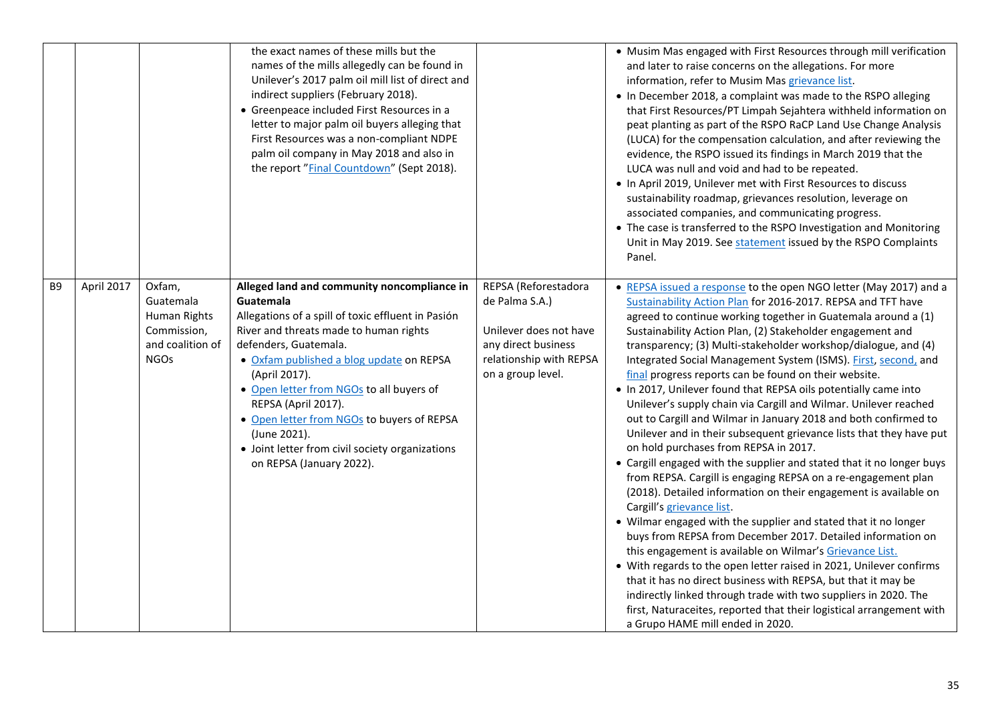|    |            |                                                                                       | the exact names of these mills but the<br>names of the mills allegedly can be found in<br>Unilever's 2017 palm oil mill list of direct and<br>indirect suppliers (February 2018).<br>• Greenpeace included First Resources in a<br>letter to major palm oil buyers alleging that<br>First Resources was a non-compliant NDPE<br>palm oil company in May 2018 and also in<br>the report "Final Countdown" (Sept 2018).                                          |                                                                                                                                         | • Musim Mas engaged with First Resources through mill verification<br>and later to raise concerns on the allegations. For more<br>information, refer to Musim Mas grievance list.<br>• In December 2018, a complaint was made to the RSPO alleging<br>that First Resources/PT Limpah Sejahtera withheld information on<br>peat planting as part of the RSPO RaCP Land Use Change Analysis<br>(LUCA) for the compensation calculation, and after reviewing the<br>evidence, the RSPO issued its findings in March 2019 that the<br>LUCA was null and void and had to be repeated.<br>• In April 2019, Unilever met with First Resources to discuss<br>sustainability roadmap, grievances resolution, leverage on<br>associated companies, and communicating progress.<br>• The case is transferred to the RSPO Investigation and Monitoring<br>Unit in May 2019. See statement issued by the RSPO Complaints<br>Panel.                                                                                                                                                                                                                                                                                                                                                                                                                                                                                                                                                                                                                                   |
|----|------------|---------------------------------------------------------------------------------------|----------------------------------------------------------------------------------------------------------------------------------------------------------------------------------------------------------------------------------------------------------------------------------------------------------------------------------------------------------------------------------------------------------------------------------------------------------------|-----------------------------------------------------------------------------------------------------------------------------------------|---------------------------------------------------------------------------------------------------------------------------------------------------------------------------------------------------------------------------------------------------------------------------------------------------------------------------------------------------------------------------------------------------------------------------------------------------------------------------------------------------------------------------------------------------------------------------------------------------------------------------------------------------------------------------------------------------------------------------------------------------------------------------------------------------------------------------------------------------------------------------------------------------------------------------------------------------------------------------------------------------------------------------------------------------------------------------------------------------------------------------------------------------------------------------------------------------------------------------------------------------------------------------------------------------------------------------------------------------------------------------------------------------------------------------------------------------------------------------------------------------------------------------------------------------------|
| B9 | April 2017 | Oxfam,<br>Guatemala<br>Human Rights<br>Commission,<br>and coalition of<br><b>NGOs</b> | Alleged land and community noncompliance in<br>Guatemala<br>Allegations of a spill of toxic effluent in Pasión<br>River and threats made to human rights<br>defenders, Guatemala.<br>• Oxfam published a blog update on REPSA<br>(April 2017).<br>• Open letter from NGOs to all buyers of<br>REPSA (April 2017).<br>• Open letter from NGOs to buyers of REPSA<br>(June 2021).<br>• Joint letter from civil society organizations<br>on REPSA (January 2022). | REPSA (Reforestadora<br>de Palma S.A.)<br>Unilever does not have<br>any direct business<br>relationship with REPSA<br>on a group level. | • REPSA issued a response to the open NGO letter (May 2017) and a<br>Sustainability Action Plan for 2016-2017. REPSA and TFT have<br>agreed to continue working together in Guatemala around a (1)<br>Sustainability Action Plan, (2) Stakeholder engagement and<br>transparency; (3) Multi-stakeholder workshop/dialogue, and (4)<br>Integrated Social Management System (ISMS). First, second, and<br>final progress reports can be found on their website.<br>. In 2017, Unilever found that REPSA oils potentially came into<br>Unilever's supply chain via Cargill and Wilmar. Unilever reached<br>out to Cargill and Wilmar in January 2018 and both confirmed to<br>Unilever and in their subsequent grievance lists that they have put<br>on hold purchases from REPSA in 2017.<br>• Cargill engaged with the supplier and stated that it no longer buys<br>from REPSA. Cargill is engaging REPSA on a re-engagement plan<br>(2018). Detailed information on their engagement is available on<br>Cargill's grievance list.<br>• Wilmar engaged with the supplier and stated that it no longer<br>buys from REPSA from December 2017. Detailed information on<br>this engagement is available on Wilmar's Grievance List.<br>• With regards to the open letter raised in 2021, Unilever confirms<br>that it has no direct business with REPSA, but that it may be<br>indirectly linked through trade with two suppliers in 2020. The<br>first, Naturaceites, reported that their logistical arrangement with<br>a Grupo HAME mill ended in 2020. |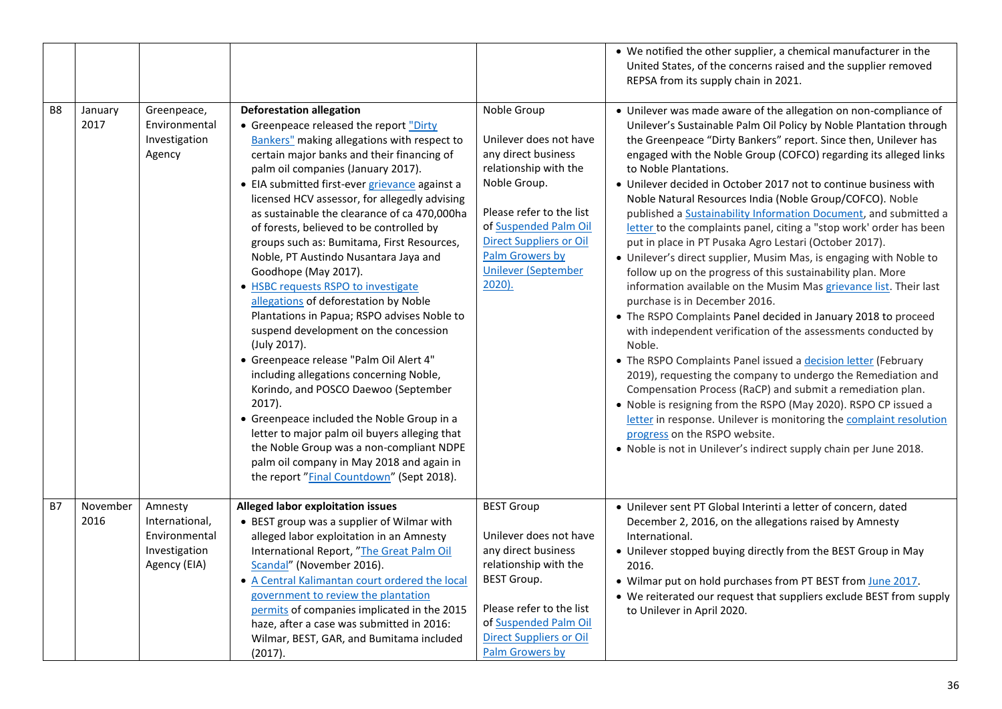|                |                  |                                                                             |                                                                                                                                                                                                                                                                                                                                                                                                                                                                                                                                                                                                                                                                                                                                                                                                                                                                                                                                                                                                                                                                                                            |                                                                                                                                                                                                                                                            | • We notified the other supplier, a chemical manufacturer in the<br>United States, of the concerns raised and the supplier removed<br>REPSA from its supply chain in 2021.                                                                                                                                                                                                                                                                                                                                                                                                                                                                                                                                                                                                                                                                                                                                                                                                                                                                                                                                                                                                                                                                                                                                                                                                                                                                                                          |
|----------------|------------------|-----------------------------------------------------------------------------|------------------------------------------------------------------------------------------------------------------------------------------------------------------------------------------------------------------------------------------------------------------------------------------------------------------------------------------------------------------------------------------------------------------------------------------------------------------------------------------------------------------------------------------------------------------------------------------------------------------------------------------------------------------------------------------------------------------------------------------------------------------------------------------------------------------------------------------------------------------------------------------------------------------------------------------------------------------------------------------------------------------------------------------------------------------------------------------------------------|------------------------------------------------------------------------------------------------------------------------------------------------------------------------------------------------------------------------------------------------------------|-------------------------------------------------------------------------------------------------------------------------------------------------------------------------------------------------------------------------------------------------------------------------------------------------------------------------------------------------------------------------------------------------------------------------------------------------------------------------------------------------------------------------------------------------------------------------------------------------------------------------------------------------------------------------------------------------------------------------------------------------------------------------------------------------------------------------------------------------------------------------------------------------------------------------------------------------------------------------------------------------------------------------------------------------------------------------------------------------------------------------------------------------------------------------------------------------------------------------------------------------------------------------------------------------------------------------------------------------------------------------------------------------------------------------------------------------------------------------------------|
| B <sub>8</sub> | January<br>2017  | Greenpeace,<br>Environmental<br>Investigation<br>Agency                     | <b>Deforestation allegation</b><br>• Greenpeace released the report "Dirty<br><b>Bankers"</b> making allegations with respect to<br>certain major banks and their financing of<br>palm oil companies (January 2017).<br>• EIA submitted first-ever grievance against a<br>licensed HCV assessor, for allegedly advising<br>as sustainable the clearance of ca 470,000ha<br>of forests, believed to be controlled by<br>groups such as: Bumitama, First Resources,<br>Noble, PT Austindo Nusantara Jaya and<br>Goodhope (May 2017).<br>• HSBC requests RSPO to investigate<br>allegations of deforestation by Noble<br>Plantations in Papua; RSPO advises Noble to<br>suspend development on the concession<br>(July 2017).<br>· Greenpeace release "Palm Oil Alert 4"<br>including allegations concerning Noble,<br>Korindo, and POSCO Daewoo (September<br>$2017$ ).<br>• Greenpeace included the Noble Group in a<br>letter to major palm oil buyers alleging that<br>the Noble Group was a non-compliant NDPE<br>palm oil company in May 2018 and again in<br>the report "Final Countdown" (Sept 2018). | Noble Group<br>Unilever does not have<br>any direct business<br>relationship with the<br>Noble Group.<br>Please refer to the list<br>of Suspended Palm Oil<br><b>Direct Suppliers or Oil</b><br>Palm Growers by<br><b>Unilever (September</b><br>$2020$ ). | • Unilever was made aware of the allegation on non-compliance of<br>Unilever's Sustainable Palm Oil Policy by Noble Plantation through<br>the Greenpeace "Dirty Bankers" report. Since then, Unilever has<br>engaged with the Noble Group (COFCO) regarding its alleged links<br>to Noble Plantations.<br>• Unilever decided in October 2017 not to continue business with<br>Noble Natural Resources India (Noble Group/COFCO). Noble<br>published a Sustainability Information Document, and submitted a<br>letter to the complaints panel, citing a "stop work' order has been<br>put in place in PT Pusaka Agro Lestari (October 2017).<br>• Unilever's direct supplier, Musim Mas, is engaging with Noble to<br>follow up on the progress of this sustainability plan. More<br>information available on the Musim Mas grievance list. Their last<br>purchase is in December 2016.<br>• The RSPO Complaints Panel decided in January 2018 to proceed<br>with independent verification of the assessments conducted by<br>Noble.<br>• The RSPO Complaints Panel issued a decision letter (February<br>2019), requesting the company to undergo the Remediation and<br>Compensation Process (RaCP) and submit a remediation plan.<br>• Noble is resigning from the RSPO (May 2020). RSPO CP issued a<br>letter in response. Unilever is monitoring the complaint resolution<br>progress on the RSPO website.<br>. Noble is not in Unilever's indirect supply chain per June 2018. |
| <b>B7</b>      | November<br>2016 | Amnesty<br>International,<br>Environmental<br>Investigation<br>Agency (EIA) | Alleged labor exploitation issues<br>• BEST group was a supplier of Wilmar with<br>alleged labor exploitation in an Amnesty<br>International Report, "The Great Palm Oil<br>Scandal" (November 2016).<br>• A Central Kalimantan court ordered the local<br>government to review the plantation<br>permits of companies implicated in the 2015<br>haze, after a case was submitted in 2016:<br>Wilmar, BEST, GAR, and Bumitama included<br>(2017).                                                                                                                                                                                                                                                                                                                                                                                                                                                                                                                                                                                                                                                          | <b>BEST Group</b><br>Unilever does not have<br>any direct business<br>relationship with the<br><b>BEST Group.</b><br>Please refer to the list<br>of Suspended Palm Oil<br><b>Direct Suppliers or Oil</b><br>Palm Growers by                                | • Unilever sent PT Global Interinti a letter of concern, dated<br>December 2, 2016, on the allegations raised by Amnesty<br>International.<br>• Unilever stopped buying directly from the BEST Group in May<br>2016.<br>• Wilmar put on hold purchases from PT BEST from June 2017.<br>• We reiterated our request that suppliers exclude BEST from supply<br>to Unilever in April 2020.                                                                                                                                                                                                                                                                                                                                                                                                                                                                                                                                                                                                                                                                                                                                                                                                                                                                                                                                                                                                                                                                                            |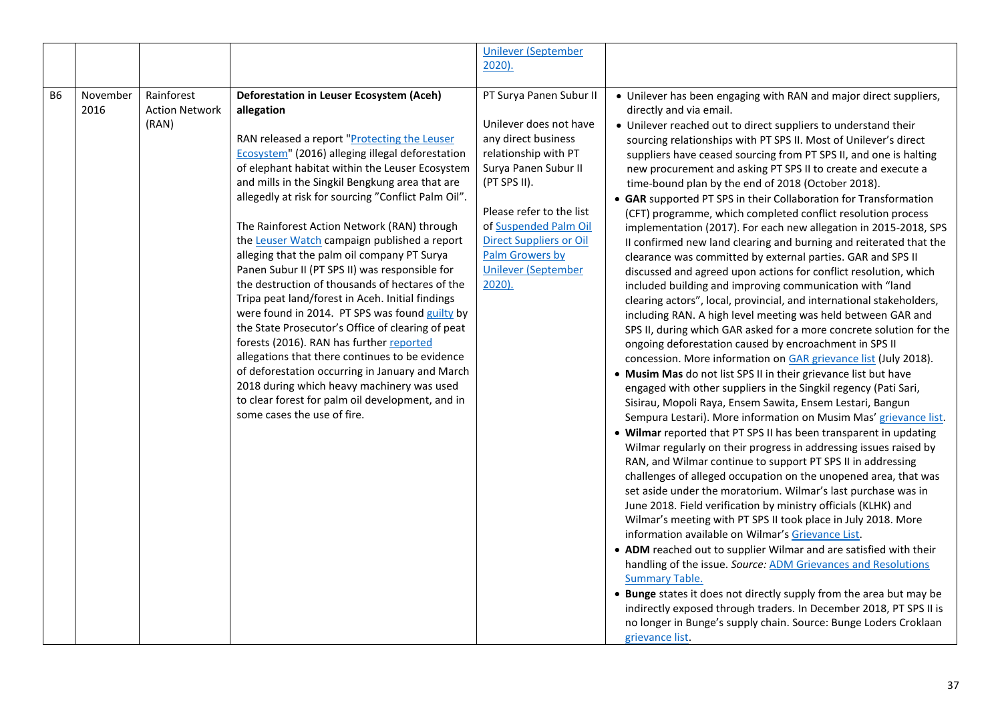|           |                  |                                              |                                                                                                                                                                                                                                                                                                                                                                                                                                                                                                                                                                                                                                                                                                                                                                                                                                                                                                                                                                                                                          | <b>Unilever (September</b><br>$2020$ ).                                                                                                                                                                                                                                                    |                                                                                                                                                                                                                                                                                                                                                                                                                                                                                                                                                                                                                                                                                                                                                                                                                                                                                                                                                                                                                                                                                                                                                                                                                                                                                                                                                                                                                                                                                                                                                                                                                                                                                                                                                                                                                                                                                                                                                                                                                                                                                                                                                                                                                                                                                                                                                                                                                                                                      |
|-----------|------------------|----------------------------------------------|--------------------------------------------------------------------------------------------------------------------------------------------------------------------------------------------------------------------------------------------------------------------------------------------------------------------------------------------------------------------------------------------------------------------------------------------------------------------------------------------------------------------------------------------------------------------------------------------------------------------------------------------------------------------------------------------------------------------------------------------------------------------------------------------------------------------------------------------------------------------------------------------------------------------------------------------------------------------------------------------------------------------------|--------------------------------------------------------------------------------------------------------------------------------------------------------------------------------------------------------------------------------------------------------------------------------------------|----------------------------------------------------------------------------------------------------------------------------------------------------------------------------------------------------------------------------------------------------------------------------------------------------------------------------------------------------------------------------------------------------------------------------------------------------------------------------------------------------------------------------------------------------------------------------------------------------------------------------------------------------------------------------------------------------------------------------------------------------------------------------------------------------------------------------------------------------------------------------------------------------------------------------------------------------------------------------------------------------------------------------------------------------------------------------------------------------------------------------------------------------------------------------------------------------------------------------------------------------------------------------------------------------------------------------------------------------------------------------------------------------------------------------------------------------------------------------------------------------------------------------------------------------------------------------------------------------------------------------------------------------------------------------------------------------------------------------------------------------------------------------------------------------------------------------------------------------------------------------------------------------------------------------------------------------------------------------------------------------------------------------------------------------------------------------------------------------------------------------------------------------------------------------------------------------------------------------------------------------------------------------------------------------------------------------------------------------------------------------------------------------------------------------------------------------------------------|
| <b>B6</b> | November<br>2016 | Rainforest<br><b>Action Network</b><br>(RAN) | Deforestation in Leuser Ecosystem (Aceh)<br>allegation<br>RAN released a report "Protecting the Leuser<br>Ecosystem" (2016) alleging illegal deforestation<br>of elephant habitat within the Leuser Ecosystem<br>and mills in the Singkil Bengkung area that are<br>allegedly at risk for sourcing "Conflict Palm Oil".<br>The Rainforest Action Network (RAN) through<br>the Leuser Watch campaign published a report<br>alleging that the palm oil company PT Surya<br>Panen Subur II (PT SPS II) was responsible for<br>the destruction of thousands of hectares of the<br>Tripa peat land/forest in Aceh. Initial findings<br>were found in 2014. PT SPS was found guilty by<br>the State Prosecutor's Office of clearing of peat<br>forests (2016). RAN has further reported<br>allegations that there continues to be evidence<br>of deforestation occurring in January and March<br>2018 during which heavy machinery was used<br>to clear forest for palm oil development, and in<br>some cases the use of fire. | PT Surya Panen Subur II<br>Unilever does not have<br>any direct business<br>relationship with PT<br>Surya Panen Subur II<br>(PT SPS II).<br>Please refer to the list<br>of Suspended Palm Oil<br><b>Direct Suppliers or Oil</b><br>Palm Growers by<br><b>Unilever (September</b><br>2020). | • Unilever has been engaging with RAN and major direct suppliers,<br>directly and via email.<br>• Unilever reached out to direct suppliers to understand their<br>sourcing relationships with PT SPS II. Most of Unilever's direct<br>suppliers have ceased sourcing from PT SPS II, and one is halting<br>new procurement and asking PT SPS II to create and execute a<br>time-bound plan by the end of 2018 (October 2018).<br>• GAR supported PT SPS in their Collaboration for Transformation<br>(CFT) programme, which completed conflict resolution process<br>implementation (2017). For each new allegation in 2015-2018, SPS<br>II confirmed new land clearing and burning and reiterated that the<br>clearance was committed by external parties. GAR and SPS II<br>discussed and agreed upon actions for conflict resolution, which<br>included building and improving communication with "land<br>clearing actors", local, provincial, and international stakeholders,<br>including RAN. A high level meeting was held between GAR and<br>SPS II, during which GAR asked for a more concrete solution for the<br>ongoing deforestation caused by encroachment in SPS II<br>concession. More information on GAR grievance list (July 2018).<br>• Musim Mas do not list SPS II in their grievance list but have<br>engaged with other suppliers in the Singkil regency (Pati Sari,<br>Sisirau, Mopoli Raya, Ensem Sawita, Ensem Lestari, Bangun<br>Sempura Lestari). More information on Musim Mas' grievance list.<br>• Wilmar reported that PT SPS II has been transparent in updating<br>Wilmar regularly on their progress in addressing issues raised by<br>RAN, and Wilmar continue to support PT SPS II in addressing<br>challenges of alleged occupation on the unopened area, that was<br>set aside under the moratorium. Wilmar's last purchase was in<br>June 2018. Field verification by ministry officials (KLHK) and<br>Wilmar's meeting with PT SPS II took place in July 2018. More<br>information available on Wilmar's Grievance List.<br>• ADM reached out to supplier Wilmar and are satisfied with their<br>handling of the issue. Source: ADM Grievances and Resolutions<br><b>Summary Table.</b><br>• Bunge states it does not directly supply from the area but may be<br>indirectly exposed through traders. In December 2018, PT SPS II is<br>no longer in Bunge's supply chain. Source: Bunge Loders Croklaan<br>grievance list |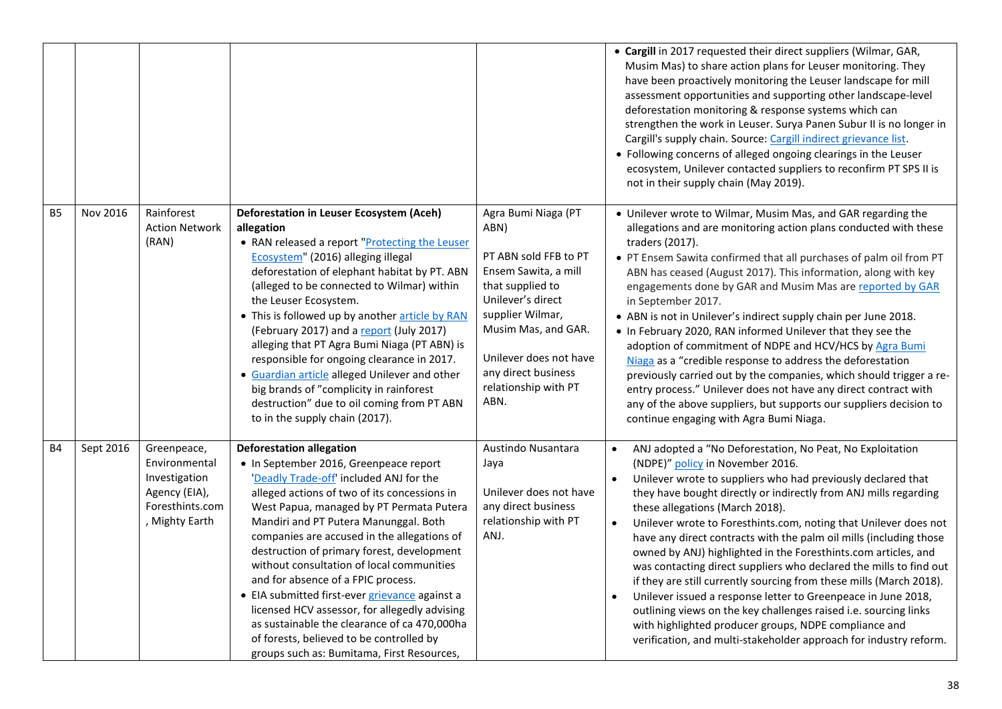|                |           |                                                                                                     |                                                                                                                                                                                                                                                                                                                                                                                                                                                                                                                                                                                                                                                                                        |                                                                                                                                                                                                                                                   | • Cargill in 2017 requested their direct suppliers (Wilmar, GAR,<br>Musim Mas) to share action plans for Leuser monitoring. They<br>have been proactively monitoring the Leuser landscape for mill<br>assessment opportunities and supporting other landscape-level<br>deforestation monitoring & response systems which can<br>strengthen the work in Leuser. Surya Panen Subur II is no longer in<br>Cargill's supply chain. Source: Cargill indirect grievance list.<br>• Following concerns of alleged ongoing clearings in the Leuser<br>ecosystem, Unilever contacted suppliers to reconfirm PT SPS II is<br>not in their supply chain (May 2019).                                                                                                                                                                                                                                                                   |
|----------------|-----------|-----------------------------------------------------------------------------------------------------|----------------------------------------------------------------------------------------------------------------------------------------------------------------------------------------------------------------------------------------------------------------------------------------------------------------------------------------------------------------------------------------------------------------------------------------------------------------------------------------------------------------------------------------------------------------------------------------------------------------------------------------------------------------------------------------|---------------------------------------------------------------------------------------------------------------------------------------------------------------------------------------------------------------------------------------------------|----------------------------------------------------------------------------------------------------------------------------------------------------------------------------------------------------------------------------------------------------------------------------------------------------------------------------------------------------------------------------------------------------------------------------------------------------------------------------------------------------------------------------------------------------------------------------------------------------------------------------------------------------------------------------------------------------------------------------------------------------------------------------------------------------------------------------------------------------------------------------------------------------------------------------|
| B <sub>5</sub> | Nov 2016  | Rainforest<br><b>Action Network</b><br>(RAN)                                                        | Deforestation in Leuser Ecosystem (Aceh)<br>allegation<br>• RAN released a report "Protecting the Leuser<br>Ecosystem" (2016) alleging illegal<br>deforestation of elephant habitat by PT. ABN<br>(alleged to be connected to Wilmar) within<br>the Leuser Ecosystem.<br>• This is followed up by another article by RAN<br>(February 2017) and a report (July 2017)<br>alleging that PT Agra Bumi Niaga (PT ABN) is<br>responsible for ongoing clearance in 2017.<br>• Guardian article alleged Unilever and other<br>big brands of "complicity in rainforest<br>destruction" due to oil coming from PT ABN<br>to in the supply chain (2017).                                         | Agra Bumi Niaga (PT<br>ABN)<br>PT ABN sold FFB to PT<br>Ensem Sawita, a mill<br>that supplied to<br>Unilever's direct<br>supplier Wilmar,<br>Musim Mas, and GAR.<br>Unilever does not have<br>any direct business<br>relationship with PT<br>ABN. | • Unilever wrote to Wilmar, Musim Mas, and GAR regarding the<br>allegations and are monitoring action plans conducted with these<br>traders (2017).<br>• PT Ensem Sawita confirmed that all purchases of palm oil from PT<br>ABN has ceased (August 2017). This information, along with key<br>engagements done by GAR and Musim Mas are reported by GAR<br>in September 2017.<br>• ABN is not in Unilever's indirect supply chain per June 2018.<br>• In February 2020, RAN informed Unilever that they see the<br>adoption of commitment of NDPE and HCV/HCS by Agra Bumi<br>Niaga as a "credible response to address the deforestation<br>previously carried out by the companies, which should trigger a re-<br>entry process." Unilever does not have any direct contract with<br>any of the above suppliers, but supports our suppliers decision to<br>continue engaging with Agra Bumi Niaga.                       |
| <b>B4</b>      | Sept 2016 | Greenpeace,<br>Environmental<br>Investigation<br>Agency (EIA),<br>Foresthints.com<br>, Mighty Earth | <b>Deforestation allegation</b><br>• In September 2016, Greenpeace report<br>'Deadly Trade-off' included ANJ for the<br>alleged actions of two of its concessions in<br>West Papua, managed by PT Permata Putera<br>Mandiri and PT Putera Manunggal. Both<br>companies are accused in the allegations of<br>destruction of primary forest, development<br>without consultation of local communities<br>and for absence of a FPIC process.<br>• EIA submitted first-ever grievance against a<br>licensed HCV assessor, for allegedly advising<br>as sustainable the clearance of ca 470,000ha<br>of forests, believed to be controlled by<br>groups such as: Bumitama, First Resources, | Austindo Nusantara<br>Jaya<br>Unilever does not have<br>any direct business<br>relationship with PT<br>ANJ.                                                                                                                                       | ANJ adopted a "No Deforestation, No Peat, No Exploitation<br>(NDPE)" policy in November 2016.<br>Unilever wrote to suppliers who had previously declared that<br>$\bullet$<br>they have bought directly or indirectly from ANJ mills regarding<br>these allegations (March 2018).<br>Unilever wrote to Foresthints.com, noting that Unilever does not<br>$\bullet$<br>have any direct contracts with the palm oil mills (including those<br>owned by ANJ) highlighted in the Foresthints.com articles, and<br>was contacting direct suppliers who declared the mills to find out<br>if they are still currently sourcing from these mills (March 2018).<br>Unilever issued a response letter to Greenpeace in June 2018,<br>outlining views on the key challenges raised i.e. sourcing links<br>with highlighted producer groups, NDPE compliance and<br>verification, and multi-stakeholder approach for industry reform. |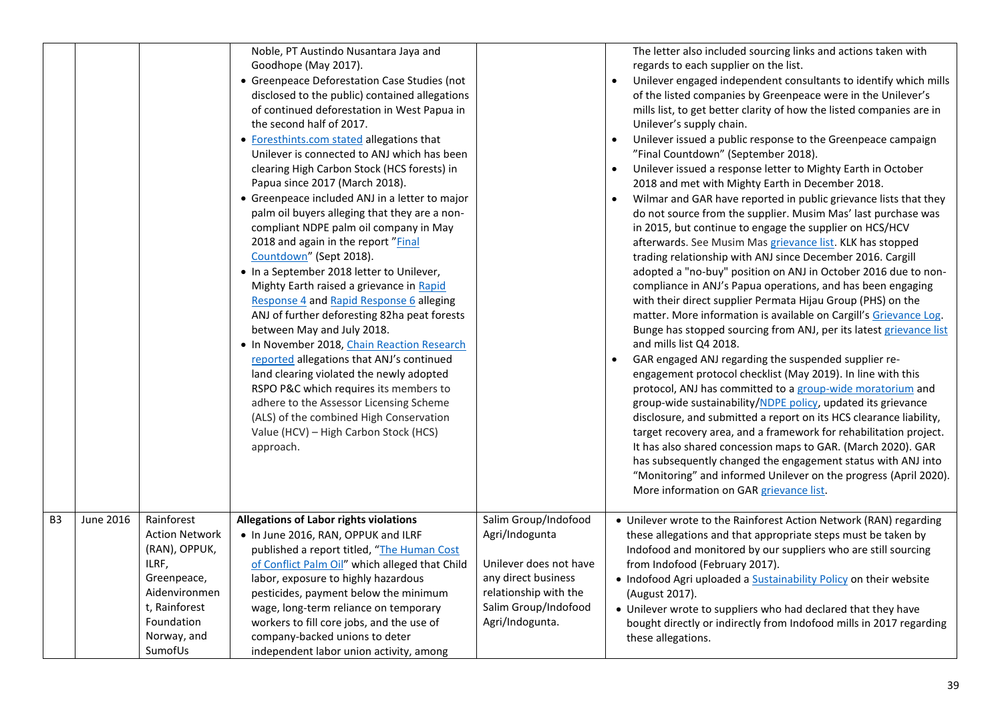|                |           |                                                                                                                                                        | Noble, PT Austindo Nusantara Jaya and<br>Goodhope (May 2017).<br>• Greenpeace Deforestation Case Studies (not<br>disclosed to the public) contained allegations<br>of continued deforestation in West Papua in<br>the second half of 2017.<br>• Foresthints.com stated allegations that<br>Unilever is connected to ANJ which has been<br>clearing High Carbon Stock (HCS forests) in<br>Papua since 2017 (March 2018).<br>• Greenpeace included ANJ in a letter to major<br>palm oil buyers alleging that they are a non-<br>compliant NDPE palm oil company in May<br>2018 and again in the report "Final<br>Countdown" (Sept 2018).<br>• In a September 2018 letter to Unilever,<br>Mighty Earth raised a grievance in Rapid<br>Response 4 and Rapid Response 6 alleging<br>ANJ of further deforesting 82ha peat forests<br>between May and July 2018.<br>. In November 2018, Chain Reaction Research<br>reported allegations that ANJ's continued<br>land clearing violated the newly adopted<br>RSPO P&C which requires its members to<br>adhere to the Assessor Licensing Scheme<br>(ALS) of the combined High Conservation<br>Value (HCV) - High Carbon Stock (HCS)<br>approach. |                                                                                                                                                             | The letter also included sourcing links and actions taken with<br>regards to each supplier on the list.<br>Unilever engaged independent consultants to identify which mills<br>of the listed companies by Greenpeace were in the Unilever's<br>mills list, to get better clarity of how the listed companies are in<br>Unilever's supply chain.<br>Unilever issued a public response to the Greenpeace campaign<br>"Final Countdown" (September 2018).<br>Unilever issued a response letter to Mighty Earth in October<br>2018 and met with Mighty Earth in December 2018.<br>Wilmar and GAR have reported in public grievance lists that they<br>$\bullet$<br>do not source from the supplier. Musim Mas' last purchase was<br>in 2015, but continue to engage the supplier on HCS/HCV<br>afterwards. See Musim Mas grievance list. KLK has stopped<br>trading relationship with ANJ since December 2016. Cargill<br>adopted a "no-buy" position on ANJ in October 2016 due to non-<br>compliance in ANJ's Papua operations, and has been engaging<br>with their direct supplier Permata Hijau Group (PHS) on the<br>matter. More information is available on Cargill's Grievance Log.<br>Bunge has stopped sourcing from ANJ, per its latest grievance list<br>and mills list Q4 2018.<br>GAR engaged ANJ regarding the suspended supplier re-<br>engagement protocol checklist (May 2019). In line with this<br>protocol, ANJ has committed to a group-wide moratorium and<br>group-wide sustainability/NDPE policy, updated its grievance<br>disclosure, and submitted a report on its HCS clearance liability,<br>target recovery area, and a framework for rehabilitation project.<br>It has also shared concession maps to GAR. (March 2020). GAR<br>has subsequently changed the engagement status with ANJ into<br>"Monitoring" and informed Unilever on the progress (April 2020).<br>More information on GAR grievance list. |
|----------------|-----------|--------------------------------------------------------------------------------------------------------------------------------------------------------|-----------------------------------------------------------------------------------------------------------------------------------------------------------------------------------------------------------------------------------------------------------------------------------------------------------------------------------------------------------------------------------------------------------------------------------------------------------------------------------------------------------------------------------------------------------------------------------------------------------------------------------------------------------------------------------------------------------------------------------------------------------------------------------------------------------------------------------------------------------------------------------------------------------------------------------------------------------------------------------------------------------------------------------------------------------------------------------------------------------------------------------------------------------------------------------------|-------------------------------------------------------------------------------------------------------------------------------------------------------------|-----------------------------------------------------------------------------------------------------------------------------------------------------------------------------------------------------------------------------------------------------------------------------------------------------------------------------------------------------------------------------------------------------------------------------------------------------------------------------------------------------------------------------------------------------------------------------------------------------------------------------------------------------------------------------------------------------------------------------------------------------------------------------------------------------------------------------------------------------------------------------------------------------------------------------------------------------------------------------------------------------------------------------------------------------------------------------------------------------------------------------------------------------------------------------------------------------------------------------------------------------------------------------------------------------------------------------------------------------------------------------------------------------------------------------------------------------------------------------------------------------------------------------------------------------------------------------------------------------------------------------------------------------------------------------------------------------------------------------------------------------------------------------------------------------------------------------------------------------------------------------------------------------------------------------------------|
| B <sub>3</sub> | June 2016 | Rainforest<br><b>Action Network</b><br>(RAN), OPPUK,<br>ILRF,<br>Greenpeace,<br>Aidenvironmen<br>t, Rainforest<br>Foundation<br>Norway, and<br>SumofUs | <b>Allegations of Labor rights violations</b><br>. In June 2016, RAN, OPPUK and ILRF<br>published a report titled, "The Human Cost<br>of Conflict Palm Oil" which alleged that Child<br>labor, exposure to highly hazardous<br>pesticides, payment below the minimum<br>wage, long-term reliance on temporary<br>workers to fill core jobs, and the use of<br>company-backed unions to deter<br>independent labor union activity, among                                                                                                                                                                                                                                                                                                                                                                                                                                                                                                                                                                                                                                                                                                                                                 | Salim Group/Indofood<br>Agri/Indogunta<br>Unilever does not have<br>any direct business<br>relationship with the<br>Salim Group/Indofood<br>Agri/Indogunta. | • Unilever wrote to the Rainforest Action Network (RAN) regarding<br>these allegations and that appropriate steps must be taken by<br>Indofood and monitored by our suppliers who are still sourcing<br>from Indofood (February 2017).<br>• Indofood Agri uploaded a <b>Sustainability Policy</b> on their website<br>(August 2017).<br>• Unilever wrote to suppliers who had declared that they have<br>bought directly or indirectly from Indofood mills in 2017 regarding<br>these allegations.                                                                                                                                                                                                                                                                                                                                                                                                                                                                                                                                                                                                                                                                                                                                                                                                                                                                                                                                                                                                                                                                                                                                                                                                                                                                                                                                                                                                                                      |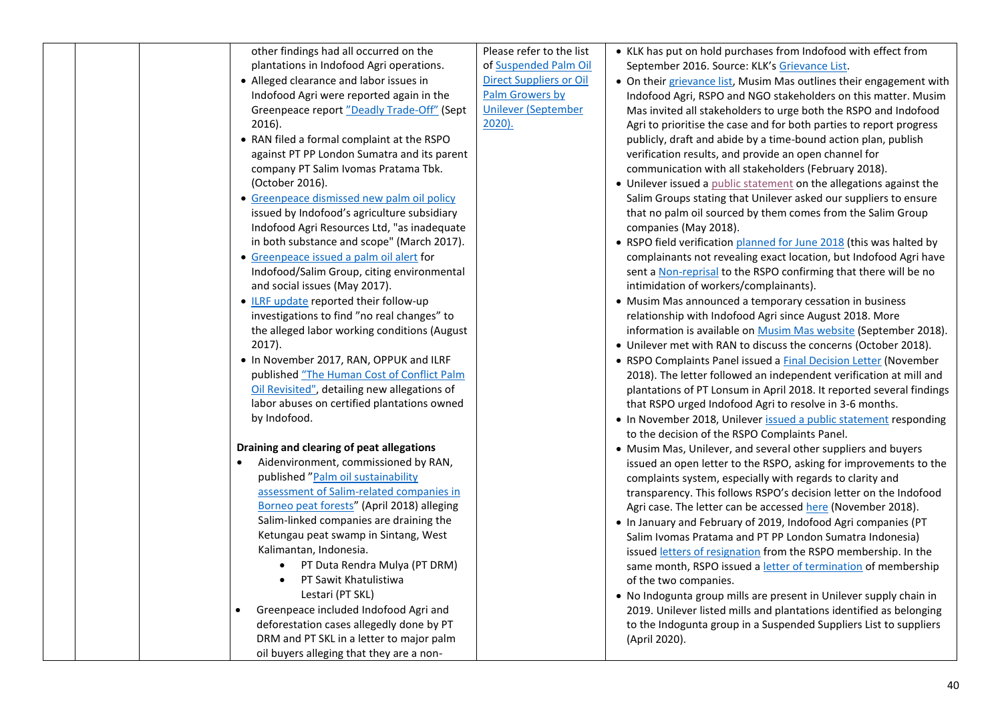| other findings had all occurred on the<br>plantations in Indofood Agri operations.<br>• Alleged clearance and labor issues in<br>Indofood Agri were reported again in the<br>Greenpeace report "Deadly Trade-Off" (Sept<br>2016).<br>• RAN filed a formal complaint at the RSPO<br>against PT PP London Sumatra and its parent<br>company PT Salim Ivomas Pratama Tbk.<br>(October 2016).<br>• Greenpeace dismissed new palm oil policy<br>issued by Indofood's agriculture subsidiary<br>Indofood Agri Resources Ltd, "as inadequate<br>in both substance and scope" (March 2017).<br>• Greenpeace issued a palm oil alert for<br>Indofood/Salim Group, citing environmental<br>and social issues (May 2017).<br>• ILRF update reported their follow-up<br>investigations to find "no real changes" to<br>the alleged labor working conditions (August<br>2017).<br>. In November 2017, RAN, OPPUK and ILRF<br>published "The Human Cost of Conflict Palm<br>Oil Revisited", detailing new allegations of<br>labor abuses on certified plantations owned<br>by Indofood. | Please refer to the list<br>of Suspended Palm Oil<br><b>Direct Suppliers or Oil</b><br><b>Palm Growers by</b><br><b>Unilever (September</b><br>$2020$ ). | • KLK has put on hold purchases from Indofood with effect from<br>September 2016. Source: KLK's Grievance List.<br>• On their grievance list, Musim Mas outlines their engagement with<br>Indofood Agri, RSPO and NGO stakeholders on this matter. Musim<br>Mas invited all stakeholders to urge both the RSPO and Indofood<br>Agri to prioritise the case and for both parties to report progress<br>publicly, draft and abide by a time-bound action plan, publish<br>verification results, and provide an open channel for<br>communication with all stakeholders (February 2018).<br>• Unilever issued a public statement on the allegations against the<br>Salim Groups stating that Unilever asked our suppliers to ensure<br>that no palm oil sourced by them comes from the Salim Group<br>companies (May 2018).<br>• RSPO field verification planned for June 2018 (this was halted by<br>complainants not revealing exact location, but Indofood Agri have<br>sent a Non-reprisal to the RSPO confirming that there will be no<br>intimidation of workers/complainants).<br>• Musim Mas announced a temporary cessation in business<br>relationship with Indofood Agri since August 2018. More<br>information is available on Musim Mas website (September 2018).<br>• Unilever met with RAN to discuss the concerns (October 2018).<br>• RSPO Complaints Panel issued a Final Decision Letter (November<br>2018). The letter followed an independent verification at mill and<br>plantations of PT Lonsum in April 2018. It reported several findings<br>that RSPO urged Indofood Agri to resolve in 3-6 months.<br>• In November 2018, Unilever issued a public statement responding |
|---------------------------------------------------------------------------------------------------------------------------------------------------------------------------------------------------------------------------------------------------------------------------------------------------------------------------------------------------------------------------------------------------------------------------------------------------------------------------------------------------------------------------------------------------------------------------------------------------------------------------------------------------------------------------------------------------------------------------------------------------------------------------------------------------------------------------------------------------------------------------------------------------------------------------------------------------------------------------------------------------------------------------------------------------------------------------|----------------------------------------------------------------------------------------------------------------------------------------------------------|--------------------------------------------------------------------------------------------------------------------------------------------------------------------------------------------------------------------------------------------------------------------------------------------------------------------------------------------------------------------------------------------------------------------------------------------------------------------------------------------------------------------------------------------------------------------------------------------------------------------------------------------------------------------------------------------------------------------------------------------------------------------------------------------------------------------------------------------------------------------------------------------------------------------------------------------------------------------------------------------------------------------------------------------------------------------------------------------------------------------------------------------------------------------------------------------------------------------------------------------------------------------------------------------------------------------------------------------------------------------------------------------------------------------------------------------------------------------------------------------------------------------------------------------------------------------------------------------------------------------------------------------------------------------------------------------------|
| Draining and clearing of peat allegations<br>Aidenvironment, commissioned by RAN,<br>published "Palm oil sustainability<br>assessment of Salim-related companies in<br>Borneo peat forests" (April 2018) alleging<br>Salim-linked companies are draining the<br>Ketungau peat swamp in Sintang, West<br>Kalimantan, Indonesia.<br>PT Duta Rendra Mulya (PT DRM)<br>$\bullet$<br>PT Sawit Khatulistiwa<br>$\bullet$<br>Lestari (PT SKL)<br>Greenpeace included Indofood Agri and<br>deforestation cases allegedly done by PT<br>DRM and PT SKL in a letter to major palm<br>oil buyers alleging that they are a non-                                                                                                                                                                                                                                                                                                                                                                                                                                                       |                                                                                                                                                          | to the decision of the RSPO Complaints Panel.<br>• Musim Mas, Unilever, and several other suppliers and buyers<br>issued an open letter to the RSPO, asking for improvements to the<br>complaints system, especially with regards to clarity and<br>transparency. This follows RSPO's decision letter on the Indofood<br>Agri case. The letter can be accessed here (November 2018).<br>. In January and February of 2019, Indofood Agri companies (PT<br>Salim Ivomas Pratama and PT PP London Sumatra Indonesia)<br>issued letters of resignation from the RSPO membership. In the<br>same month, RSPO issued a letter of termination of membership<br>of the two companies.<br>. No Indogunta group mills are present in Unilever supply chain in<br>2019. Unilever listed mills and plantations identified as belonging<br>to the Indogunta group in a Suspended Suppliers List to suppliers<br>(April 2020).                                                                                                                                                                                                                                                                                                                                                                                                                                                                                                                                                                                                                                                                                                                                                                                |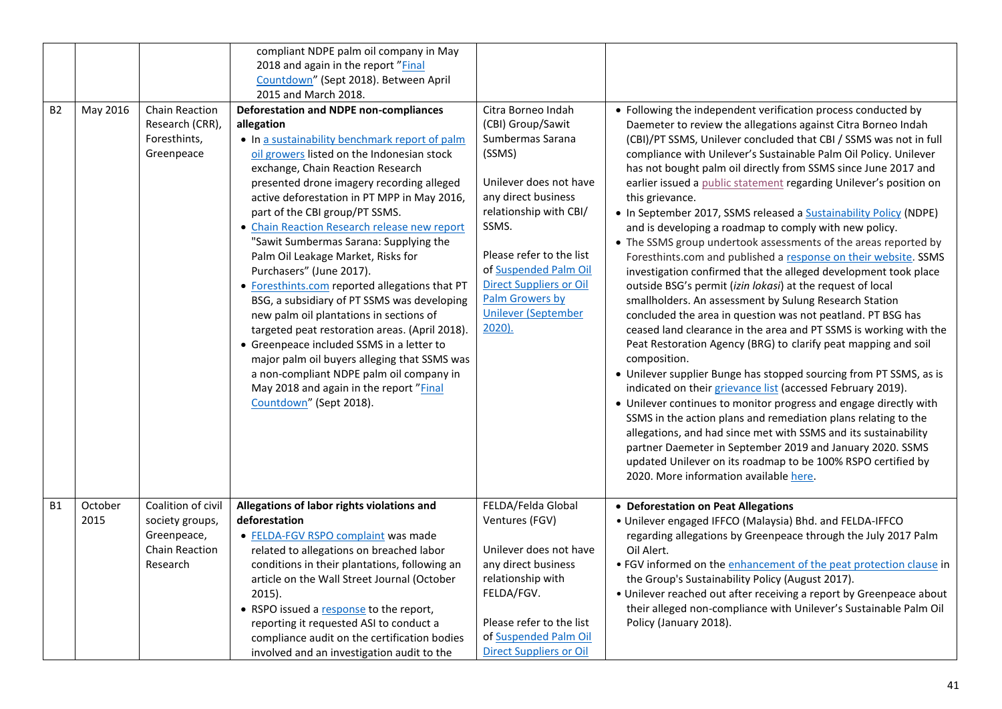| <b>B2</b> | May 2016        | Chain Reaction<br>Research (CRR),<br>Foresthints,<br>Greenpeace                    | compliant NDPE palm oil company in May<br>2018 and again in the report "Final<br>Countdown" (Sept 2018). Between April<br>2015 and March 2018.<br>Deforestation and NDPE non-compliances<br>allegation<br>. In a sustainability benchmark report of palm<br>oil growers listed on the Indonesian stock<br>exchange, Chain Reaction Research<br>presented drone imagery recording alleged<br>active deforestation in PT MPP in May 2016,<br>part of the CBI group/PT SSMS.<br>• Chain Reaction Research release new report<br>"Sawit Sumbermas Sarana: Supplying the<br>Palm Oil Leakage Market, Risks for<br>Purchasers" (June 2017).<br>• Foresthints.com reported allegations that PT<br>BSG, a subsidiary of PT SSMS was developing | Citra Borneo Indah<br>(CBI) Group/Sawit<br>Sumbermas Sarana<br>(SSMS)<br>Unilever does not have<br>any direct business<br>relationship with CBI/<br>SSMS.<br>Please refer to the list<br>of Suspended Palm Oil<br><b>Direct Suppliers or Oil</b><br>Palm Growers by | • Following the independent verification process conducted by<br>Daemeter to review the allegations against Citra Borneo Indah<br>(CBI)/PT SSMS, Unilever concluded that CBI / SSMS was not in full<br>compliance with Unilever's Sustainable Palm Oil Policy. Unilever<br>has not bought palm oil directly from SSMS since June 2017 and<br>earlier issued a public statement regarding Unilever's position on<br>this grievance.<br>• In September 2017, SSMS released a <b>Sustainability Policy (NDPE)</b><br>and is developing a roadmap to comply with new policy.<br>• The SSMS group undertook assessments of the areas reported by<br>Foresthints.com and published a response on their website. SSMS<br>investigation confirmed that the alleged development took place<br>outside BSG's permit (izin lokasi) at the request of local<br>smallholders. An assessment by Sulung Research Station |
|-----------|-----------------|------------------------------------------------------------------------------------|----------------------------------------------------------------------------------------------------------------------------------------------------------------------------------------------------------------------------------------------------------------------------------------------------------------------------------------------------------------------------------------------------------------------------------------------------------------------------------------------------------------------------------------------------------------------------------------------------------------------------------------------------------------------------------------------------------------------------------------|---------------------------------------------------------------------------------------------------------------------------------------------------------------------------------------------------------------------------------------------------------------------|-----------------------------------------------------------------------------------------------------------------------------------------------------------------------------------------------------------------------------------------------------------------------------------------------------------------------------------------------------------------------------------------------------------------------------------------------------------------------------------------------------------------------------------------------------------------------------------------------------------------------------------------------------------------------------------------------------------------------------------------------------------------------------------------------------------------------------------------------------------------------------------------------------------|
|           |                 |                                                                                    | new palm oil plantations in sections of<br>targeted peat restoration areas. (April 2018).<br>• Greenpeace included SSMS in a letter to<br>major palm oil buyers alleging that SSMS was<br>a non-compliant NDPE palm oil company in<br>May 2018 and again in the report "Final<br>Countdown" (Sept 2018).                                                                                                                                                                                                                                                                                                                                                                                                                               | <b>Unilever (September</b><br>$2020$ ).                                                                                                                                                                                                                             | concluded the area in question was not peatland. PT BSG has<br>ceased land clearance in the area and PT SSMS is working with the<br>Peat Restoration Agency (BRG) to clarify peat mapping and soil<br>composition.<br>• Unilever supplier Bunge has stopped sourcing from PT SSMS, as is<br>indicated on their grievance list (accessed February 2019).<br>• Unilever continues to monitor progress and engage directly with<br>SSMS in the action plans and remediation plans relating to the<br>allegations, and had since met with SSMS and its sustainability<br>partner Daemeter in September 2019 and January 2020. SSMS<br>updated Unilever on its roadmap to be 100% RSPO certified by<br>2020. More information available here.                                                                                                                                                                  |
| <b>B1</b> | October<br>2015 | Coalition of civil<br>society groups,<br>Greenpeace,<br>Chain Reaction<br>Research | Allegations of labor rights violations and<br>deforestation<br>• FELDA-FGV RSPO complaint was made<br>related to allegations on breached labor<br>conditions in their plantations, following an<br>article on the Wall Street Journal (October<br>$2015$ ).<br>• RSPO issued a response to the report,<br>reporting it requested ASI to conduct a<br>compliance audit on the certification bodies<br>involved and an investigation audit to the                                                                                                                                                                                                                                                                                        | FELDA/Felda Global<br>Ventures (FGV)<br>Unilever does not have<br>any direct business<br>relationship with<br>FELDA/FGV.<br>Please refer to the list<br>of Suspended Palm Oil<br><b>Direct Suppliers or Oil</b>                                                     | • Deforestation on Peat Allegations<br>. Unilever engaged IFFCO (Malaysia) Bhd. and FELDA-IFFCO<br>regarding allegations by Greenpeace through the July 2017 Palm<br>Oil Alert.<br>• FGV informed on the enhancement of the peat protection clause in<br>the Group's Sustainability Policy (August 2017).<br>• Unilever reached out after receiving a report by Greenpeace about<br>their alleged non-compliance with Unilever's Sustainable Palm Oil<br>Policy (January 2018).                                                                                                                                                                                                                                                                                                                                                                                                                           |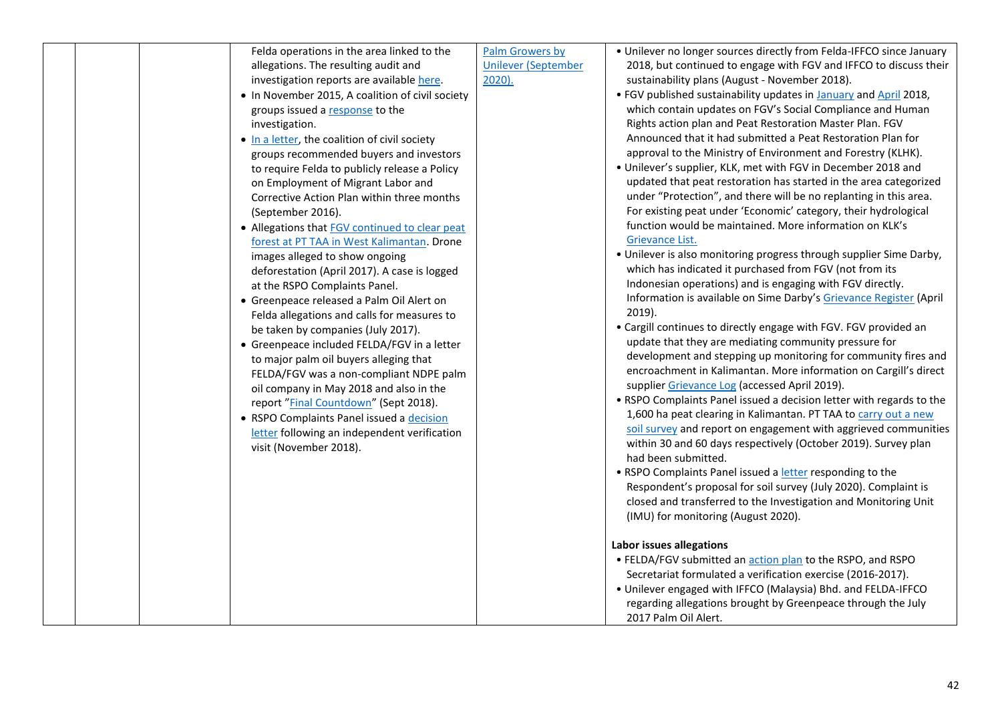| Felda operations in the area linked to the<br>allegations. The resulting audit and<br>investigation reports are available here.<br>• In November 2015, A coalition of civil society<br>groups issued a response to the<br>investigation.<br>. In a letter, the coalition of civil society<br>groups recommended buyers and investors<br>to require Felda to publicly release a Policy<br>on Employment of Migrant Labor and<br>Corrective Action Plan within three months<br>(September 2016).<br>• Allegations that <b>FGV</b> continued to clear peat<br>forest at PT TAA in West Kalimantan. Drone<br>images alleged to show ongoing<br>deforestation (April 2017). A case is logged<br>at the RSPO Complaints Panel.<br>• Greenpeace released a Palm Oil Alert on<br>Felda allegations and calls for measures to<br>be taken by companies (July 2017).<br>• Greenpeace included FELDA/FGV in a letter<br>to major palm oil buyers alleging that<br>FELDA/FGV was a non-compliant NDPE palm<br>oil company in May 2018 and also in the<br>report "Final Countdown" (Sept 2018).<br>• RSPO Complaints Panel issued a decision<br>letter following an independent verification<br>visit (November 2018). | Palm Growers by<br><b>Unilever (September</b><br>$2020$ ). | • Unilever no longer sources directly from Felda-IFFCO since January<br>2018, but continued to engage with FGV and IFFCO to discuss their<br>sustainability plans (August - November 2018).<br>. FGV published sustainability updates in January and April 2018,<br>which contain updates on FGV's Social Compliance and Human<br>Rights action plan and Peat Restoration Master Plan. FGV<br>Announced that it had submitted a Peat Restoration Plan for<br>approval to the Ministry of Environment and Forestry (KLHK).<br>. Unilever's supplier, KLK, met with FGV in December 2018 and<br>updated that peat restoration has started in the area categorized<br>under "Protection", and there will be no replanting in this area.<br>For existing peat under 'Economic' category, their hydrological<br>function would be maintained. More information on KLK's<br>Grievance List.<br>• Unilever is also monitoring progress through supplier Sime Darby,<br>which has indicated it purchased from FGV (not from its<br>Indonesian operations) and is engaging with FGV directly.<br>Information is available on Sime Darby's Grievance Register (April<br>$2019$ ).<br>• Cargill continues to directly engage with FGV. FGV provided an<br>update that they are mediating community pressure for<br>development and stepping up monitoring for community fires and<br>encroachment in Kalimantan. More information on Cargill's direct<br>supplier Grievance Log (accessed April 2019).<br>. RSPO Complaints Panel issued a decision letter with regards to the<br>1,600 ha peat clearing in Kalimantan. PT TAA to carry out a new<br>soil survey and report on engagement with aggrieved communities<br>within 30 and 60 days respectively (October 2019). Survey plan<br>had been submitted.<br>• RSPO Complaints Panel issued a letter responding to the<br>Respondent's proposal for soil survey (July 2020). Complaint is<br>closed and transferred to the Investigation and Monitoring Unit<br>(IMU) for monitoring (August 2020).<br><b>Labor issues allegations</b><br>• FELDA/FGV submitted an action plan to the RSPO, and RSPO<br>Secretariat formulated a verification exercise (2016-2017).<br>. Unilever engaged with IFFCO (Malaysia) Bhd. and FELDA-IFFCO<br>regarding allegations brought by Greenpeace through the July<br>2017 Palm Oil Alert. |
|-----------------------------------------------------------------------------------------------------------------------------------------------------------------------------------------------------------------------------------------------------------------------------------------------------------------------------------------------------------------------------------------------------------------------------------------------------------------------------------------------------------------------------------------------------------------------------------------------------------------------------------------------------------------------------------------------------------------------------------------------------------------------------------------------------------------------------------------------------------------------------------------------------------------------------------------------------------------------------------------------------------------------------------------------------------------------------------------------------------------------------------------------------------------------------------------------------------|------------------------------------------------------------|-----------------------------------------------------------------------------------------------------------------------------------------------------------------------------------------------------------------------------------------------------------------------------------------------------------------------------------------------------------------------------------------------------------------------------------------------------------------------------------------------------------------------------------------------------------------------------------------------------------------------------------------------------------------------------------------------------------------------------------------------------------------------------------------------------------------------------------------------------------------------------------------------------------------------------------------------------------------------------------------------------------------------------------------------------------------------------------------------------------------------------------------------------------------------------------------------------------------------------------------------------------------------------------------------------------------------------------------------------------------------------------------------------------------------------------------------------------------------------------------------------------------------------------------------------------------------------------------------------------------------------------------------------------------------------------------------------------------------------------------------------------------------------------------------------------------------------------------------------------------------------------------------------------------------------------------------------------------------------------------------------------------------------------------------------------------------------------------------------------------------------------------------------------------------------------------------------------------------------------------------------------------------------------------------------------------------------------------------------------------------|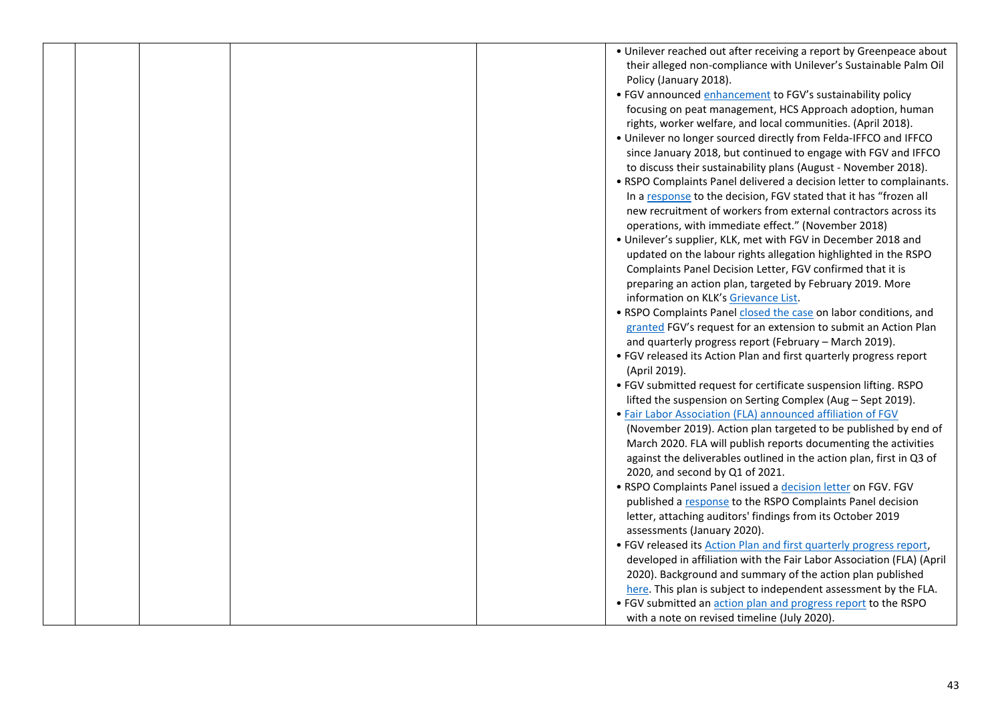|  |  | • Unilever reached out after receiving a report by Greenpeace about   |
|--|--|-----------------------------------------------------------------------|
|  |  | their alleged non-compliance with Unilever's Sustainable Palm Oil     |
|  |  | Policy (January 2018).                                                |
|  |  | • FGV announced enhancement to FGV's sustainability policy            |
|  |  | focusing on peat management, HCS Approach adoption, human             |
|  |  | rights, worker welfare, and local communities. (April 2018).          |
|  |  | . Unilever no longer sourced directly from Felda-IFFCO and IFFCO      |
|  |  | since January 2018, but continued to engage with FGV and IFFCO        |
|  |  | to discuss their sustainability plans (August - November 2018).       |
|  |  | • RSPO Complaints Panel delivered a decision letter to complainants.  |
|  |  | In a response to the decision, FGV stated that it has "frozen all     |
|  |  | new recruitment of workers from external contractors across its       |
|  |  | operations, with immediate effect." (November 2018)                   |
|  |  | . Unilever's supplier, KLK, met with FGV in December 2018 and         |
|  |  | updated on the labour rights allegation highlighted in the RSPO       |
|  |  | Complaints Panel Decision Letter, FGV confirmed that it is            |
|  |  | preparing an action plan, targeted by February 2019. More             |
|  |  | information on KLK's Grievance List.                                  |
|  |  | • RSPO Complaints Panel closed the case on labor conditions, and      |
|  |  | granted FGV's request for an extension to submit an Action Plan       |
|  |  | and quarterly progress report (February - March 2019).                |
|  |  |                                                                       |
|  |  | • FGV released its Action Plan and first quarterly progress report    |
|  |  | (April 2019).                                                         |
|  |  | • FGV submitted request for certificate suspension lifting. RSPO      |
|  |  | lifted the suspension on Serting Complex (Aug - Sept 2019).           |
|  |  | . Fair Labor Association (FLA) announced affiliation of FGV           |
|  |  | (November 2019). Action plan targeted to be published by end of       |
|  |  | March 2020. FLA will publish reports documenting the activities       |
|  |  | against the deliverables outlined in the action plan, first in Q3 of  |
|  |  | 2020, and second by Q1 of 2021.                                       |
|  |  | . RSPO Complaints Panel issued a decision letter on FGV. FGV          |
|  |  | published a response to the RSPO Complaints Panel decision            |
|  |  | letter, attaching auditors' findings from its October 2019            |
|  |  | assessments (January 2020).                                           |
|  |  | . FGV released its Action Plan and first quarterly progress report,   |
|  |  | developed in affiliation with the Fair Labor Association (FLA) (April |
|  |  | 2020). Background and summary of the action plan published            |
|  |  | here. This plan is subject to independent assessment by the FLA.      |
|  |  | • FGV submitted an action plan and progress report to the RSPO        |
|  |  | with a note on revised timeline (July 2020).                          |